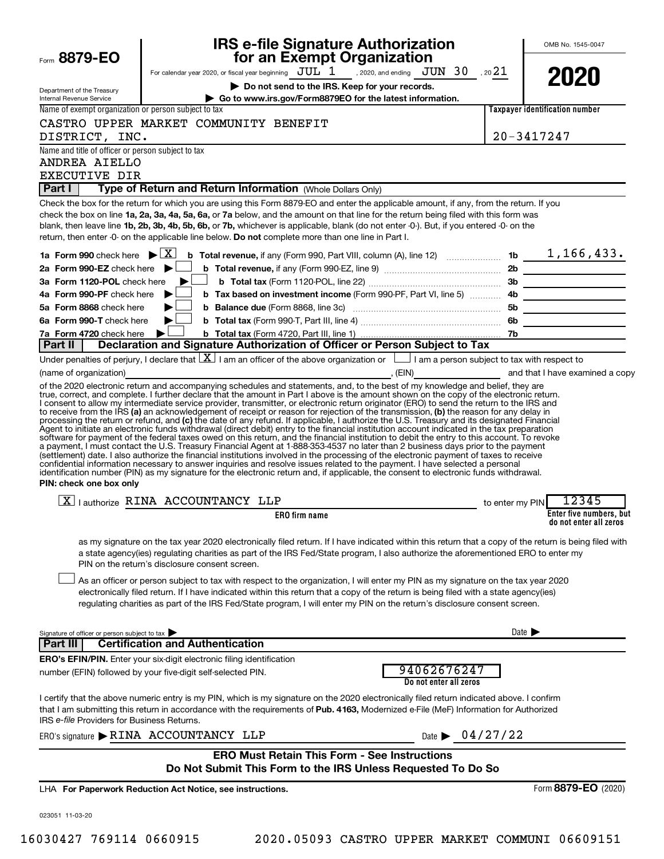|                                                               | <b>IRS e-file Signature Authorization<br/>for an Exempt Organization</b>                                                                                                                                                                                                                                                                                                                                                                                                                                                                                                                                                                                                                                                                                                                                                                                                                                                                                                                        |                            | OMB No. 1545-0047                     |
|---------------------------------------------------------------|-------------------------------------------------------------------------------------------------------------------------------------------------------------------------------------------------------------------------------------------------------------------------------------------------------------------------------------------------------------------------------------------------------------------------------------------------------------------------------------------------------------------------------------------------------------------------------------------------------------------------------------------------------------------------------------------------------------------------------------------------------------------------------------------------------------------------------------------------------------------------------------------------------------------------------------------------------------------------------------------------|----------------------------|---------------------------------------|
| Form 8879-EO                                                  | For calendar year 2020, or fiscal year beginning $JUL$ $1$ , 2020, and ending $JUN$ $30$ , 20 $21$                                                                                                                                                                                                                                                                                                                                                                                                                                                                                                                                                                                                                                                                                                                                                                                                                                                                                              |                            |                                       |
|                                                               | Do not send to the IRS. Keep for your records.                                                                                                                                                                                                                                                                                                                                                                                                                                                                                                                                                                                                                                                                                                                                                                                                                                                                                                                                                  |                            | 2020                                  |
| Department of the Treasury<br><b>Internal Revenue Service</b> | Go to www.irs.gov/Form8879EO for the latest information.                                                                                                                                                                                                                                                                                                                                                                                                                                                                                                                                                                                                                                                                                                                                                                                                                                                                                                                                        |                            |                                       |
| Name of exempt organization or person subject to tax          |                                                                                                                                                                                                                                                                                                                                                                                                                                                                                                                                                                                                                                                                                                                                                                                                                                                                                                                                                                                                 |                            | <b>Taxpayer identification number</b> |
|                                                               | CASTRO UPPER MARKET COMMUNITY BENEFIT                                                                                                                                                                                                                                                                                                                                                                                                                                                                                                                                                                                                                                                                                                                                                                                                                                                                                                                                                           |                            |                                       |
| DISTRICT, INC.                                                |                                                                                                                                                                                                                                                                                                                                                                                                                                                                                                                                                                                                                                                                                                                                                                                                                                                                                                                                                                                                 |                            | 20-3417247                            |
| Name and title of officer or person subject to tax            |                                                                                                                                                                                                                                                                                                                                                                                                                                                                                                                                                                                                                                                                                                                                                                                                                                                                                                                                                                                                 |                            |                                       |
| ANDREA AIELLO                                                 |                                                                                                                                                                                                                                                                                                                                                                                                                                                                                                                                                                                                                                                                                                                                                                                                                                                                                                                                                                                                 |                            |                                       |
| <b>EXECUTIVE DIR</b><br>Part I                                | Type of Return and Return Information (Whole Dollars Only)                                                                                                                                                                                                                                                                                                                                                                                                                                                                                                                                                                                                                                                                                                                                                                                                                                                                                                                                      |                            |                                       |
|                                                               | Check the box for the return for which you are using this Form 8879-EO and enter the applicable amount, if any, from the return. If you                                                                                                                                                                                                                                                                                                                                                                                                                                                                                                                                                                                                                                                                                                                                                                                                                                                         |                            |                                       |
|                                                               | check the box on line 1a, 2a, 3a, 4a, 5a, 6a, or 7a below, and the amount on that line for the return being filed with this form was<br>blank, then leave line 1b, 2b, 3b, 4b, 5b, 6b, or 7b, whichever is applicable, blank (do not enter -0-). But, if you entered -0- on the<br>return, then enter -0- on the applicable line below. Do not complete more than one line in Part I.                                                                                                                                                                                                                                                                                                                                                                                                                                                                                                                                                                                                           |                            |                                       |
| 1a Form 990 check here $\mathbf{E}[\overline{X}]$             | <b>b</b> Total revenue, if any (Form 990, Part VIII, column (A), line 12) <b>contained the contained 1 166</b> , 433 .                                                                                                                                                                                                                                                                                                                                                                                                                                                                                                                                                                                                                                                                                                                                                                                                                                                                          |                            |                                       |
| 2a Form 990-EZ check here $\blacktriangleright$               |                                                                                                                                                                                                                                                                                                                                                                                                                                                                                                                                                                                                                                                                                                                                                                                                                                                                                                                                                                                                 |                            |                                       |
| 3a Form 1120-POL check here                                   |                                                                                                                                                                                                                                                                                                                                                                                                                                                                                                                                                                                                                                                                                                                                                                                                                                                                                                                                                                                                 |                            |                                       |
| 4a Form 990-PF check here                                     | b Tax based on investment income (Form 990-PF, Part VI, line 5)  4b                                                                                                                                                                                                                                                                                                                                                                                                                                                                                                                                                                                                                                                                                                                                                                                                                                                                                                                             |                            |                                       |
| 5a Form 8868 check here                                       |                                                                                                                                                                                                                                                                                                                                                                                                                                                                                                                                                                                                                                                                                                                                                                                                                                                                                                                                                                                                 |                            |                                       |
| 6a Form 990-T check here                                      |                                                                                                                                                                                                                                                                                                                                                                                                                                                                                                                                                                                                                                                                                                                                                                                                                                                                                                                                                                                                 |                            |                                       |
| 7a Form 4720 check here<br>Part II                            | Declaration and Signature Authorization of Officer or Person Subject to Tax                                                                                                                                                                                                                                                                                                                                                                                                                                                                                                                                                                                                                                                                                                                                                                                                                                                                                                                     |                            | 7b                                    |
|                                                               | Under penalties of perjury, I declare that $\lfloor \frac{X}{1} \rfloor$ I am an officer of the above organization or $\lfloor \frac{1}{1} \rfloor$ I am a person subject to tax with respect to                                                                                                                                                                                                                                                                                                                                                                                                                                                                                                                                                                                                                                                                                                                                                                                                |                            |                                       |
| (name of organization)                                        | $\mathcal{L}$ , (EIN) and that I have examined a copy                                                                                                                                                                                                                                                                                                                                                                                                                                                                                                                                                                                                                                                                                                                                                                                                                                                                                                                                           |                            |                                       |
| PIN: check one box only                                       | processing the return or refund, and (c) the date of any refund. If applicable, I authorize the U.S. Treasury and its designated Financial<br>Agent to initiate an electronic funds withdrawal (direct debit) entry to the financial institution account indicated in the tax preparation<br>software for payment of the federal taxes owed on this return, and the financial institution to debit the entry to this account. To revoke<br>a payment, I must contact the U.S. Treasury Financial Agent at 1-888-353-4537 no later than 2 business days prior to the payment<br>(settlement) date. I also authorize the financial institutions involved in the processing of the electronic payment of taxes to receive<br>confidential information necessary to answer inquiries and resolve issues related to the payment. I have selected a personal<br>identification number (PIN) as my signature for the electronic return and, if applicable, the consent to electronic funds withdrawal. |                            |                                       |
|                                                               | $\boxed{\text{X}}$   authorize RINA ACCOUNTANCY LLP                                                                                                                                                                                                                                                                                                                                                                                                                                                                                                                                                                                                                                                                                                                                                                                                                                                                                                                                             | to enter my PIN            | 12345                                 |
|                                                               | <b>ERO</b> firm name                                                                                                                                                                                                                                                                                                                                                                                                                                                                                                                                                                                                                                                                                                                                                                                                                                                                                                                                                                            |                            | Enter five numbers, but               |
|                                                               | as my signature on the tax year 2020 electronically filed return. If I have indicated within this return that a copy of the return is being filed with<br>a state agency(ies) regulating charities as part of the IRS Fed/State program, I also authorize the aforementioned ERO to enter my<br>PIN on the return's disclosure consent screen.<br>As an officer or person subject to tax with respect to the organization, I will enter my PIN as my signature on the tax year 2020<br>electronically filed return. If I have indicated within this return that a copy of the return is being filed with a state agency(ies)<br>regulating charities as part of the IRS Fed/State program, I will enter my PIN on the return's disclosure consent screen.                                                                                                                                                                                                                                       |                            | do not enter all zeros                |
| Signature of officer or person subject to tax<br>Part III     | <b>Certification and Authentication</b>                                                                                                                                                                                                                                                                                                                                                                                                                                                                                                                                                                                                                                                                                                                                                                                                                                                                                                                                                         | Date $\blacktriangleright$ |                                       |
|                                                               | <b>ERO's EFIN/PIN.</b> Enter your six-digit electronic filing identification                                                                                                                                                                                                                                                                                                                                                                                                                                                                                                                                                                                                                                                                                                                                                                                                                                                                                                                    |                            |                                       |
|                                                               | 94062676247<br>number (EFIN) followed by your five-digit self-selected PIN.<br>Do not enter all zeros                                                                                                                                                                                                                                                                                                                                                                                                                                                                                                                                                                                                                                                                                                                                                                                                                                                                                           |                            |                                       |
| IRS e-file Providers for Business Returns.                    | I certify that the above numeric entry is my PIN, which is my signature on the 2020 electronically filed return indicated above. I confirm<br>that I am submitting this return in accordance with the requirements of Pub. 4163, Modernized e-File (MeF) Information for Authorized                                                                                                                                                                                                                                                                                                                                                                                                                                                                                                                                                                                                                                                                                                             |                            |                                       |
|                                                               | ERO's signature RINA ACCOUNTANCY LLP<br>Date $\blacktriangleright$                                                                                                                                                                                                                                                                                                                                                                                                                                                                                                                                                                                                                                                                                                                                                                                                                                                                                                                              | 04/27/22                   |                                       |
|                                                               | <b>ERO Must Retain This Form - See Instructions</b><br>Do Not Submit This Form to the IRS Unless Requested To Do So                                                                                                                                                                                                                                                                                                                                                                                                                                                                                                                                                                                                                                                                                                                                                                                                                                                                             |                            |                                       |
|                                                               | LHA For Paperwork Reduction Act Notice, see instructions.                                                                                                                                                                                                                                                                                                                                                                                                                                                                                                                                                                                                                                                                                                                                                                                                                                                                                                                                       |                            | Form 8879-EO (2020)                   |
| 023051 11-03-20                                               |                                                                                                                                                                                                                                                                                                                                                                                                                                                                                                                                                                                                                                                                                                                                                                                                                                                                                                                                                                                                 |                            |                                       |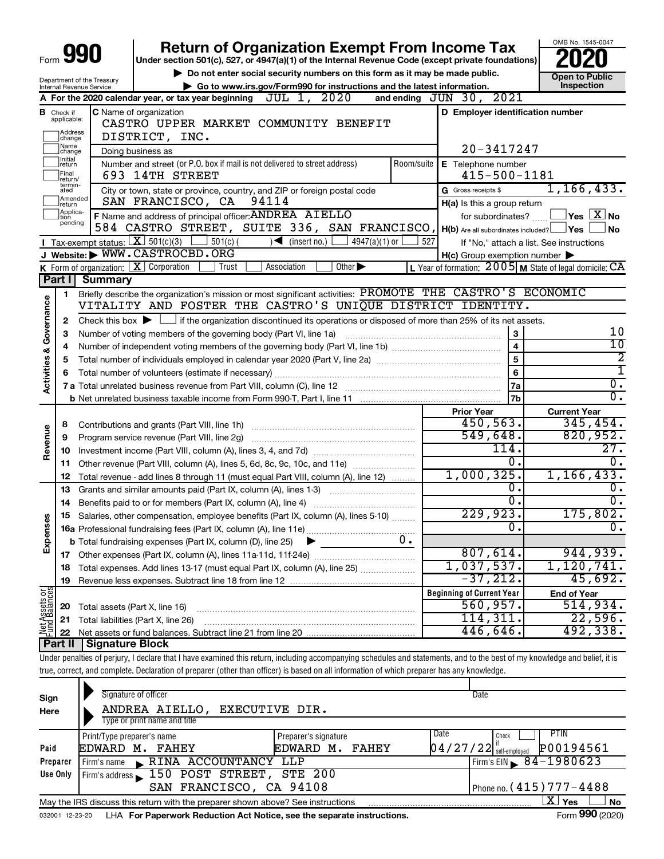|                                |                                                                                                        |                                | <b>Return of Organization Exempt From Income Tax</b>                                                                                                                       |                                                                 | OMB No. 1545-0047                                                  |
|--------------------------------|--------------------------------------------------------------------------------------------------------|--------------------------------|----------------------------------------------------------------------------------------------------------------------------------------------------------------------------|-----------------------------------------------------------------|--------------------------------------------------------------------|
|                                |                                                                                                        |                                | Under section 501(c), 527, or 4947(a)(1) of the Internal Revenue Code (except private foundations)                                                                         |                                                                 |                                                                    |
|                                |                                                                                                        | Department of the Treasury     | Do not enter social security numbers on this form as it may be made public.                                                                                                |                                                                 | <b>Open to Public</b>                                              |
|                                |                                                                                                        | Internal Revenue Service       | Go to www.irs.gov/Form990 for instructions and the latest information.                                                                                                     |                                                                 | Inspection                                                         |
|                                |                                                                                                        |                                | A For the 2020 calendar year, or tax year beginning $JUL$ 1, $2020$                                                                                                        | and ending JUN 30, 2021                                         |                                                                    |
|                                | <b>B</b> Check if<br>applicable:                                                                       |                                | <b>C</b> Name of organization<br>CASTRO UPPER MARKET COMMUNITY BENEFIT                                                                                                     | D Employer identification number                                |                                                                    |
|                                | Address                                                                                                |                                | DISTRICT, INC.                                                                                                                                                             |                                                                 |                                                                    |
|                                | change<br>Name                                                                                         |                                | Doing business as                                                                                                                                                          | 20-3417247                                                      |                                                                    |
|                                | change<br>Initial<br>∣return                                                                           |                                | Number and street (or P.O. box if mail is not delivered to street address)<br>Room/suite                                                                                   | E Telephone number                                              |                                                                    |
|                                | Final<br>return/                                                                                       |                                | 693 14TH STREET                                                                                                                                                            | $415 - 500 - 1181$                                              |                                                                    |
|                                | termin-<br>ated                                                                                        |                                | City or town, state or province, country, and ZIP or foreign postal code                                                                                                   | G Gross receipts \$                                             | 1, 166, 433.                                                       |
|                                | Amended<br>Ireturn                                                                                     |                                | SAN FRANCISCO, CA<br>94114                                                                                                                                                 | H(a) Is this a group return                                     |                                                                    |
|                                | Applica-<br>F Name and address of principal officer: <b>ANDREA</b> ATELLO<br>for subordinates?<br>tion |                                |                                                                                                                                                                            |                                                                 | $\mathsf{\perp}$ Yes $\mathsf{\perp} \mathbf{X} \mathsf{\perp}$ No |
|                                | pending                                                                                                |                                | 584 CASTRO STREET, SUITE 336, SAN FRANCISCO,                                                                                                                               | $\vert$ H(b) Are all subordinates included? $\vert$ Yes $\vert$ | ⊿ No                                                               |
|                                |                                                                                                        |                                | <b>I</b> Tax-exempt status: $X \ 501(c)(3)$<br>$\vert$ 501(c) (<br>$\sqrt{\frac{1}{1}}$ (insert no.)<br>$4947(a)(1)$ or                                                    | 527                                                             | If "No," attach a list. See instructions                           |
|                                |                                                                                                        |                                | J Website: WWW.CASTROCBD.ORG                                                                                                                                               | $H(c)$ Group exemption number $\blacktriangleright$             |                                                                    |
|                                |                                                                                                        |                                | K Form of organization: $X$ Corporation<br>Other $\blacktriangleright$<br>Trust<br>Association                                                                             | L Year of formation: $2005$ M State of legal domicile: $CA$     |                                                                    |
|                                | Part I                                                                                                 | <b>Summary</b>                 |                                                                                                                                                                            |                                                                 |                                                                    |
|                                | 1.                                                                                                     |                                | Briefly describe the organization's mission or most significant activities: PROMOTE THE CASTRO 'S ECONOMIC                                                                 |                                                                 |                                                                    |
| Governance                     |                                                                                                        |                                | VITALITY AND FOSTER THE CASTRO'S UNIQUE DISTRICT IDENTITY.                                                                                                                 |                                                                 |                                                                    |
|                                | $\mathbf{2}$                                                                                           |                                | Check this box $\blacktriangleright$ $\Box$ if the organization discontinued its operations or disposed of more than 25% of its net assets.                                |                                                                 |                                                                    |
|                                | 3                                                                                                      |                                | Number of voting members of the governing body (Part VI, line 1a)                                                                                                          | 3                                                               | 10<br>10                                                           |
|                                | 4                                                                                                      |                                |                                                                                                                                                                            | 4<br>5                                                          | $\overline{2}$                                                     |
|                                | 5                                                                                                      |                                | $\overline{\mathbb{1}}$                                                                                                                                                    |                                                                 |                                                                    |
| <b>Activities &amp;</b>        | 6                                                                                                      |                                |                                                                                                                                                                            | 6<br>7a                                                         | $\overline{0}$ .                                                   |
|                                |                                                                                                        |                                |                                                                                                                                                                            | 7b                                                              | $\overline{0}$ .                                                   |
|                                |                                                                                                        |                                |                                                                                                                                                                            | <b>Prior Year</b>                                               | <b>Current Year</b>                                                |
|                                | 8                                                                                                      |                                | Contributions and grants (Part VIII, line 1h)                                                                                                                              | 450, 563.                                                       | 345, 454.                                                          |
| Revenue                        | 9                                                                                                      |                                | Program service revenue (Part VIII, line 2g)                                                                                                                               | 549,648.                                                        | 820,952.                                                           |
|                                | 10                                                                                                     |                                |                                                                                                                                                                            | 114.                                                            | 27.                                                                |
|                                | 11                                                                                                     |                                | Other revenue (Part VIII, column (A), lines 5, 6d, 8c, 9c, 10c, and 11e)                                                                                                   | σ.                                                              | $\overline{0}$ .                                                   |
|                                | 12                                                                                                     |                                | Total revenue - add lines 8 through 11 (must equal Part VIII, column (A), line 12)                                                                                         | 1,000,325.                                                      | 1, 166, 433.                                                       |
|                                | 13                                                                                                     |                                | Grants and similar amounts paid (Part IX, column (A), lines 1-3)                                                                                                           | Ο.                                                              | $\overline{0}$ .                                                   |
|                                | 14                                                                                                     |                                | Benefits paid to or for members (Part IX, column (A), line 4)                                                                                                              | σ.                                                              | $\overline{0}$ .                                                   |
|                                |                                                                                                        |                                | 15 Salaries, other compensation, employee benefits (Part IX, column (A), lines 5-10)                                                                                       | 229,923.                                                        | 175,802.                                                           |
| Expenses                       |                                                                                                        |                                |                                                                                                                                                                            | 0.                                                              | 0.                                                                 |
|                                |                                                                                                        |                                | <b>b</b> Total fundraising expenses (Part IX, column (D), line 25)                                                                                                         | 807,614.                                                        | 944,939.                                                           |
|                                | 17                                                                                                     |                                |                                                                                                                                                                            | 1,037,537.                                                      | 1,120,741.                                                         |
|                                |                                                                                                        |                                | 18 Total expenses. Add lines 13-17 (must equal Part IX, column (A), line 25)                                                                                               | $-37,212.$                                                      | 45,692.                                                            |
|                                | 19                                                                                                     |                                |                                                                                                                                                                            | <b>Beginning of Current Year</b>                                | <b>End of Year</b>                                                 |
| Net Assets or<br>Fund Balances | 20                                                                                                     | Total assets (Part X, line 16) |                                                                                                                                                                            | 560, 957.                                                       | 514,934.                                                           |
|                                | 21                                                                                                     |                                | Total liabilities (Part X, line 26)                                                                                                                                        | 114, 311.                                                       | 22,596.                                                            |
|                                | 22                                                                                                     |                                |                                                                                                                                                                            | 446,646.                                                        | 492,338.                                                           |
|                                | Part II                                                                                                | <b>Signature Block</b>         |                                                                                                                                                                            |                                                                 |                                                                    |
|                                |                                                                                                        |                                | Under penalties of perjury, I declare that I have examined this return, including accompanying schedules and statements, and to the best of my knowledge and belief, it is |                                                                 |                                                                    |
|                                |                                                                                                        |                                | true, correct, and complete. Declaration of preparer (other than officer) is based on all information of which preparer has any knowledge.                                 |                                                                 |                                                                    |
|                                |                                                                                                        |                                |                                                                                                                                                                            |                                                                 |                                                                    |
| Sign                           |                                                                                                        |                                | Signature of officer                                                                                                                                                       | Date                                                            |                                                                    |
| Here                           |                                                                                                        |                                | ANDREA AIELLO, EXECUTIVE DIR.                                                                                                                                              |                                                                 |                                                                    |

| Here     | ANDREA AIEDDO, EAECOTIVE DIR.                                                   |                      |                                                                                                                                              |
|----------|---------------------------------------------------------------------------------|----------------------|----------------------------------------------------------------------------------------------------------------------------------------------|
|          | Type or print name and title                                                    |                      |                                                                                                                                              |
|          | Print/Type preparer's name                                                      | Preparer's signature | Date<br>PHN<br><b>Check</b>                                                                                                                  |
| Paid     | EDWARD M. FAHEY                                                                 | EDWARD M. FAHEY      | P00194561<br>$\vert 0\,4\,$ / $\,2\,7\,$ / $\,2\,2\vert$ $\,{}^{\scriptscriptstyle\mathsf{ir}}_{\scriptscriptstyle{\mathsf{self-emploved}}}$ |
| Preparer | RINA ACCOUNTANCY LLP<br>Firm's name                                             |                      | Firm's EIN $\, 84 - 1980623$                                                                                                                 |
| Use Only | Firm's address 150 POST STREET, STE 200                                         |                      |                                                                                                                                              |
|          | SAN FRANCISCO, CA 94108                                                         |                      | Phone no. (415) 777-4488                                                                                                                     |
|          | May the IRS discuss this return with the preparer shown above? See instructions |                      | ΧI<br><b>No</b><br>Yes                                                                                                                       |
|          |                                                                                 |                      | $\mathsf{F}$ 000 (2222)                                                                                                                      |

032001 12-23-20 LHA **For Paperwork Reduction Act Notice, see the separate instructions.** Form 990 (2020)

Form **990** (2020)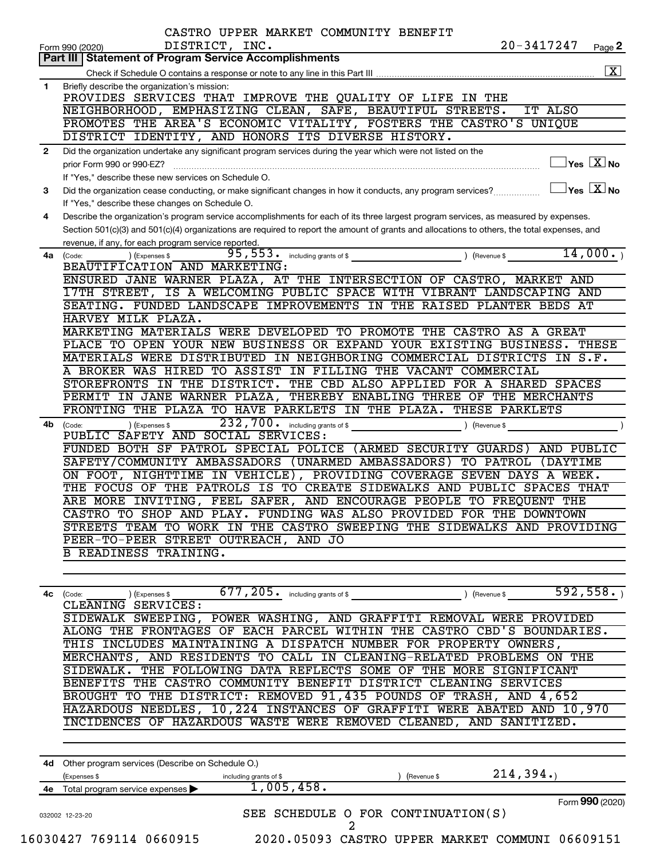|                | CASTRO UPPER MARKET COMMUNITY BENEFIT                                                                                                        |             |                                       |
|----------------|----------------------------------------------------------------------------------------------------------------------------------------------|-------------|---------------------------------------|
|                | DISTRICT, INC.<br>Form 990 (2020)                                                                                                            | 20-3417247  | Page 2                                |
|                | <b>Part III   Statement of Program Service Accomplishments</b>                                                                               |             |                                       |
|                |                                                                                                                                              |             | $\boxed{\text{X}}$                    |
| $\mathbf{1}$   | Briefly describe the organization's mission:                                                                                                 |             |                                       |
|                | PROVIDES SERVICES THAT IMPROVE THE QUALITY OF LIFE IN THE                                                                                    |             |                                       |
|                | NEIGHBORHOOD, EMPHASIZING CLEAN, SAFE, BEAUTIFUL STREETS.                                                                                    | IT ALSO     |                                       |
|                | PROMOTES THE AREA'S ECONOMIC VITALITY, FOSTERS THE CASTRO'S UNIQUE                                                                           |             |                                       |
|                | DISTRICT IDENTITY, AND HONORS ITS DIVERSE HISTORY.                                                                                           |             |                                       |
| $\overline{2}$ | Did the organization undertake any significant program services during the year which were not listed on the                                 |             |                                       |
|                | prior Form 990 or 990-EZ?                                                                                                                    |             | $\square$ Yes $\overline{{\rm X}}$ No |
|                | If "Yes," describe these new services on Schedule O.                                                                                         |             |                                       |
| 3              |                                                                                                                                              |             |                                       |
|                | If "Yes," describe these changes on Schedule O.                                                                                              |             |                                       |
| 4              | Describe the organization's program service accomplishments for each of its three largest program services, as measured by expenses.         |             |                                       |
|                | Section 501(c)(3) and 501(c)(4) organizations are required to report the amount of grants and allocations to others, the total expenses, and |             |                                       |
|                | revenue, if any, for each program service reported.                                                                                          |             |                                       |
| 4a             | 95, 553. including grants of \$ $14,000.$<br>) (Expenses \$<br>(Code:                                                                        |             |                                       |
|                | BEAUTIFICATION AND MARKETING:                                                                                                                |             |                                       |
|                | ENSURED JANE WARNER PLAZA, AT THE INTERSECTION OF CASTRO, MARKET AND                                                                         |             |                                       |
|                | 17TH STREET, IS A WELCOMING PUBLIC SPACE WITH VIBRANT LANDSCAPING AND                                                                        |             |                                       |
|                | SEATING. FUNDED LANDSCAPE IMPROVEMENTS IN THE RAISED PLANTER BEDS AT                                                                         |             |                                       |
|                | HARVEY MILK PLAZA.                                                                                                                           |             |                                       |
|                | MARKETING MATERIALS WERE DEVELOPED TO PROMOTE THE CASTRO AS A GREAT                                                                          |             |                                       |
|                | PLACE TO OPEN YOUR NEW BUSINESS OR EXPAND YOUR EXISTING BUSINESS. THESE                                                                      |             |                                       |
|                | MATERIALS WERE DISTRIBUTED IN NEIGHBORING COMMERCIAL DISTRICTS IN S.F.                                                                       |             |                                       |
|                | A BROKER WAS HIRED TO ASSIST IN FILLING THE VACANT COMMERCIAL                                                                                |             |                                       |
|                | STOREFRONTS IN THE DISTRICT. THE CBD ALSO APPLIED FOR A SHARED SPACES                                                                        |             |                                       |
|                | PERMIT IN JANE WARNER PLAZA, THEREBY ENABLING THREE OF THE MERCHANTS                                                                         |             |                                       |
|                | FRONTING THE PLAZA TO HAVE PARKLETS IN THE PLAZA. THESE PARKLETS                                                                             |             |                                       |
| 4b l           |                                                                                                                                              |             |                                       |
|                | (Expenses \$<br>(Code:<br>PUBLIC SAFETY AND SOCIAL SERVICES:                                                                                 |             |                                       |
|                | FUNDED BOTH SF PATROL SPECIAL POLICE (ARMED SECURITY GUARDS) AND PUBLIC                                                                      |             |                                       |
|                | SAFETY/COMMUNITY AMBASSADORS (UNARMED AMBASSADORS) TO PATROL (DAYTIME                                                                        |             |                                       |
|                | ON FOOT, NIGHTTIME IN VEHICLE), PROVIDING COVERAGE SEVEN DAYS A WEEK.                                                                        |             |                                       |
|                | THE FOCUS OF THE PATROLS IS TO CREATE SIDEWALKS AND PUBLIC SPACES THAT                                                                       |             |                                       |
|                | ARE MORE INVITING, FEEL SAFER, AND ENCOURAGE PEOPLE TO FREQUENT THE                                                                          |             |                                       |
|                | CASTRO TO SHOP AND PLAY. FUNDING WAS ALSO PROVIDED FOR THE DOWNTOWN                                                                          |             |                                       |
|                | STREETS TEAM TO WORK IN THE CASTRO SWEEPING THE SIDEWALKS AND PROVIDING                                                                      |             |                                       |
|                | PEER-TO-PEER STREET OUTREACH, AND JO                                                                                                         |             |                                       |
|                | <b>B READINESS TRAINING.</b>                                                                                                                 |             |                                       |
|                |                                                                                                                                              |             |                                       |
|                |                                                                                                                                              |             |                                       |
| 4с             | $677$ , $205$ or including grants of \$                                                                                                      | (Revenue \$ | 592, 558.                             |
|                | (Code:<br>(Expenses \$<br>CLEANING SERVICES:                                                                                                 |             |                                       |
|                | SIDEWALK SWEEPING, POWER WASHING, AND GRAFFITI REMOVAL WERE PROVIDED                                                                         |             |                                       |
|                | ALONG THE FRONTAGES OF EACH PARCEL WITHIN THE CASTRO CBD'S BOUNDARIES.                                                                       |             |                                       |
|                | THIS INCLUDES MAINTAINING A DISPATCH NUMBER FOR PROPERTY OWNERS,                                                                             |             |                                       |
|                | MERCHANTS, AND RESIDENTS TO CALL IN CLEANING-RELATED PROBLEMS ON THE                                                                         |             |                                       |
|                | SIDEWALK. THE FOLLOWING DATA REFLECTS SOME OF THE MORE SIGNIFICANT                                                                           |             |                                       |
|                | BENEFITS THE CASTRO COMMUNITY BENEFIT DISTRICT CLEANING SERVICES                                                                             |             |                                       |
|                | BROUGHT TO THE DISTRICT: REMOVED 91,435 POUNDS OF TRASH, AND 4,652                                                                           |             |                                       |
|                | HAZARDOUS NEEDLES, 10,224 INSTANCES OF GRAFFITI WERE ABATED AND 10,970                                                                       |             |                                       |
|                | INCIDENCES OF HAZARDOUS WASTE WERE REMOVED CLEANED, AND SANITIZED.                                                                           |             |                                       |
|                |                                                                                                                                              |             |                                       |
|                |                                                                                                                                              |             |                                       |
|                |                                                                                                                                              |             |                                       |
|                | 4d Other program services (Describe on Schedule O.)                                                                                          | 214, 394.   |                                       |
|                | (Revenue \$<br>(Expenses \$<br>including grants of \$<br>1,005,458.                                                                          |             |                                       |
|                | 4e Total program service expenses                                                                                                            |             |                                       |
|                | SEE SCHEDULE O FOR CONTINUATION(S)                                                                                                           |             | Form 990 (2020)                       |
|                | 032002 12-23-20<br>2                                                                                                                         |             |                                       |
|                |                                                                                                                                              |             |                                       |

|  | 16030427 769114 0660915 |  |
|--|-------------------------|--|
|  |                         |  |

15 2020.05093 CASTRO UPPER MARKET COMMUNI 06609151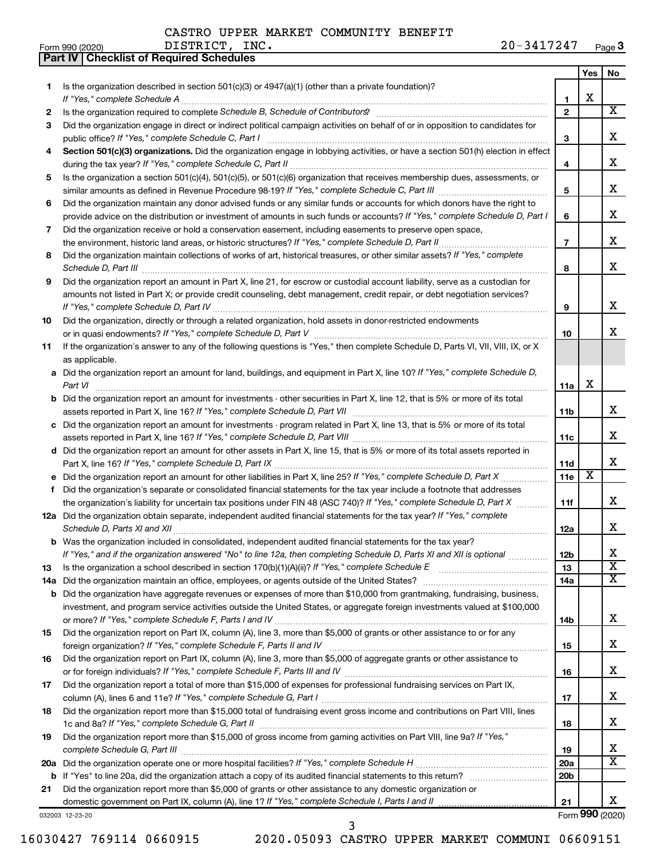**Part IV Checklist of Required Schedules**

DISTRICT, INC.

|     |                                                                                                                                                                                                                                                       |                 | Yes | No                         |
|-----|-------------------------------------------------------------------------------------------------------------------------------------------------------------------------------------------------------------------------------------------------------|-----------------|-----|----------------------------|
| 1.  | Is the organization described in section $501(c)(3)$ or $4947(a)(1)$ (other than a private foundation)?                                                                                                                                               |                 |     |                            |
|     | If "Yes," complete Schedule A                                                                                                                                                                                                                         | 1               | х   |                            |
| 2   | Is the organization required to complete Schedule B, Schedule of Contributors? [111] [12] the organization required to complete Schedule B, Schedule of Contributors?                                                                                 | $\mathbf{2}$    |     | X                          |
| 3   | Did the organization engage in direct or indirect political campaign activities on behalf of or in opposition to candidates for                                                                                                                       |                 |     |                            |
|     | public office? If "Yes," complete Schedule C, Part I                                                                                                                                                                                                  | 3               |     | x                          |
| 4   | Section 501(c)(3) organizations. Did the organization engage in lobbying activities, or have a section 501(h) election in effect                                                                                                                      |                 |     |                            |
|     |                                                                                                                                                                                                                                                       | 4               |     | x                          |
| 5   | Is the organization a section 501(c)(4), 501(c)(5), or 501(c)(6) organization that receives membership dues, assessments, or                                                                                                                          |                 |     |                            |
|     |                                                                                                                                                                                                                                                       | 5               |     | x                          |
| 6   | Did the organization maintain any donor advised funds or any similar funds or accounts for which donors have the right to                                                                                                                             |                 |     | x                          |
|     | provide advice on the distribution or investment of amounts in such funds or accounts? If "Yes," complete Schedule D, Part I                                                                                                                          | 6               |     |                            |
| 7   | Did the organization receive or hold a conservation easement, including easements to preserve open space,                                                                                                                                             |                 |     | x                          |
|     |                                                                                                                                                                                                                                                       | $\overline{7}$  |     |                            |
| 8   | Did the organization maintain collections of works of art, historical treasures, or other similar assets? If "Yes," complete                                                                                                                          | 8               |     | x                          |
| 9   | Did the organization report an amount in Part X, line 21, for escrow or custodial account liability, serve as a custodian for                                                                                                                         |                 |     |                            |
|     | amounts not listed in Part X; or provide credit counseling, debt management, credit repair, or debt negotiation services?                                                                                                                             |                 |     |                            |
|     |                                                                                                                                                                                                                                                       | 9               |     | х                          |
| 10  | Did the organization, directly or through a related organization, hold assets in donor-restricted endowments                                                                                                                                          |                 |     |                            |
|     |                                                                                                                                                                                                                                                       | 10              |     | x                          |
| 11  | If the organization's answer to any of the following questions is "Yes," then complete Schedule D, Parts VI, VII, VIII, IX, or X                                                                                                                      |                 |     |                            |
|     | as applicable.                                                                                                                                                                                                                                        |                 |     |                            |
|     | a Did the organization report an amount for land, buildings, and equipment in Part X, line 10? If "Yes," complete Schedule D,                                                                                                                         |                 |     |                            |
|     | Part VI                                                                                                                                                                                                                                               | 11a             | х   |                            |
|     | <b>b</b> Did the organization report an amount for investments - other securities in Part X, line 12, that is 5% or more of its total                                                                                                                 |                 |     |                            |
|     |                                                                                                                                                                                                                                                       | 11b             |     | x                          |
|     | c Did the organization report an amount for investments - program related in Part X, line 13, that is 5% or more of its total                                                                                                                         |                 |     |                            |
|     |                                                                                                                                                                                                                                                       | 11c             |     | x                          |
|     | d Did the organization report an amount for other assets in Part X, line 15, that is 5% or more of its total assets reported in                                                                                                                       |                 |     |                            |
|     |                                                                                                                                                                                                                                                       | 11d             |     | x                          |
|     |                                                                                                                                                                                                                                                       | 11e             | х   |                            |
| f   | Did the organization's separate or consolidated financial statements for the tax year include a footnote that addresses                                                                                                                               |                 |     |                            |
|     | the organization's liability for uncertain tax positions under FIN 48 (ASC 740)? If "Yes," complete Schedule D, Part X                                                                                                                                | 11f             |     | x                          |
|     | 12a Did the organization obtain separate, independent audited financial statements for the tax year? If "Yes," complete                                                                                                                               |                 |     |                            |
|     | Schedule D, Parts XI and XII                                                                                                                                                                                                                          | 12a             |     | x                          |
|     | <b>b</b> Was the organization included in consolidated, independent audited financial statements for the tax year?                                                                                                                                    |                 |     |                            |
|     | If "Yes," and if the organization answered "No" to line 12a, then completing Schedule D, Parts XI and XII is optional <i>www.man</i>                                                                                                                  | 12 <sub>b</sub> |     | Χ<br>$\overline{\text{x}}$ |
| 13  | Is the organization a school described in section $170(b)(1)(A)(ii)?$ If "Yes," complete Schedule E                                                                                                                                                   | 13              |     | X                          |
| 14a |                                                                                                                                                                                                                                                       | 14a             |     |                            |
| b   | Did the organization have aggregate revenues or expenses of more than \$10,000 from grantmaking, fundraising, business,<br>investment, and program service activities outside the United States, or aggregate foreign investments valued at \$100,000 |                 |     |                            |
|     |                                                                                                                                                                                                                                                       | 14b             |     | x                          |
| 15  | Did the organization report on Part IX, column (A), line 3, more than \$5,000 of grants or other assistance to or for any                                                                                                                             |                 |     |                            |
|     |                                                                                                                                                                                                                                                       | 15              |     | x                          |
| 16  | Did the organization report on Part IX, column (A), line 3, more than \$5,000 of aggregate grants or other assistance to                                                                                                                              |                 |     |                            |
|     |                                                                                                                                                                                                                                                       | 16              |     | x                          |
| 17  | Did the organization report a total of more than \$15,000 of expenses for professional fundraising services on Part IX,                                                                                                                               |                 |     |                            |
|     |                                                                                                                                                                                                                                                       | 17              |     | x                          |
| 18  | Did the organization report more than \$15,000 total of fundraising event gross income and contributions on Part VIII, lines                                                                                                                          |                 |     |                            |
|     |                                                                                                                                                                                                                                                       | 18              |     | x                          |
| 19  | Did the organization report more than \$15,000 of gross income from gaming activities on Part VIII, line 9a? If "Yes,"                                                                                                                                |                 |     |                            |
|     |                                                                                                                                                                                                                                                       | 19              |     | х                          |
| 20a |                                                                                                                                                                                                                                                       | 20a             |     | x                          |
|     |                                                                                                                                                                                                                                                       | 20 <sub>b</sub> |     |                            |
| 21  | Did the organization report more than \$5,000 of grants or other assistance to any domestic organization or                                                                                                                                           |                 |     |                            |
|     |                                                                                                                                                                                                                                                       | 21              |     | x                          |
|     | 032003 12-23-20                                                                                                                                                                                                                                       |                 |     | Form 990 (2020)            |

16030427 769114 0660915 2020.05093 CASTRO UPPER MARKET COMMUNI 06609151 3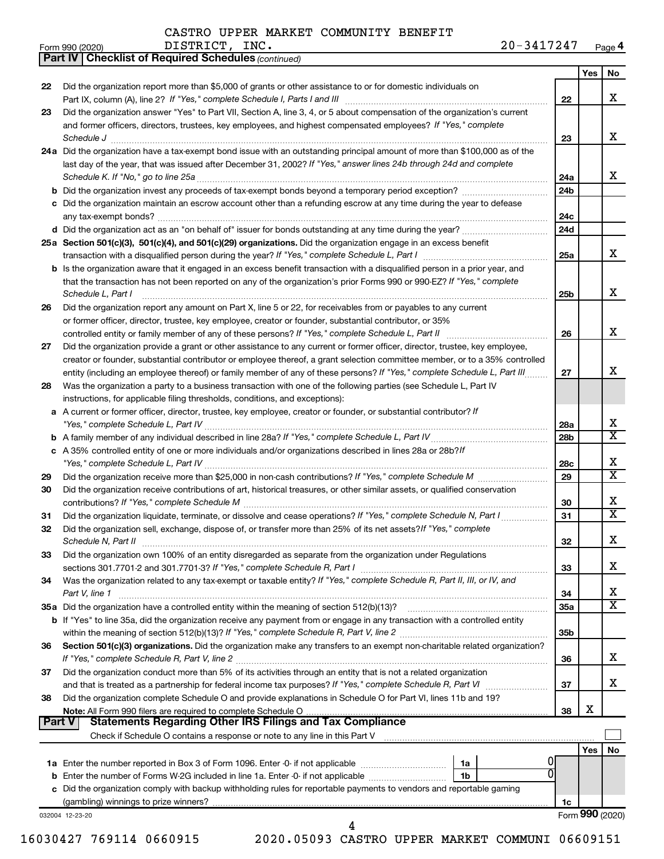*(continued)* **Part IV Checklist of Required Schedules**

|               |                                                                                                                                                                                                                                                         |                 | Yes   | No |
|---------------|---------------------------------------------------------------------------------------------------------------------------------------------------------------------------------------------------------------------------------------------------------|-----------------|-------|----|
| 22            | Did the organization report more than \$5,000 of grants or other assistance to or for domestic individuals on                                                                                                                                           | 22              |       |    |
| 23            | Did the organization answer "Yes" to Part VII, Section A, line 3, 4, or 5 about compensation of the organization's current                                                                                                                              |                 |       |    |
|               | and former officers, directors, trustees, key employees, and highest compensated employees? If "Yes," complete<br>Schedule J <b>www.communications.communications.communications.com</b>                                                                | 23              |       |    |
|               | 24a Did the organization have a tax-exempt bond issue with an outstanding principal amount of more than \$100,000 as of the                                                                                                                             |                 |       |    |
|               | last day of the year, that was issued after December 31, 2002? If "Yes," answer lines 24b through 24d and complete                                                                                                                                      | 24a             |       |    |
|               |                                                                                                                                                                                                                                                         | 24 <sub>b</sub> |       |    |
|               | c Did the organization maintain an escrow account other than a refunding escrow at any time during the year to defease                                                                                                                                  | 24с             |       |    |
|               |                                                                                                                                                                                                                                                         | 24d             |       |    |
|               | 25a Section 501(c)(3), 501(c)(4), and 501(c)(29) organizations. Did the organization engage in an excess benefit                                                                                                                                        |                 |       |    |
|               |                                                                                                                                                                                                                                                         | 25a             |       |    |
|               | <b>b</b> Is the organization aware that it engaged in an excess benefit transaction with a disqualified person in a prior year, and                                                                                                                     |                 |       |    |
|               | that the transaction has not been reported on any of the organization's prior Forms 990 or 990-EZ? If "Yes," complete<br>Schedule L. Part I                                                                                                             | 25b             |       |    |
| 26            | Did the organization report any amount on Part X, line 5 or 22, for receivables from or payables to any current                                                                                                                                         |                 |       |    |
|               | or former officer, director, trustee, key employee, creator or founder, substantial contributor, or 35%                                                                                                                                                 |                 |       |    |
|               |                                                                                                                                                                                                                                                         | 26              |       |    |
| 27            | Did the organization provide a grant or other assistance to any current or former officer, director, trustee, key employee,                                                                                                                             |                 |       |    |
|               | creator or founder, substantial contributor or employee thereof, a grant selection committee member, or to a 35% controlled<br>entity (including an employee thereof) or family member of any of these persons? If "Yes," complete Schedule L, Part III | 27              |       |    |
| 28            | Was the organization a party to a business transaction with one of the following parties (see Schedule L, Part IV<br>instructions, for applicable filing thresholds, conditions, and exceptions):                                                       |                 |       |    |
|               | a A current or former officer, director, trustee, key employee, creator or founder, or substantial contributor? If                                                                                                                                      | 28a             |       |    |
|               |                                                                                                                                                                                                                                                         | 28 <sub>b</sub> |       |    |
|               | c A 35% controlled entity of one or more individuals and/or organizations described in lines 28a or 28b?/f                                                                                                                                              |                 |       |    |
|               |                                                                                                                                                                                                                                                         | 28c             |       |    |
| 29            |                                                                                                                                                                                                                                                         | 29              |       |    |
| 30            | Did the organization receive contributions of art, historical treasures, or other similar assets, or qualified conservation                                                                                                                             | 30              |       |    |
| 31            | Did the organization liquidate, terminate, or dissolve and cease operations? If "Yes," complete Schedule N, Part I                                                                                                                                      | 31              |       |    |
| 32            | Did the organization sell, exchange, dispose of, or transfer more than 25% of its net assets? If "Yes," complete                                                                                                                                        | 32              |       |    |
| 33            | Did the organization own 100% of an entity disregarded as separate from the organization under Regulations                                                                                                                                              |                 |       |    |
|               |                                                                                                                                                                                                                                                         | 33              |       |    |
| 34            | Was the organization related to any tax-exempt or taxable entity? If "Yes," complete Schedule R, Part II, III, or IV, and<br>Part V, line 1                                                                                                             | 34              |       |    |
|               | 35a Did the organization have a controlled entity within the meaning of section 512(b)(13)?                                                                                                                                                             | <b>35a</b>      |       |    |
|               | b If "Yes" to line 35a, did the organization receive any payment from or engage in any transaction with a controlled entity                                                                                                                             | 35b             |       |    |
| 36            | Section 501(c)(3) organizations. Did the organization make any transfers to an exempt non-charitable related organization?                                                                                                                              | 36              |       |    |
| 37            | Did the organization conduct more than 5% of its activities through an entity that is not a related organization<br>and that is treated as a partnership for federal income tax purposes? If "Yes," complete Schedule R, Part VI                        | 37              |       |    |
| 38            | Did the organization complete Schedule O and provide explanations in Schedule O for Part VI, lines 11b and 19?                                                                                                                                          | 38              | X     |    |
| <b>Part V</b> | <b>Statements Regarding Other IRS Filings and Tax Compliance</b><br>Check if Schedule O contains a response or note to any line in this Part V [11] matter contains and the Schedule O contains a response or note to any line in this Part V           |                 |       |    |
|               |                                                                                                                                                                                                                                                         |                 | Yes l |    |
|               |                                                                                                                                                                                                                                                         |                 |       |    |
|               |                                                                                                                                                                                                                                                         |                 |       |    |
|               |                                                                                                                                                                                                                                                         |                 |       |    |
|               | c Did the organization comply with backup withholding rules for reportable payments to vendors and reportable gaming                                                                                                                                    |                 |       |    |
|               |                                                                                                                                                                                                                                                         | 1c              |       |    |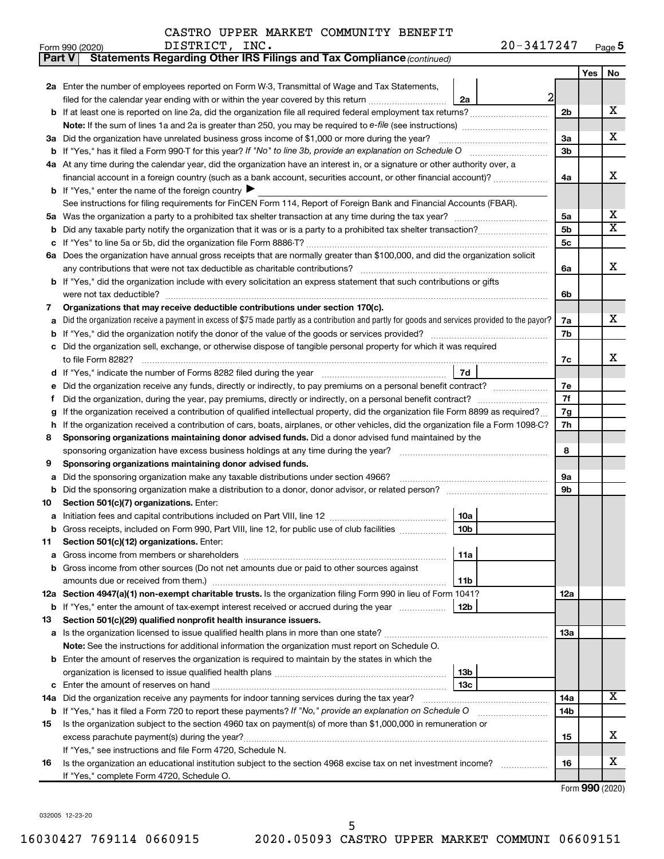| Form 990 (2020) | INC.<br><b>DISTRICT</b> | -3417247<br>$20 -$<br>Page 5 |
|-----------------|-------------------------|------------------------------|
|-----------------|-------------------------|------------------------------|

| <b>Part V</b> | Statements Regarding Other IRS Filings and Tax Compliance (continued)                                                                           |                |     |                         |  |
|---------------|-------------------------------------------------------------------------------------------------------------------------------------------------|----------------|-----|-------------------------|--|
|               |                                                                                                                                                 |                | Yes | No                      |  |
|               | 2a Enter the number of employees reported on Form W-3, Transmittal of Wage and Tax Statements,                                                  |                |     |                         |  |
|               | 2<br>filed for the calendar year ending with or within the year covered by this return<br>2a                                                    |                |     |                         |  |
| b             | If at least one is reported on line 2a, did the organization file all required federal employment tax returns?                                  | 2 <sub>b</sub> |     | х                       |  |
|               |                                                                                                                                                 |                |     |                         |  |
| За            | Did the organization have unrelated business gross income of \$1,000 or more during the year?                                                   | За             |     | х                       |  |
|               |                                                                                                                                                 | 3b             |     |                         |  |
|               | 4a At any time during the calendar year, did the organization have an interest in, or a signature or other authority over, a                    |                |     |                         |  |
|               | financial account in a foreign country (such as a bank account, securities account, or other financial account)?                                | 4a             |     | х                       |  |
|               | <b>b</b> If "Yes," enter the name of the foreign country $\blacktriangleright$                                                                  |                |     |                         |  |
|               | See instructions for filing requirements for FinCEN Form 114, Report of Foreign Bank and Financial Accounts (FBAR).                             |                |     |                         |  |
| 5а            |                                                                                                                                                 | 5a             |     | х                       |  |
| b             |                                                                                                                                                 | 5 <sub>b</sub> |     | $\overline{\mathbf{X}}$ |  |
| с             |                                                                                                                                                 | 5c             |     |                         |  |
| 6а            | Does the organization have annual gross receipts that are normally greater than \$100,000, and did the organization solicit                     |                |     |                         |  |
|               |                                                                                                                                                 | 6a             |     | х                       |  |
| b             | If "Yes," did the organization include with every solicitation an express statement that such contributions or gifts                            |                |     |                         |  |
|               |                                                                                                                                                 | 6b             |     |                         |  |
| 7             | Organizations that may receive deductible contributions under section 170(c).                                                                   |                |     |                         |  |
| a             | Did the organization receive a payment in excess of \$75 made partly as a contribution and partly for goods and services provided to the payor? | 7a             |     | х                       |  |
| b             |                                                                                                                                                 | 7b             |     |                         |  |
|               | Did the organization sell, exchange, or otherwise dispose of tangible personal property for which it was required                               |                |     |                         |  |
|               |                                                                                                                                                 | 7c             |     | x                       |  |
| d             | 7d                                                                                                                                              |                |     |                         |  |
| е             | Did the organization receive any funds, directly or indirectly, to pay premiums on a personal benefit contract?                                 | 7е             |     |                         |  |
| f             |                                                                                                                                                 | 7f             |     |                         |  |
|               | If the organization received a contribution of qualified intellectual property, did the organization file Form 8899 as required?                |                |     |                         |  |
| h             | If the organization received a contribution of cars, boats, airplanes, or other vehicles, did the organization file a Form 1098-C?              |                |     |                         |  |
| 8             | Sponsoring organizations maintaining donor advised funds. Did a donor advised fund maintained by the                                            |                |     |                         |  |
|               |                                                                                                                                                 | 8              |     |                         |  |
| 9             | Sponsoring organizations maintaining donor advised funds.                                                                                       |                |     |                         |  |
| а             | Did the sponsoring organization make any taxable distributions under section 4966?                                                              | <b>9a</b>      |     |                         |  |
| b             |                                                                                                                                                 | 9b             |     |                         |  |
| 10            | Section 501(c)(7) organizations. Enter:                                                                                                         |                |     |                         |  |
|               | 10a                                                                                                                                             |                |     |                         |  |
|               | 10 <sub>b</sub><br>Gross receipts, included on Form 990, Part VIII, line 12, for public use of club facilities                                  |                |     |                         |  |
| 11            | Section 501(c)(12) organizations. Enter:                                                                                                        |                |     |                         |  |
|               | 11a                                                                                                                                             |                |     |                         |  |
|               | Gross income from other sources (Do not net amounts due or paid to other sources against                                                        |                |     |                         |  |
|               | 11b                                                                                                                                             |                |     |                         |  |
|               | 12a Section 4947(a)(1) non-exempt charitable trusts. Is the organization filing Form 990 in lieu of Form 1041?                                  | 12a            |     |                         |  |
| b             | 12b<br>If "Yes," enter the amount of tax-exempt interest received or accrued during the year                                                    |                |     |                         |  |
| 13            | Section 501(c)(29) qualified nonprofit health insurance issuers.                                                                                |                |     |                         |  |
| а             | Is the organization licensed to issue qualified health plans in more than one state?                                                            | 1За            |     |                         |  |
|               | <b>Note:</b> See the instructions for additional information the organization must report on Schedule O.                                        |                |     |                         |  |
| b             | Enter the amount of reserves the organization is required to maintain by the states in which the                                                |                |     |                         |  |
|               | 13b                                                                                                                                             |                |     |                         |  |
| с             | 13c                                                                                                                                             |                |     |                         |  |
| 14a           | Did the organization receive any payments for indoor tanning services during the tax year?                                                      | 14a            |     | x                       |  |
|               | <b>b</b> If "Yes," has it filed a Form 720 to report these payments? If "No," provide an explanation on Schedule O                              | 14b            |     |                         |  |
| 15            | Is the organization subject to the section 4960 tax on payment(s) of more than \$1,000,000 in remuneration or                                   |                |     |                         |  |
|               | excess parachute payment(s) during the year?                                                                                                    | 15             |     | х                       |  |
|               | If "Yes," see instructions and file Form 4720, Schedule N.                                                                                      |                |     |                         |  |
| 16            | Is the organization an educational institution subject to the section 4968 excise tax on net investment income?                                 | 16             |     | x                       |  |
|               | If "Yes," complete Form 4720, Schedule O.                                                                                                       |                |     |                         |  |

Form (2020) **990**

032005 12-23-20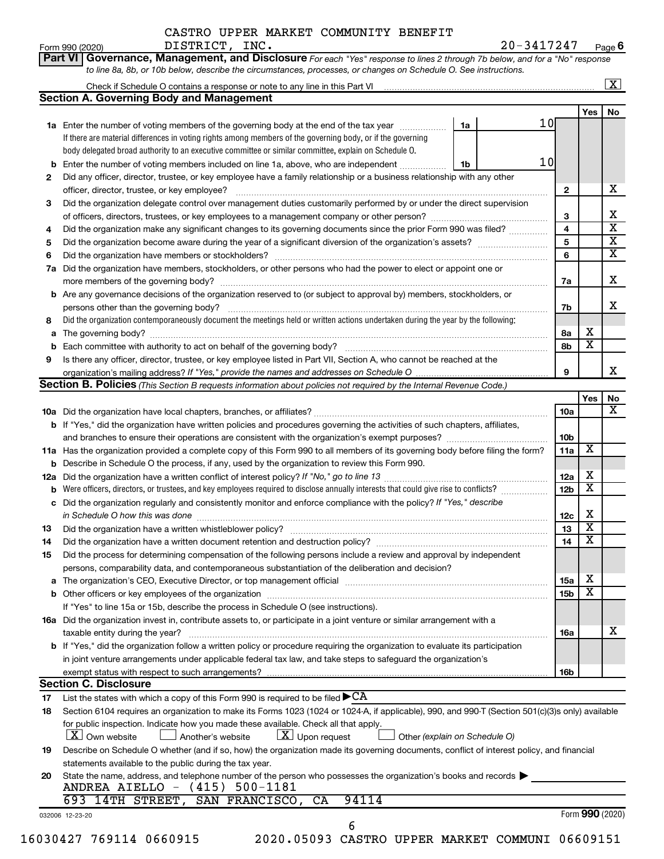|  | Part VI   Governance, Management, and Disclosure For each "Yes" response to lines 2 through 7b below, and for a "No" response |  |  |  |
|--|-------------------------------------------------------------------------------------------------------------------------------|--|--|--|
|  | to line 8a, 8b, or 10b below, describe the circumstances, processes, or changes on Schedule O. See instructions.              |  |  |  |

|     | Check if Schedule O contains a response or note to any line in this Part VI [11] [12] Check if Schedule O contains a response or note to any line in this Part VI                                                |    |                 |                         | $\mathbf{X}$ |
|-----|------------------------------------------------------------------------------------------------------------------------------------------------------------------------------------------------------------------|----|-----------------|-------------------------|--------------|
|     | <b>Section A. Governing Body and Management</b>                                                                                                                                                                  |    |                 |                         |              |
|     |                                                                                                                                                                                                                  |    |                 | Yes                     | No           |
|     | 1a Enter the number of voting members of the governing body at the end of the tax year <i>manument</i>                                                                                                           | 1a | 10 <sub>l</sub> |                         |              |
|     | If there are material differences in voting rights among members of the governing body, or if the governing                                                                                                      |    |                 |                         |              |
|     | body delegated broad authority to an executive committee or similar committee, explain on Schedule O.                                                                                                            |    |                 |                         |              |
| b   | Enter the number of voting members included on line 1a, above, who are independent                                                                                                                               | 1b | 10              |                         |              |
| 2   | Did any officer, director, trustee, or key employee have a family relationship or a business relationship with any other                                                                                         |    |                 |                         |              |
|     | officer, director, trustee, or key employee?                                                                                                                                                                     |    | 2               |                         |              |
| 3   | Did the organization delegate control over management duties customarily performed by or under the direct supervision                                                                                            |    |                 |                         |              |
|     |                                                                                                                                                                                                                  |    | 3               |                         |              |
| 4   | Did the organization make any significant changes to its governing documents since the prior Form 990 was filed?                                                                                                 |    | 4               |                         |              |
| 5   |                                                                                                                                                                                                                  |    | 5               |                         |              |
| 6   |                                                                                                                                                                                                                  |    | 6               |                         |              |
| 7a  | Did the organization have members, stockholders, or other persons who had the power to elect or appoint one or                                                                                                   |    |                 |                         |              |
|     |                                                                                                                                                                                                                  |    | 7a              |                         |              |
| b   | Are any governance decisions of the organization reserved to (or subject to approval by) members, stockholders, or                                                                                               |    |                 |                         |              |
|     | persons other than the governing body?                                                                                                                                                                           |    | 7b              |                         |              |
| 8   | Did the organization contemporaneously document the meetings held or written actions undertaken during the year by the following:                                                                                |    |                 |                         |              |
| а   |                                                                                                                                                                                                                  |    | 8а              | x                       |              |
| b   |                                                                                                                                                                                                                  |    | 8b              | $\overline{\textbf{x}}$ |              |
| 9   | Is there any officer, director, trustee, or key employee listed in Part VII, Section A, who cannot be reached at the                                                                                             |    |                 |                         |              |
|     |                                                                                                                                                                                                                  |    | 9               |                         |              |
|     | <b>Section B. Policies</b> (This Section B requests information about policies not required by the Internal Revenue Code.)                                                                                       |    |                 |                         |              |
|     |                                                                                                                                                                                                                  |    |                 | Yes                     |              |
|     |                                                                                                                                                                                                                  |    | 10a             |                         |              |
|     | <b>b</b> If "Yes," did the organization have written policies and procedures governing the activities of such chapters, affiliates,                                                                              |    |                 |                         |              |
|     |                                                                                                                                                                                                                  |    | 10 <sub>b</sub> |                         |              |
|     |                                                                                                                                                                                                                  |    | 11a             | X                       |              |
|     | 11a Has the organization provided a complete copy of this Form 990 to all members of its governing body before filing the form?                                                                                  |    |                 |                         |              |
|     | <b>b</b> Describe in Schedule O the process, if any, used by the organization to review this Form 990.                                                                                                           |    |                 | х                       |              |
| 12a |                                                                                                                                                                                                                  |    | 12a             | $\overline{\textbf{x}}$ |              |
| b   | Were officers, directors, or trustees, and key employees required to disclose annually interests that could give rise to conflicts?                                                                              |    | 12 <sub>b</sub> |                         |              |
| с   | Did the organization regularly and consistently monitor and enforce compliance with the policy? If "Yes," describe                                                                                               |    |                 | х                       |              |
|     |                                                                                                                                                                                                                  |    | 12c             | $\overline{\textbf{x}}$ |              |
| 13  |                                                                                                                                                                                                                  |    | 13              |                         |              |
| 14  | Did the organization have a written document retention and destruction policy? [11] manufaction materials and destruction policy? [11] manufaction have a written document retention and destruction policy?     |    | 14              | $\overline{\textbf{x}}$ |              |
| 15  | Did the process for determining compensation of the following persons include a review and approval by independent                                                                                               |    |                 |                         |              |
|     | persons, comparability data, and contemporaneous substantiation of the deliberation and decision?                                                                                                                |    |                 |                         |              |
| а   | The organization's CEO, Executive Director, or top management official manufactured content of the organization's CEO, Executive Director, or top management official manufactured content of the organization's |    | <b>15a</b>      | х                       |              |
|     |                                                                                                                                                                                                                  |    | 15b             | $\overline{\textbf{x}}$ |              |
|     | If "Yes" to line 15a or 15b, describe the process in Schedule O (see instructions).                                                                                                                              |    |                 |                         |              |
|     | 16a Did the organization invest in, contribute assets to, or participate in a joint venture or similar arrangement with a                                                                                        |    |                 |                         |              |
|     | taxable entity during the year?                                                                                                                                                                                  |    | 16a             |                         |              |
|     | b If "Yes," did the organization follow a written policy or procedure requiring the organization to evaluate its participation                                                                                   |    |                 |                         |              |
|     | in joint venture arrangements under applicable federal tax law, and take steps to safeguard the organization's                                                                                                   |    |                 |                         |              |
|     | exempt status with respect to such arrangements?                                                                                                                                                                 |    | 16b             |                         |              |
|     | <b>Section C. Disclosure</b>                                                                                                                                                                                     |    |                 |                         |              |
| 17  | List the states with which a copy of this Form 990 is required to be filed $\blacktriangleright$ CA                                                                                                              |    |                 |                         |              |
| 18  | Section 6104 requires an organization to make its Forms 1023 (1024 or 1024-A, if applicable), 990, and 990-T (Section 501(c)(3)s only) available                                                                 |    |                 |                         |              |
|     | for public inspection. Indicate how you made these available. Check all that apply.                                                                                                                              |    |                 |                         |              |
|     | $\lfloor x \rfloor$ Upon request<br><b>X</b> Own website<br>Another's website<br>Other (explain on Schedule O)                                                                                                   |    |                 |                         |              |
| 19  | Describe on Schedule O whether (and if so, how) the organization made its governing documents, conflict of interest policy, and financial                                                                        |    |                 |                         |              |
|     | statements available to the public during the tax year.                                                                                                                                                          |    |                 |                         |              |
| 20  | State the name, address, and telephone number of the person who possesses the organization's books and records $\blacktriangleright$                                                                             |    |                 |                         |              |
|     | ANDREA AIELLO - (415) 500-1181                                                                                                                                                                                   |    |                 |                         |              |
|     | 94114<br>693 14TH STREET,<br>SAN FRANCISCO,<br>CA                                                                                                                                                                |    |                 |                         |              |
|     | 032006 12-23-20                                                                                                                                                                                                  |    |                 | Form 990 (2020)         |              |
|     | 6                                                                                                                                                                                                                |    |                 |                         |              |
|     | 16030427 769114 0660915<br>2020.05093 CASTRO UPPER MARKET COMMUNI 06609151                                                                                                                                       |    |                 |                         |              |
|     |                                                                                                                                                                                                                  |    |                 |                         |              |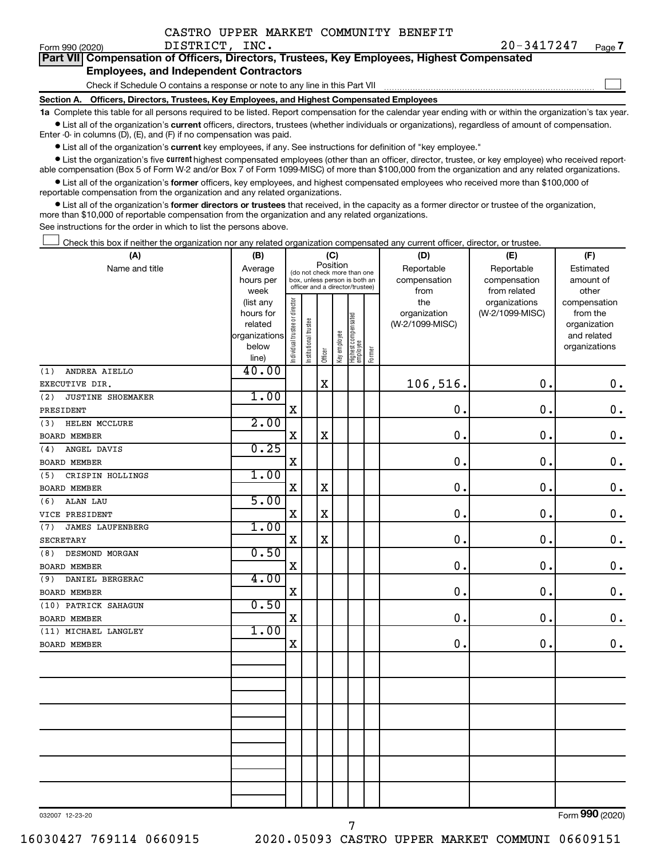| CASTRO UPPER MARKET COMMUNITY BENEFIT |  |  |
|---------------------------------------|--|--|
|---------------------------------------|--|--|

 $\Box$ 

|  |                                               |  | Part VII Compensation of Officers, Directors, Trustees, Key Employees, Highest Compensated |  |
|--|-----------------------------------------------|--|--------------------------------------------------------------------------------------------|--|
|  | <b>Employees, and Independent Contractors</b> |  |                                                                                            |  |

Check if Schedule O contains a response or note to any line in this Part VII

**Section A. Officers, Directors, Trustees, Key Employees, and Highest Compensated Employees**

**1a**  Complete this table for all persons required to be listed. Report compensation for the calendar year ending with or within the organization's tax year.  $\bullet$  List all of the organization's current officers, directors, trustees (whether individuals or organizations), regardless of amount of compensation.

Enter -0- in columns (D), (E), and (F) if no compensation was paid.

**•** List all of the organization's current key employees, if any. See instructions for definition of "key employee."

• List the organization's five *current* highest compensated employees (other than an officer, director, trustee, or key employee) who received reportable compensation (Box 5 of Form W-2 and/or Box 7 of Form 1099-MISC) of more than \$100,000 from the organization and any related organizations.

 $\bullet$  List all of the organization's former officers, key employees, and highest compensated employees who received more than \$100,000 of reportable compensation from the organization and any related organizations.

**•** List all of the organization's former directors or trustees that received, in the capacity as a former director or trustee of the organization, more than \$10,000 of reportable compensation from the organization and any related organizations.

See instructions for the order in which to list the persons above.

Check this box if neither the organization nor any related organization compensated any current officer, director, or trustee.  $\Box$ 

| (A)                             | (B)                    |                                |                                                                  |             | (C)          |                                 |        | (D)             | (E)                           | (F)                      |
|---------------------------------|------------------------|--------------------------------|------------------------------------------------------------------|-------------|--------------|---------------------------------|--------|-----------------|-------------------------------|--------------------------|
| Name and title                  | Average                |                                | (do not check more than one                                      | Position    |              |                                 |        | Reportable      | Reportable                    | Estimated                |
|                                 | hours per              |                                | box, unless person is both an<br>officer and a director/trustee) |             |              |                                 |        | compensation    | compensation                  | amount of                |
|                                 | week                   |                                |                                                                  |             |              |                                 |        | from<br>the     | from related<br>organizations | other                    |
|                                 | (list any<br>hours for |                                |                                                                  |             |              |                                 |        | organization    | (W-2/1099-MISC)               | compensation<br>from the |
|                                 | related                |                                |                                                                  |             |              |                                 |        | (W-2/1099-MISC) |                               | organization             |
|                                 | organizations          |                                |                                                                  |             |              |                                 |        |                 |                               | and related              |
|                                 | below                  | Individual trustee or director | Institutional trustee                                            |             | Key employee | Highest compensated<br>employee |        |                 |                               | organizations            |
|                                 | line)                  |                                |                                                                  | Officer     |              |                                 | Former |                 |                               |                          |
| ANDREA AIELLO<br>(1)            | 40.00                  |                                |                                                                  |             |              |                                 |        |                 |                               |                          |
| EXECUTIVE DIR.                  |                        |                                |                                                                  | $\mathbf X$ |              |                                 |        | 106,516.        | 0.                            | $\mathbf 0$ .            |
| <b>JUSTINE SHOEMAKER</b><br>(2) | 1.00                   |                                |                                                                  |             |              |                                 |        |                 |                               |                          |
| PRESIDENT                       |                        | $\mathbf X$                    |                                                                  |             |              |                                 |        | 0.              | $\mathbf 0$ .                 | $\mathbf 0$ .            |
| HELEN MCCLURE<br>(3)            | 2.00                   |                                |                                                                  |             |              |                                 |        |                 |                               |                          |
| <b>BOARD MEMBER</b>             |                        | X                              |                                                                  | $\mathbf X$ |              |                                 |        | $\mathbf 0$ .   | $\mathbf 0$ .                 | $\boldsymbol{0}$ .       |
| ANGEL DAVIS<br>(4)              | 0.25                   |                                |                                                                  |             |              |                                 |        |                 |                               |                          |
| <b>BOARD MEMBER</b>             |                        | $\mathbf X$                    |                                                                  |             |              |                                 |        | $\mathbf 0$ .   | $\mathbf 0$ .                 | $\mathbf 0$ .            |
| CRISPIN HOLLINGS<br>(5)         | 1.00                   |                                |                                                                  |             |              |                                 |        |                 |                               |                          |
| <b>BOARD MEMBER</b>             |                        | X                              |                                                                  | $\mathbf X$ |              |                                 |        | $\mathbf 0$ .   | $\mathbf 0$ .                 | $\mathbf 0$ .            |
| ALAN LAU<br>(6)                 | 5.00                   |                                |                                                                  |             |              |                                 |        |                 |                               |                          |
| VICE PRESIDENT                  |                        | $\mathbf X$                    |                                                                  | $\mathbf X$ |              |                                 |        | 0               | $\mathbf 0$ .                 | $\mathbf 0$ .            |
| <b>JAMES LAUFENBERG</b><br>(7)  | 1.00                   |                                |                                                                  |             |              |                                 |        |                 |                               |                          |
| <b>SECRETARY</b>                |                        | $\mathbf X$                    |                                                                  | $\mathbf X$ |              |                                 |        | $\mathbf 0$     | $\mathbf 0$ .                 | $\mathbf 0$ .            |
| (8)<br>DESMOND MORGAN           | 0.50                   |                                |                                                                  |             |              |                                 |        |                 |                               |                          |
| <b>BOARD MEMBER</b>             |                        | $\mathbf X$                    |                                                                  |             |              |                                 |        | 0.              | $\mathbf 0$ .                 | $\mathbf 0$ .            |
| DANIEL BERGERAC<br>(9)          | 4.00                   |                                |                                                                  |             |              |                                 |        |                 |                               |                          |
| <b>BOARD MEMBER</b>             |                        | $\mathbf X$                    |                                                                  |             |              |                                 |        | $\mathbf 0$     | $\mathbf 0$ .                 | $\mathbf 0$ .            |
| (10) PATRICK SAHAGUN            | 0.50                   |                                |                                                                  |             |              |                                 |        |                 |                               |                          |
| <b>BOARD MEMBER</b>             |                        | $\rm X$                        |                                                                  |             |              |                                 |        | $\mathbf 0$     | $\mathbf 0$ .                 | $\mathbf 0$ .            |
| (11) MICHAEL LANGLEY            | 1.00                   |                                |                                                                  |             |              |                                 |        |                 |                               |                          |
| <b>BOARD MEMBER</b>             |                        | $\mathbf X$                    |                                                                  |             |              |                                 |        | $\mathbf 0$ .   | $\mathbf 0$ .                 | 0.                       |
|                                 |                        |                                |                                                                  |             |              |                                 |        |                 |                               |                          |
|                                 |                        |                                |                                                                  |             |              |                                 |        |                 |                               |                          |
|                                 |                        |                                |                                                                  |             |              |                                 |        |                 |                               |                          |
|                                 |                        |                                |                                                                  |             |              |                                 |        |                 |                               |                          |
|                                 |                        |                                |                                                                  |             |              |                                 |        |                 |                               |                          |
|                                 |                        |                                |                                                                  |             |              |                                 |        |                 |                               |                          |
|                                 |                        |                                |                                                                  |             |              |                                 |        |                 |                               |                          |
|                                 |                        |                                |                                                                  |             |              |                                 |        |                 |                               |                          |
|                                 |                        |                                |                                                                  |             |              |                                 |        |                 |                               |                          |
|                                 |                        |                                |                                                                  |             |              |                                 |        |                 |                               |                          |
|                                 |                        |                                |                                                                  |             |              |                                 |        |                 |                               |                          |
|                                 |                        |                                |                                                                  |             |              |                                 |        |                 |                               |                          |

7

032007 12-23-20

Form (2020) **990**

16030427 769114 0660915 2020.05093 CASTRO UPPER MARKET COMMUNI 06609151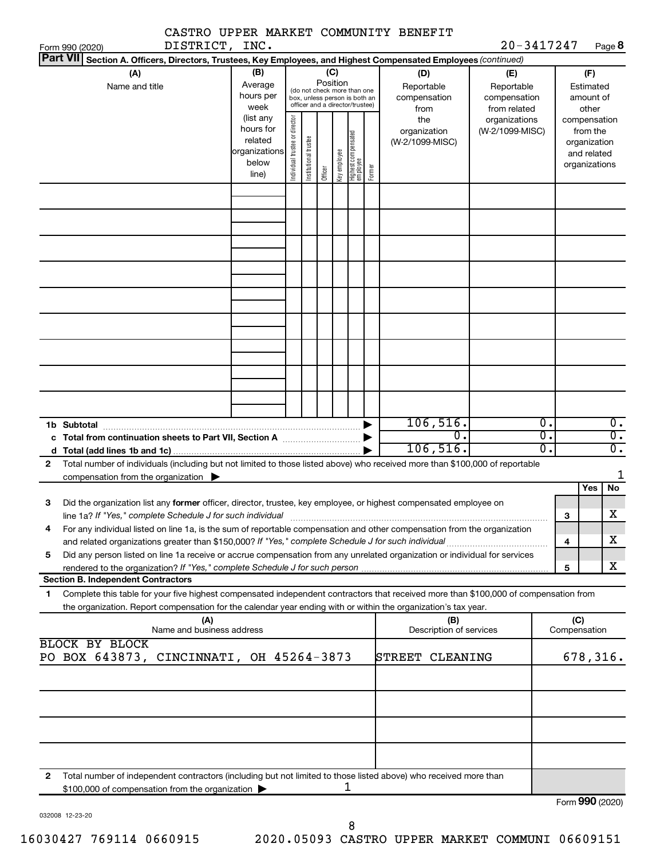|                                                                                                                                                                                        |                        |                                |                       |          |              |                                                              |        | CASTRO UPPER MARKET COMMUNITY BENEFIT |                                  |                  |              |                          |                  |
|----------------------------------------------------------------------------------------------------------------------------------------------------------------------------------------|------------------------|--------------------------------|-----------------------|----------|--------------|--------------------------------------------------------------|--------|---------------------------------------|----------------------------------|------------------|--------------|--------------------------|------------------|
| DISTRICT, INC.<br>Form 990 (2020)                                                                                                                                                      |                        |                                |                       |          |              |                                                              |        |                                       | $20 - 3417247$                   |                  |              |                          | Page 8           |
| <b>Part VII</b><br>Section A. Officers, Directors, Trustees, Key Employees, and Highest Compensated Employees (continued)                                                              |                        |                                |                       |          |              |                                                              |        |                                       |                                  |                  |              |                          |                  |
| (A)<br>Name and title                                                                                                                                                                  | (B)<br>Average         |                                |                       | Position | (C)          |                                                              |        | (D)<br>Reportable                     | (E)<br>Reportable                |                  |              | (F)<br>Estimated         |                  |
|                                                                                                                                                                                        | hours per              |                                |                       |          |              | (do not check more than one<br>box, unless person is both an |        | compensation                          | compensation                     |                  |              | amount of                |                  |
|                                                                                                                                                                                        | week                   |                                |                       |          |              | officer and a director/trustee)                              |        | from                                  | from related                     |                  |              | other                    |                  |
|                                                                                                                                                                                        | (list any<br>hours for |                                |                       |          |              |                                                              |        | the<br>organization                   | organizations<br>(W-2/1099-MISC) |                  |              | compensation<br>from the |                  |
|                                                                                                                                                                                        | related                |                                |                       |          |              |                                                              |        | (W-2/1099-MISC)                       |                                  |                  |              | organization             |                  |
|                                                                                                                                                                                        | organizations          |                                |                       |          |              |                                                              |        |                                       |                                  |                  |              | and related              |                  |
|                                                                                                                                                                                        | below<br>line)         | Individual trustee or director | Institutional trustee | Officer  | Key employee | Highest compensated<br>employee                              | Former |                                       |                                  |                  |              | organizations            |                  |
|                                                                                                                                                                                        |                        |                                |                       |          |              |                                                              |        |                                       |                                  |                  |              |                          |                  |
|                                                                                                                                                                                        |                        |                                |                       |          |              |                                                              |        |                                       |                                  |                  |              |                          |                  |
|                                                                                                                                                                                        |                        |                                |                       |          |              |                                                              |        |                                       |                                  |                  |              |                          |                  |
|                                                                                                                                                                                        |                        |                                |                       |          |              |                                                              |        |                                       |                                  |                  |              |                          |                  |
|                                                                                                                                                                                        |                        |                                |                       |          |              |                                                              |        |                                       |                                  |                  |              |                          |                  |
|                                                                                                                                                                                        |                        |                                |                       |          |              |                                                              |        |                                       |                                  |                  |              |                          |                  |
|                                                                                                                                                                                        |                        |                                |                       |          |              |                                                              |        |                                       |                                  |                  |              |                          |                  |
|                                                                                                                                                                                        |                        |                                |                       |          |              |                                                              |        |                                       |                                  |                  |              |                          |                  |
|                                                                                                                                                                                        |                        |                                |                       |          |              |                                                              |        |                                       |                                  |                  |              |                          |                  |
|                                                                                                                                                                                        |                        |                                |                       |          |              |                                                              |        |                                       |                                  |                  |              |                          |                  |
|                                                                                                                                                                                        |                        |                                |                       |          |              |                                                              |        |                                       |                                  |                  |              |                          |                  |
|                                                                                                                                                                                        |                        |                                |                       |          |              |                                                              |        |                                       |                                  |                  |              |                          |                  |
|                                                                                                                                                                                        |                        |                                |                       |          |              |                                                              |        |                                       |                                  |                  |              |                          |                  |
|                                                                                                                                                                                        |                        |                                |                       |          |              |                                                              |        |                                       |                                  |                  |              |                          |                  |
|                                                                                                                                                                                        |                        |                                |                       |          |              |                                                              |        |                                       |                                  |                  |              |                          |                  |
|                                                                                                                                                                                        |                        |                                |                       |          |              |                                                              |        |                                       |                                  |                  |              |                          |                  |
| 1b Subtotal                                                                                                                                                                            |                        |                                |                       |          |              |                                                              |        | 106,516.                              |                                  | $\overline{0}$ . |              |                          | 0.               |
|                                                                                                                                                                                        |                        |                                |                       |          |              |                                                              |        | 0.                                    |                                  | $\overline{0}$ . |              |                          | $\overline{0}$ . |
|                                                                                                                                                                                        |                        |                                |                       |          |              |                                                              |        | 106, 516.                             |                                  | σ.               |              |                          | $\overline{0}$ . |
| Total number of individuals (including but not limited to those listed above) who received more than \$100,000 of reportable<br>2                                                      |                        |                                |                       |          |              |                                                              |        |                                       |                                  |                  |              |                          | 1                |
| compensation from the organization $\blacktriangleright$                                                                                                                               |                        |                                |                       |          |              |                                                              |        |                                       |                                  |                  |              | Yes                      | No               |
| Did the organization list any former officer, director, trustee, key employee, or highest compensated employee on<br>З                                                                 |                        |                                |                       |          |              |                                                              |        |                                       |                                  |                  |              |                          |                  |
| line 1a? If "Yes," complete Schedule J for such individual manufactured content content for the complete schedu                                                                        |                        |                                |                       |          |              |                                                              |        |                                       |                                  |                  | з            |                          | х                |
| For any individual listed on line 1a, is the sum of reportable compensation and other compensation from the organization<br>4                                                          |                        |                                |                       |          |              |                                                              |        |                                       |                                  |                  |              |                          |                  |
|                                                                                                                                                                                        |                        |                                |                       |          |              |                                                              |        |                                       |                                  |                  | 4            |                          | X.               |
| Did any person listed on line 1a receive or accrue compensation from any unrelated organization or individual for services<br>5                                                        |                        |                                |                       |          |              |                                                              |        |                                       |                                  |                  |              |                          |                  |
|                                                                                                                                                                                        |                        |                                |                       |          |              |                                                              |        |                                       |                                  |                  | 5            |                          | x                |
| <b>Section B. Independent Contractors</b><br>Complete this table for your five highest compensated independent contractors that received more than \$100,000 of compensation from<br>1 |                        |                                |                       |          |              |                                                              |        |                                       |                                  |                  |              |                          |                  |
| the organization. Report compensation for the calendar year ending with or within the organization's tax year.                                                                         |                        |                                |                       |          |              |                                                              |        |                                       |                                  |                  |              |                          |                  |
| (A)                                                                                                                                                                                    |                        |                                |                       |          |              |                                                              |        | (B)                                   |                                  |                  | (C)          |                          |                  |
| Name and business address                                                                                                                                                              |                        |                                |                       |          |              |                                                              |        | Description of services               |                                  |                  | Compensation |                          |                  |
| <b>BLOCK BY BLOCK</b>                                                                                                                                                                  |                        |                                |                       |          |              |                                                              |        |                                       |                                  |                  |              |                          |                  |
| PO BOX 643873, CINCINNATI, OH 45264-3873                                                                                                                                               |                        |                                |                       |          |              |                                                              |        | STREET CLEANING                       |                                  |                  |              |                          | 678,316.         |
|                                                                                                                                                                                        |                        |                                |                       |          |              |                                                              |        |                                       |                                  |                  |              |                          |                  |
|                                                                                                                                                                                        |                        |                                |                       |          |              |                                                              |        |                                       |                                  |                  |              |                          |                  |
|                                                                                                                                                                                        |                        |                                |                       |          |              |                                                              |        |                                       |                                  |                  |              |                          |                  |
|                                                                                                                                                                                        |                        |                                |                       |          |              |                                                              |        |                                       |                                  |                  |              |                          |                  |
|                                                                                                                                                                                        |                        |                                |                       |          |              |                                                              |        |                                       |                                  |                  |              |                          |                  |
|                                                                                                                                                                                        |                        |                                |                       |          |              |                                                              |        |                                       |                                  |                  |              |                          |                  |
|                                                                                                                                                                                        |                        |                                |                       |          |              |                                                              |        |                                       |                                  |                  |              |                          |                  |
| Total number of independent contractors (including but not limited to those listed above) who received more than<br>2<br>\$100,000 of compensation from the organization >             |                        |                                |                       |          |              | ı                                                            |        |                                       |                                  |                  |              |                          |                  |
|                                                                                                                                                                                        |                        |                                |                       |          |              |                                                              |        |                                       |                                  |                  |              |                          | Form 990 (2020)  |

032008 12-23-20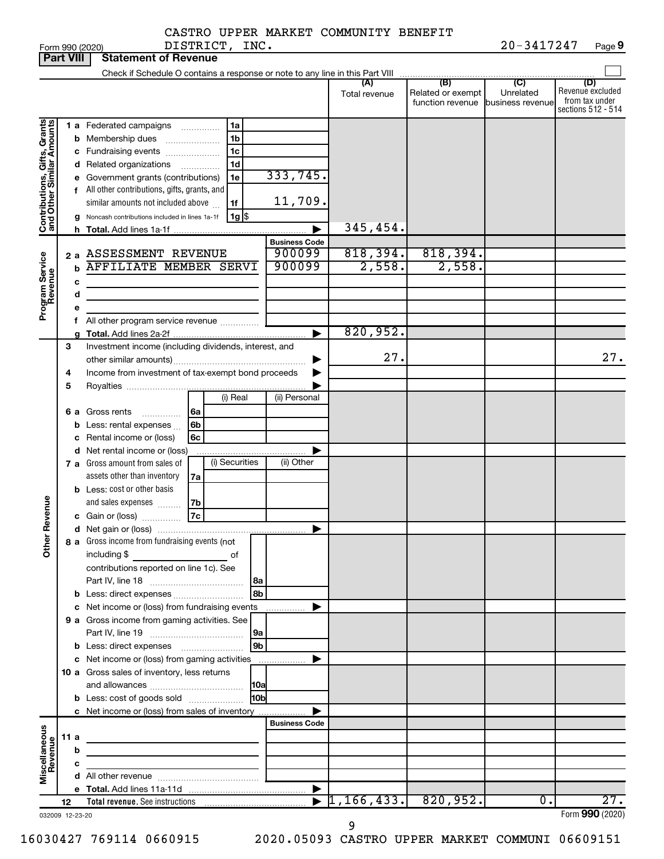$\frac{1}{20}$   $\frac{1}{2417247}$   $\frac{1}{249}$   $\frac{1}{2417247}$   $\frac{1}{249}$ **9** DISTRICT, INC. 20-3417247

| <b>Part VIII</b>                                          |      |             | <b>Statement of Revenue</b>                                                   |           |                    |                 |                       |                             |                                                                                 |                               |                                                                 |
|-----------------------------------------------------------|------|-------------|-------------------------------------------------------------------------------|-----------|--------------------|-----------------|-----------------------|-----------------------------|---------------------------------------------------------------------------------|-------------------------------|-----------------------------------------------------------------|
|                                                           |      |             | Check if Schedule O contains a response or note to any line in this Part VIII |           |                    |                 |                       |                             | $\overline{ \qquad \qquad }$ (B) $\qquad \qquad \overline{ \qquad \qquad }$ (C) |                               |                                                                 |
|                                                           |      |             |                                                                               |           |                    |                 |                       | (A)<br>Total revenue        | Related or exempt<br>function revenue                                           | Unrelated<br>business revenue | (D)<br>Revenue excluded<br>from tax under<br>sections 512 - 514 |
|                                                           |      |             | <b>1 a</b> Federated campaigns                                                | .         | 1a                 |                 |                       |                             |                                                                                 |                               |                                                                 |
| Contributions, Gifts, Grants<br>and Other Similar Amounts |      |             | <b>b</b> Membership dues<br>$\overline{\phantom{a}}$                          |           | 1 <sub>b</sub>     |                 |                       |                             |                                                                                 |                               |                                                                 |
|                                                           |      |             | c Fundraising events                                                          |           | 1 <sub>c</sub>     |                 |                       |                             |                                                                                 |                               |                                                                 |
|                                                           |      |             | d Related organizations                                                       | .         | 1d                 |                 |                       |                             |                                                                                 |                               |                                                                 |
|                                                           |      |             | e Government grants (contributions)                                           |           | 1e                 |                 | 333,745.              |                             |                                                                                 |                               |                                                                 |
|                                                           |      |             | f All other contributions, gifts, grants, and                                 |           |                    |                 | 11,709.               |                             |                                                                                 |                               |                                                                 |
|                                                           |      |             | similar amounts not included above                                            |           | 1f                 |                 |                       |                             |                                                                                 |                               |                                                                 |
|                                                           |      |             | Noncash contributions included in lines 1a-1f                                 |           | $1g$ $\frac{1}{3}$ |                 |                       | 345,454.                    |                                                                                 |                               |                                                                 |
|                                                           |      |             |                                                                               |           |                    |                 | <b>Business Code</b>  |                             |                                                                                 |                               |                                                                 |
|                                                           |      |             | 2 a ASSESSMENT REVENUE                                                        |           |                    |                 | 900099                | 818,394.                    | 818,394.                                                                        |                               |                                                                 |
|                                                           |      | $\mathbf b$ | <b>AFFILIATE MEMBER SERVI</b>                                                 |           |                    |                 | 900099                | 2,558.                      | 2,558.                                                                          |                               |                                                                 |
| Program Service<br>Revenue                                |      | c           |                                                                               |           |                    |                 |                       |                             |                                                                                 |                               |                                                                 |
|                                                           |      | d           | <u> 1980 - Johann Barn, mars ann an t-Amhain ann an t-A</u>                   |           |                    |                 |                       |                             |                                                                                 |                               |                                                                 |
|                                                           |      | е           |                                                                               |           |                    |                 |                       |                             |                                                                                 |                               |                                                                 |
|                                                           |      | f.          | All other program service revenue                                             |           |                    |                 |                       |                             |                                                                                 |                               |                                                                 |
|                                                           |      |             |                                                                               |           |                    |                 | ▶                     | 820,952.                    |                                                                                 |                               |                                                                 |
|                                                           | 3    |             | Investment income (including dividends, interest, and                         |           |                    |                 |                       | 27.                         |                                                                                 |                               | 27.                                                             |
|                                                           | 4    |             | Income from investment of tax-exempt bond proceeds                            |           |                    |                 |                       |                             |                                                                                 |                               |                                                                 |
|                                                           | 5    |             |                                                                               |           |                    |                 |                       |                             |                                                                                 |                               |                                                                 |
|                                                           |      |             |                                                                               |           | (i) Real           |                 | (ii) Personal         |                             |                                                                                 |                               |                                                                 |
|                                                           |      | 6а          | Gross rents<br>.                                                              | l 6a      |                    |                 |                       |                             |                                                                                 |                               |                                                                 |
|                                                           |      |             | <b>b</b> Less: rental expenses $\ldots$                                       | 6b        |                    |                 |                       |                             |                                                                                 |                               |                                                                 |
|                                                           |      | с           | Rental income or (loss)                                                       | 6c        |                    |                 |                       |                             |                                                                                 |                               |                                                                 |
|                                                           |      |             | d Net rental income or (loss)                                                 |           |                    |                 |                       |                             |                                                                                 |                               |                                                                 |
|                                                           |      |             | 7 a Gross amount from sales of                                                |           | (i) Securities     |                 | (ii) Other            |                             |                                                                                 |                               |                                                                 |
|                                                           |      |             | assets other than inventory                                                   | 7a        |                    |                 |                       |                             |                                                                                 |                               |                                                                 |
|                                                           |      |             | <b>b</b> Less: cost or other basis<br>and sales expenses                      | 7b        |                    |                 |                       |                             |                                                                                 |                               |                                                                 |
| Revenue                                                   |      |             | c Gain or (loss)                                                              | <b>7c</b> |                    |                 |                       |                             |                                                                                 |                               |                                                                 |
|                                                           |      |             |                                                                               |           |                    |                 | ▶                     |                             |                                                                                 |                               |                                                                 |
|                                                           |      |             | 8 a Gross income from fundraising events (not                                 |           |                    |                 |                       |                             |                                                                                 |                               |                                                                 |
| Š                                                         |      |             | including \$                                                                  |           | оf                 |                 |                       |                             |                                                                                 |                               |                                                                 |
|                                                           |      |             | contributions reported on line 1c). See                                       |           |                    |                 |                       |                             |                                                                                 |                               |                                                                 |
|                                                           |      |             |                                                                               |           |                    |                 |                       |                             |                                                                                 |                               |                                                                 |
|                                                           |      |             |                                                                               |           |                    | 8 <sub>b</sub>  |                       |                             |                                                                                 |                               |                                                                 |
|                                                           |      |             | c Net income or (loss) from fundraising events                                |           |                    |                 | .                     |                             |                                                                                 |                               |                                                                 |
|                                                           |      |             | 9 a Gross income from gaming activities. See                                  |           |                    |                 |                       |                             |                                                                                 |                               |                                                                 |
|                                                           |      |             |                                                                               |           |                    | 9b              |                       |                             |                                                                                 |                               |                                                                 |
|                                                           |      |             | c Net income or (loss) from gaming activities                                 |           |                    |                 |                       |                             |                                                                                 |                               |                                                                 |
|                                                           |      |             | 10 a Gross sales of inventory, less returns                                   |           |                    |                 |                       |                             |                                                                                 |                               |                                                                 |
|                                                           |      |             |                                                                               |           |                    |                 |                       |                             |                                                                                 |                               |                                                                 |
|                                                           |      |             | <b>b</b> Less: cost of goods sold                                             |           |                    | H <sub>0b</sub> |                       |                             |                                                                                 |                               |                                                                 |
|                                                           |      |             | c Net income or (loss) from sales of inventory                                |           |                    |                 |                       |                             |                                                                                 |                               |                                                                 |
|                                                           |      |             |                                                                               |           |                    |                 | <b>Business Code</b>  |                             |                                                                                 |                               |                                                                 |
| Miscellaneous<br>Revenue                                  | 11 a |             | the control of the control of the control of the control of the               |           |                    |                 |                       |                             |                                                                                 |                               |                                                                 |
|                                                           |      | b           |                                                                               |           |                    |                 |                       |                             |                                                                                 |                               |                                                                 |
|                                                           |      | c           | the control of the control of the control of                                  |           |                    |                 |                       |                             |                                                                                 |                               |                                                                 |
|                                                           |      |             |                                                                               |           |                    |                 | $\blacktriangleright$ |                             |                                                                                 |                               |                                                                 |
|                                                           | 12   |             |                                                                               |           |                    |                 |                       | $\left 1, 166, 433.\right $ | 820,952.                                                                        | о.                            | 27.                                                             |
| 032009 12-23-20                                           |      |             |                                                                               |           |                    |                 |                       |                             |                                                                                 |                               | Form 990 (2020)                                                 |
|                                                           |      |             |                                                                               |           |                    |                 |                       | 9                           |                                                                                 |                               |                                                                 |

16030427 769114 0660915 2020.05093 CASTRO UPPER MARKET COMMUNI 06609151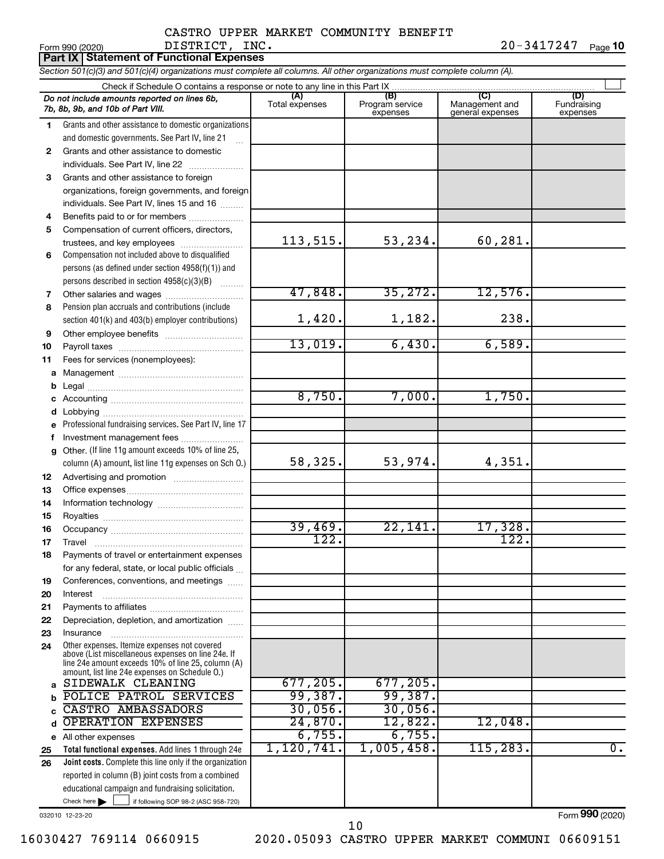#### Form 990 (2020)  $\qquad \qquad$  <code>DISTRICT</code> , <code>INC</code> .  $\qquad \qquad 20-3417247$  <code>Page</code> CASTRO UPPER MARKET COMMUNITY BENEFIT

20-3417247 Page 10

|    | <b>Part IX Statement of Functional Expenses</b>                                                                            |                       |                                    |                                    |                             |  |  |  |  |  |  |  |
|----|----------------------------------------------------------------------------------------------------------------------------|-----------------------|------------------------------------|------------------------------------|-----------------------------|--|--|--|--|--|--|--|
|    | Section 501(c)(3) and 501(c)(4) organizations must complete all columns. All other organizations must complete column (A). |                       |                                    |                                    |                             |  |  |  |  |  |  |  |
|    | Check if Schedule O contains a response or note to any line in this Part IX<br>(C)<br>(D)                                  |                       |                                    |                                    |                             |  |  |  |  |  |  |  |
|    | Do not include amounts reported on lines 6b,<br>7b, 8b, 9b, and 10b of Part VIII.                                          | (A)<br>Total expenses | (B)<br>Program service<br>expenses | Management and<br>general expenses | Fundraising<br>expenses     |  |  |  |  |  |  |  |
| 1. | Grants and other assistance to domestic organizations                                                                      |                       |                                    |                                    |                             |  |  |  |  |  |  |  |
|    | and domestic governments. See Part IV, line 21                                                                             |                       |                                    |                                    |                             |  |  |  |  |  |  |  |
| 2  | Grants and other assistance to domestic                                                                                    |                       |                                    |                                    |                             |  |  |  |  |  |  |  |
|    | individuals. See Part IV, line 22                                                                                          |                       |                                    |                                    |                             |  |  |  |  |  |  |  |
| 3  | Grants and other assistance to foreign                                                                                     |                       |                                    |                                    |                             |  |  |  |  |  |  |  |
|    | organizations, foreign governments, and foreign                                                                            |                       |                                    |                                    |                             |  |  |  |  |  |  |  |
|    | individuals. See Part IV, lines 15 and 16                                                                                  |                       |                                    |                                    |                             |  |  |  |  |  |  |  |
| 4  | Benefits paid to or for members                                                                                            |                       |                                    |                                    |                             |  |  |  |  |  |  |  |
| 5  | Compensation of current officers, directors,                                                                               |                       |                                    |                                    |                             |  |  |  |  |  |  |  |
|    | trustees, and key employees                                                                                                | 113,515.              | 53,234.                            | 60,281.                            |                             |  |  |  |  |  |  |  |
| 6  | Compensation not included above to disqualified                                                                            |                       |                                    |                                    |                             |  |  |  |  |  |  |  |
|    | persons (as defined under section 4958(f)(1)) and                                                                          |                       |                                    |                                    |                             |  |  |  |  |  |  |  |
|    | persons described in section 4958(c)(3)(B)                                                                                 | 47,848.               | 35, 272.                           | 12,576.                            |                             |  |  |  |  |  |  |  |
| 7  | Other salaries and wages                                                                                                   |                       |                                    |                                    |                             |  |  |  |  |  |  |  |
| 8  | Pension plan accruals and contributions (include                                                                           | 1,420.                | 1,182.                             | 238.                               |                             |  |  |  |  |  |  |  |
|    | section 401(k) and 403(b) employer contributions)                                                                          |                       |                                    |                                    |                             |  |  |  |  |  |  |  |
| 9  |                                                                                                                            | 13,019.               | 6,430.                             | 6,589.                             |                             |  |  |  |  |  |  |  |
| 10 |                                                                                                                            |                       |                                    |                                    |                             |  |  |  |  |  |  |  |
| 11 | Fees for services (nonemployees):                                                                                          |                       |                                    |                                    |                             |  |  |  |  |  |  |  |
| b  |                                                                                                                            |                       |                                    |                                    |                             |  |  |  |  |  |  |  |
| c  |                                                                                                                            | 8,750.                | 7,000.                             | 1,750.                             |                             |  |  |  |  |  |  |  |
| d  |                                                                                                                            |                       |                                    |                                    |                             |  |  |  |  |  |  |  |
| е  | Professional fundraising services. See Part IV, line 17                                                                    |                       |                                    |                                    |                             |  |  |  |  |  |  |  |
| f  | Investment management fees                                                                                                 |                       |                                    |                                    |                             |  |  |  |  |  |  |  |
|    | g Other. (If line 11g amount exceeds 10% of line 25,                                                                       |                       |                                    |                                    |                             |  |  |  |  |  |  |  |
|    | column (A) amount, list line 11g expenses on Sch O.)                                                                       | 58,325.               | 53,974.                            | 4,351.                             |                             |  |  |  |  |  |  |  |
| 12 |                                                                                                                            |                       |                                    |                                    |                             |  |  |  |  |  |  |  |
| 13 |                                                                                                                            |                       |                                    |                                    |                             |  |  |  |  |  |  |  |
| 14 |                                                                                                                            |                       |                                    |                                    |                             |  |  |  |  |  |  |  |
| 15 |                                                                                                                            |                       |                                    |                                    |                             |  |  |  |  |  |  |  |
| 16 |                                                                                                                            | 39,469.               | 22,141.                            | 17,328.                            |                             |  |  |  |  |  |  |  |
| 17 |                                                                                                                            | 122.                  |                                    | 122.                               |                             |  |  |  |  |  |  |  |
| 18 | Payments of travel or entertainment expenses                                                                               |                       |                                    |                                    |                             |  |  |  |  |  |  |  |
|    | for any federal, state, or local public officials                                                                          |                       |                                    |                                    |                             |  |  |  |  |  |  |  |
| 19 | Conferences, conventions, and meetings                                                                                     |                       |                                    |                                    |                             |  |  |  |  |  |  |  |
| 20 | Interest                                                                                                                   |                       |                                    |                                    |                             |  |  |  |  |  |  |  |
| 21 |                                                                                                                            |                       |                                    |                                    |                             |  |  |  |  |  |  |  |
| 22 | Depreciation, depletion, and amortization                                                                                  |                       |                                    |                                    |                             |  |  |  |  |  |  |  |
| 23 | Insurance<br>Other expenses. Itemize expenses not covered                                                                  |                       |                                    |                                    |                             |  |  |  |  |  |  |  |
| 24 | above (List miscellaneous expenses on line 24e. If<br>line 24e amount exceeds 10% of line 25, column (A)                   |                       |                                    |                                    |                             |  |  |  |  |  |  |  |
|    | amount, list line 24e expenses on Schedule O.)                                                                             |                       |                                    |                                    |                             |  |  |  |  |  |  |  |
| a  | SIDEWALK CLEANING                                                                                                          | 677, 205.             | 677, 205.                          |                                    |                             |  |  |  |  |  |  |  |
|    | POLICE PATROL SERVICES                                                                                                     | 99,387.               | 99,387.                            |                                    |                             |  |  |  |  |  |  |  |
|    | CASTRO AMBASSADORS                                                                                                         | 30,056.               | 30,056.                            |                                    |                             |  |  |  |  |  |  |  |
| d  | OPERATION EXPENSES                                                                                                         | 24,870.               | 12,822.                            | 12,048.                            |                             |  |  |  |  |  |  |  |
| е  | All other expenses                                                                                                         | 6,755.                | 6,755.                             |                                    |                             |  |  |  |  |  |  |  |
| 25 | Total functional expenses. Add lines 1 through 24e                                                                         | 1,120,741.            | 1,005,458.                         | 115, 283.                          | $\overline{\mathfrak{0}}$ . |  |  |  |  |  |  |  |
| 26 | Joint costs. Complete this line only if the organization                                                                   |                       |                                    |                                    |                             |  |  |  |  |  |  |  |
|    | reported in column (B) joint costs from a combined                                                                         |                       |                                    |                                    |                             |  |  |  |  |  |  |  |
|    | educational campaign and fundraising solicitation.                                                                         |                       |                                    |                                    |                             |  |  |  |  |  |  |  |
|    | Check here $\blacktriangleright$<br>if following SOP 98-2 (ASC 958-720)                                                    |                       |                                    |                                    |                             |  |  |  |  |  |  |  |

032010 12-23-20

Form (2020) **990**

16030427 769114 0660915 2020.05093 CASTRO UPPER MARKET COMMUNI 06609151

10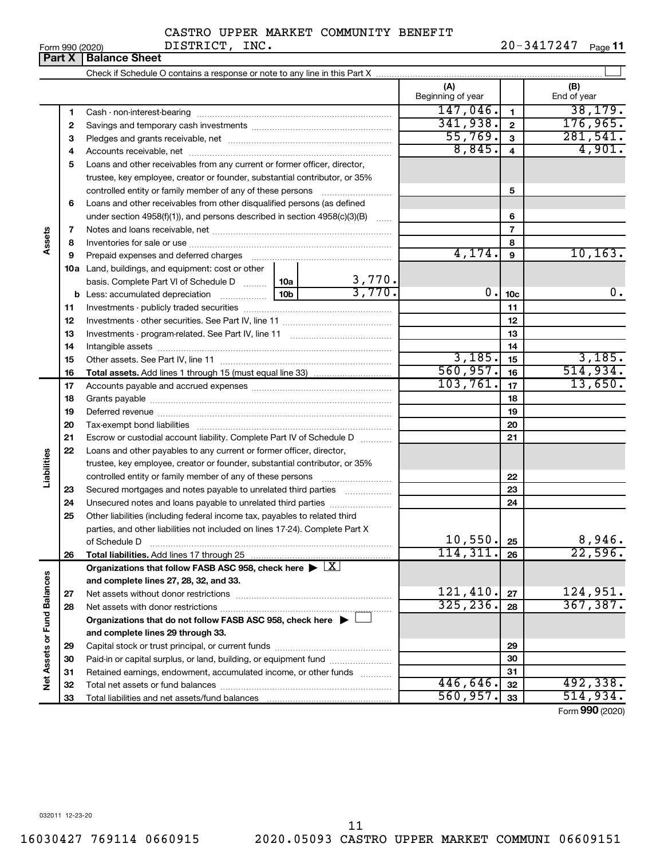|  | Form 990 (2020) |
|--|-----------------|
|  |                 |

#### CASTRO UPPER MARKET COMMUNITY BENEFIT DISTRICT, INC.

Form 990 (2020) DISTRICT,INC. 2 0-3 417 2 47 <sub>Page</sub> 11

|                             | Part X   | <b>Balance Sheet</b>                                                                                                                                                                                                           |           |                       |                          |                         |                    |
|-----------------------------|----------|--------------------------------------------------------------------------------------------------------------------------------------------------------------------------------------------------------------------------------|-----------|-----------------------|--------------------------|-------------------------|--------------------|
|                             |          |                                                                                                                                                                                                                                |           |                       |                          |                         |                    |
|                             |          |                                                                                                                                                                                                                                |           |                       | (A)<br>Beginning of year |                         | (B)<br>End of year |
|                             | 1        |                                                                                                                                                                                                                                |           | 147,046.              | $\mathbf{1}$             | 38, 179.                |                    |
|                             | 2        |                                                                                                                                                                                                                                |           |                       | 341,938.                 | $\mathbf 2$             | 176,965.           |
|                             | З        |                                                                                                                                                                                                                                |           |                       | 55,769.                  | 3                       | 281,541.           |
|                             | 4        |                                                                                                                                                                                                                                |           |                       | 8,845.                   | $\overline{\mathbf{4}}$ | 4,901.             |
|                             | 5        | Loans and other receivables from any current or former officer, director,                                                                                                                                                      |           |                       |                          |                         |                    |
|                             |          | trustee, key employee, creator or founder, substantial contributor, or 35%                                                                                                                                                     |           |                       |                          |                         |                    |
|                             |          | controlled entity or family member of any of these persons                                                                                                                                                                     |           |                       |                          | 5                       |                    |
|                             | 6        | Loans and other receivables from other disqualified persons (as defined                                                                                                                                                        |           |                       |                          |                         |                    |
|                             |          | under section 4958(f)(1)), and persons described in section 4958(c)(3)(B)                                                                                                                                                      |           |                       |                          | 6                       |                    |
|                             | 7        |                                                                                                                                                                                                                                |           |                       |                          | $\overline{7}$          |                    |
| Assets                      | 8        |                                                                                                                                                                                                                                |           |                       |                          | 8                       |                    |
|                             | 9        | Prepaid expenses and deferred charges [11] matter continuum matter and referred charges [11] matter continuum matter continuum matter and continuum matter continuum matter continuum matter continuum matter continuum matter |           |                       | 4,174.                   | 9                       | 10, 163.           |
|                             |          | <b>10a</b> Land, buildings, and equipment: cost or other                                                                                                                                                                       |           |                       |                          |                         |                    |
|                             |          | basis. Complete Part VI of Schedule D $\ldots$   10a                                                                                                                                                                           |           | $\frac{3,770}{3,770}$ |                          |                         |                    |
|                             |          |                                                                                                                                                                                                                                |           |                       | $0$ .                    | 10 <sub>c</sub>         | 0.                 |
|                             | 11       |                                                                                                                                                                                                                                |           |                       |                          | 11                      |                    |
|                             | 12       |                                                                                                                                                                                                                                |           | 12                    |                          |                         |                    |
|                             | 13       |                                                                                                                                                                                                                                |           | 13                    |                          |                         |                    |
|                             | 14       |                                                                                                                                                                                                                                |           | 14                    |                          |                         |                    |
|                             | 15       |                                                                                                                                                                                                                                |           |                       | 3,185.                   | 15                      | 3,185.             |
|                             | 16       |                                                                                                                                                                                                                                |           |                       | 560, 957.                | 16                      | 514,934.           |
|                             | 17       |                                                                                                                                                                                                                                |           |                       | 103, 761.                | 17                      | 13,650.            |
|                             | 18       |                                                                                                                                                                                                                                |           | 18                    |                          |                         |                    |
|                             | 19       |                                                                                                                                                                                                                                |           | 19                    |                          |                         |                    |
|                             | 20       |                                                                                                                                                                                                                                |           |                       |                          | 20                      |                    |
|                             | 21       | Escrow or custodial account liability. Complete Part IV of Schedule D                                                                                                                                                          |           |                       |                          | 21                      |                    |
|                             | 22       | Loans and other payables to any current or former officer, director,                                                                                                                                                           |           |                       |                          |                         |                    |
| Liabilities                 |          | trustee, key employee, creator or founder, substantial contributor, or 35%                                                                                                                                                     |           |                       |                          |                         |                    |
|                             |          | controlled entity or family member of any of these persons                                                                                                                                                                     |           |                       |                          | 22                      |                    |
|                             | 23       | Secured mortgages and notes payable to unrelated third parties                                                                                                                                                                 |           |                       |                          | 23                      |                    |
|                             | 24       | Unsecured notes and loans payable to unrelated third parties                                                                                                                                                                   |           |                       |                          | 24                      |                    |
|                             | 25       | Other liabilities (including federal income tax, payables to related third                                                                                                                                                     |           |                       |                          |                         |                    |
|                             |          | parties, and other liabilities not included on lines 17-24). Complete Part X                                                                                                                                                   |           |                       |                          |                         |                    |
|                             |          | of Schedule D                                                                                                                                                                                                                  |           |                       | 10,550.<br>114,311.      | 25                      | 8,946.<br>22,596.  |
|                             | 26       | Total liabilities. Add lines 17 through 25                                                                                                                                                                                     |           |                       |                          | 26                      |                    |
|                             |          | Organizations that follow FASB ASC 958, check here $\blacktriangleright \lfloor \underline{X} \rfloor$                                                                                                                         |           |                       |                          |                         |                    |
|                             |          | and complete lines 27, 28, 32, and 33.                                                                                                                                                                                         |           |                       | 121,410.                 |                         | 124,951.           |
|                             | 27       |                                                                                                                                                                                                                                |           |                       | 325, 236.                | 27                      | 367, 387.          |
|                             | 28       | Organizations that do not follow FASB ASC 958, check here $\blacktriangleright$                                                                                                                                                |           |                       |                          | 28                      |                    |
|                             |          |                                                                                                                                                                                                                                |           |                       |                          |                         |                    |
|                             |          | and complete lines 29 through 33.                                                                                                                                                                                              |           |                       |                          |                         |                    |
|                             | 29       | Paid-in or capital surplus, or land, building, or equipment fund                                                                                                                                                               |           |                       |                          | 29<br>30                |                    |
|                             | 30<br>31 | Retained earnings, endowment, accumulated income, or other funds                                                                                                                                                               |           |                       |                          | 31                      |                    |
| Net Assets or Fund Balances | 32       |                                                                                                                                                                                                                                |           |                       | 446,646.                 | 32                      | 492,338.           |
|                             | 33       |                                                                                                                                                                                                                                | 560, 957. | 33                    | 514,934.                 |                         |                    |
|                             |          |                                                                                                                                                                                                                                |           |                       |                          |                         | Form 990 (2020)    |

032011 12-23-20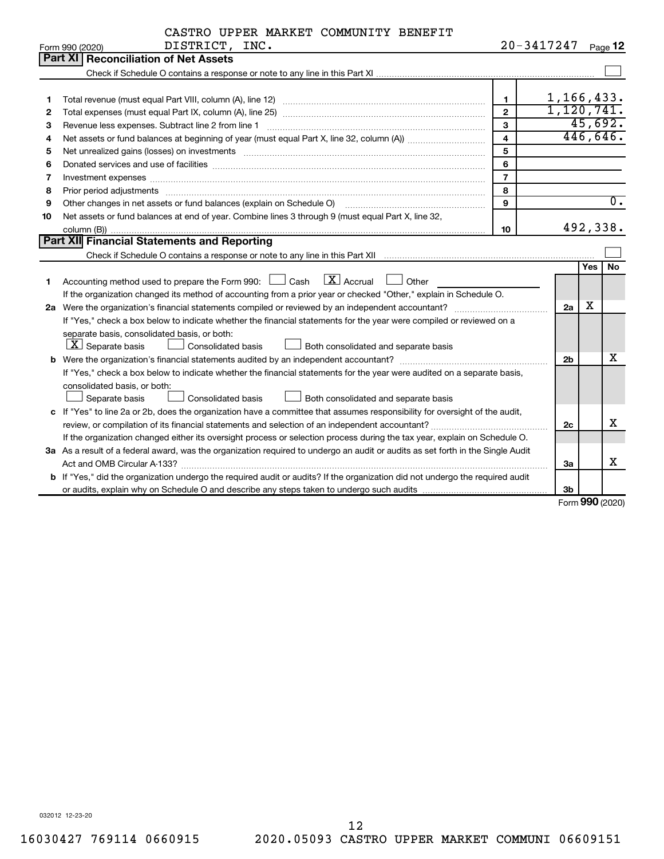|    | CASTRO UPPER MARKET COMMUNITY BENEFIT                                                                                                                                                                                          |              |            |              |
|----|--------------------------------------------------------------------------------------------------------------------------------------------------------------------------------------------------------------------------------|--------------|------------|--------------|
|    | DISTRICT, INC.<br>Form 990 (2020)                                                                                                                                                                                              |              | 20-3417247 | Page 12      |
|    | <b>Part XI Reconciliation of Net Assets</b>                                                                                                                                                                                    |              |            |              |
|    |                                                                                                                                                                                                                                |              |            |              |
|    |                                                                                                                                                                                                                                |              |            |              |
|    |                                                                                                                                                                                                                                |              |            | 1, 166, 433. |
| 2  |                                                                                                                                                                                                                                | $\mathbf{2}$ |            | 1,120,741.   |
| 3  |                                                                                                                                                                                                                                | 3            |            | 45,692.      |
| 4  |                                                                                                                                                                                                                                | 4            |            | 446,646.     |
| 5  |                                                                                                                                                                                                                                | 5            |            |              |
| 6  |                                                                                                                                                                                                                                | 6            |            |              |
| 7  |                                                                                                                                                                                                                                | 7            |            |              |
| 8  | Prior period adjustments material contents and content of the content of the content of the content of the content of the content of the content of the content of the content of the content of the content of the content of | 8            |            |              |
| 9  |                                                                                                                                                                                                                                | 9            |            | υ.           |
| 10 | Net assets or fund balances at end of year. Combine lines 3 through 9 (must equal Part X, line 32,                                                                                                                             |              |            |              |
|    |                                                                                                                                                                                                                                | 10           |            | 492,338.     |
|    | Part XII Financial Statements and Reporting                                                                                                                                                                                    |              |            |              |
|    |                                                                                                                                                                                                                                |              |            |              |

|    | Check if Schedule O contains a response or note to any line in this Part XII [11] [11] [11] Check if Schedule O contains a response or note to any line in this Part XII |                |      |     |
|----|--------------------------------------------------------------------------------------------------------------------------------------------------------------------------|----------------|------|-----|
|    |                                                                                                                                                                          |                | Yes. | No. |
|    | Accounting method used to prepare the Form 990: $\Box$ Cash $\Box X$ Accrual<br>Other                                                                                    |                |      |     |
|    | If the organization changed its method of accounting from a prior year or checked "Other," explain in Schedule O.                                                        |                |      |     |
| 2a | Were the organization's financial statements compiled or reviewed by an independent accountant?                                                                          | 2a             | х    |     |
|    | If "Yes," check a box below to indicate whether the financial statements for the year were compiled or reviewed on a                                                     |                |      |     |
|    | separate basis, consolidated basis, or both:                                                                                                                             |                |      |     |
|    | $ \mathbf{X} $ Separate basis<br>Both consolidated and separate basis<br>Consolidated basis                                                                              |                |      |     |
| b  | Were the organization's financial statements audited by an independent accountant?                                                                                       | 2 <sub>b</sub> |      | x   |
|    | If "Yes," check a box below to indicate whether the financial statements for the year were audited on a separate basis,                                                  |                |      |     |
|    | consolidated basis, or both:                                                                                                                                             |                |      |     |
|    | Both consolidated and separate basis<br>Separate basis<br>Consolidated basis                                                                                             |                |      |     |
|    | c If "Yes" to line 2a or 2b, does the organization have a committee that assumes responsibility for oversight of the audit,                                              |                |      |     |
|    | review, or compilation of its financial statements and selection of an independent accountant?                                                                           | 2c             |      | х   |
|    | If the organization changed either its oversight process or selection process during the tax year, explain on Schedule O.                                                |                |      |     |
|    | 3a As a result of a federal award, was the organization required to undergo an audit or audits as set forth in the Single Audit                                          |                |      |     |
|    |                                                                                                                                                                          | Зa             |      | х   |
|    | Act and OMB Circular A-133?                                                                                                                                              |                |      |     |
|    | b If "Yes," did the organization undergo the required audit or audits? If the organization did not undergo the required audit                                            |                |      |     |
|    |                                                                                                                                                                          | 3b             |      |     |

Form (2020) **990**

032012 12-23-20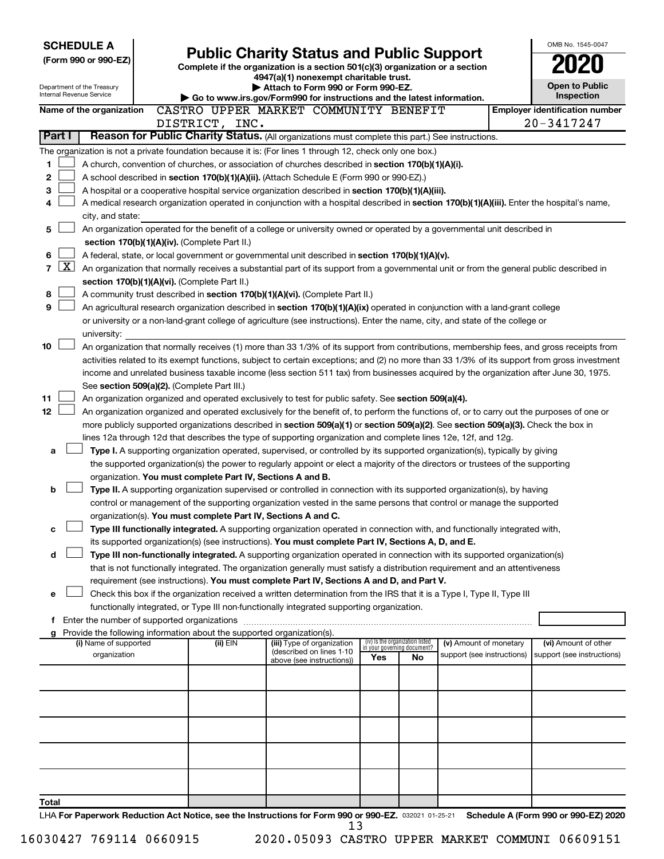| <b>SCHEDULE A</b>                                                                                 |                                                            |                                                                                                                                                                                                                                                 |     |                                   |                            | OMB No. 1545-0047                                   |
|---------------------------------------------------------------------------------------------------|------------------------------------------------------------|-------------------------------------------------------------------------------------------------------------------------------------------------------------------------------------------------------------------------------------------------|-----|-----------------------------------|----------------------------|-----------------------------------------------------|
| (Form 990 or 990-EZ)                                                                              |                                                            | <b>Public Charity Status and Public Support</b><br>Complete if the organization is a section 501(c)(3) organization or a section                                                                                                                |     |                                   |                            |                                                     |
|                                                                                                   |                                                            | 4947(a)(1) nonexempt charitable trust.                                                                                                                                                                                                          |     |                                   |                            |                                                     |
| Department of the Treasury<br>Internal Revenue Service                                            |                                                            | Attach to Form 990 or Form 990-EZ.                                                                                                                                                                                                              |     |                                   |                            | <b>Open to Public</b>                               |
|                                                                                                   |                                                            | Go to www.irs.gov/Form990 for instructions and the latest information.                                                                                                                                                                          |     |                                   |                            | Inspection                                          |
| Name of the organization                                                                          | DISTRICT, INC.                                             | CASTRO UPPER MARKET COMMUNITY BENEFIT                                                                                                                                                                                                           |     |                                   |                            | <b>Employer identification number</b><br>20-3417247 |
| Part I                                                                                            |                                                            | Reason for Public Charity Status. (All organizations must complete this part.) See instructions.                                                                                                                                                |     |                                   |                            |                                                     |
|                                                                                                   |                                                            | The organization is not a private foundation because it is: (For lines 1 through 12, check only one box.)                                                                                                                                       |     |                                   |                            |                                                     |
| 1                                                                                                 |                                                            | A church, convention of churches, or association of churches described in section 170(b)(1)(A)(i).                                                                                                                                              |     |                                   |                            |                                                     |
| 2                                                                                                 |                                                            | A school described in section 170(b)(1)(A)(ii). (Attach Schedule E (Form 990 or 990-EZ).)                                                                                                                                                       |     |                                   |                            |                                                     |
| 3                                                                                                 |                                                            | A hospital or a cooperative hospital service organization described in section 170(b)(1)(A)(iii).                                                                                                                                               |     |                                   |                            |                                                     |
| 4                                                                                                 |                                                            | A medical research organization operated in conjunction with a hospital described in section 170(b)(1)(A)(iii). Enter the hospital's name,                                                                                                      |     |                                   |                            |                                                     |
| city, and state:                                                                                  |                                                            |                                                                                                                                                                                                                                                 |     |                                   |                            |                                                     |
| 5                                                                                                 |                                                            | An organization operated for the benefit of a college or university owned or operated by a governmental unit described in                                                                                                                       |     |                                   |                            |                                                     |
|                                                                                                   | section 170(b)(1)(A)(iv). (Complete Part II.)              |                                                                                                                                                                                                                                                 |     |                                   |                            |                                                     |
| 6                                                                                                 |                                                            | A federal, state, or local government or governmental unit described in section 170(b)(1)(A)(v).                                                                                                                                                |     |                                   |                            |                                                     |
| $\mathbf{X}$<br>$\overline{7}$                                                                    |                                                            | An organization that normally receives a substantial part of its support from a governmental unit or from the general public described in                                                                                                       |     |                                   |                            |                                                     |
|                                                                                                   | section 170(b)(1)(A)(vi). (Complete Part II.)              |                                                                                                                                                                                                                                                 |     |                                   |                            |                                                     |
| 8                                                                                                 |                                                            | A community trust described in section 170(b)(1)(A)(vi). (Complete Part II.)                                                                                                                                                                    |     |                                   |                            |                                                     |
| 9                                                                                                 |                                                            | An agricultural research organization described in section 170(b)(1)(A)(ix) operated in conjunction with a land-grant college                                                                                                                   |     |                                   |                            |                                                     |
| university:                                                                                       |                                                            | or university or a non-land-grant college of agriculture (see instructions). Enter the name, city, and state of the college or                                                                                                                  |     |                                   |                            |                                                     |
| 10                                                                                                |                                                            | An organization that normally receives (1) more than 33 1/3% of its support from contributions, membership fees, and gross receipts from                                                                                                        |     |                                   |                            |                                                     |
|                                                                                                   |                                                            | activities related to its exempt functions, subject to certain exceptions; and (2) no more than 33 1/3% of its support from gross investment                                                                                                    |     |                                   |                            |                                                     |
|                                                                                                   |                                                            | income and unrelated business taxable income (less section 511 tax) from businesses acquired by the organization after June 30, 1975.                                                                                                           |     |                                   |                            |                                                     |
|                                                                                                   | See section 509(a)(2). (Complete Part III.)                |                                                                                                                                                                                                                                                 |     |                                   |                            |                                                     |
| 11                                                                                                |                                                            | An organization organized and operated exclusively to test for public safety. See section 509(a)(4).                                                                                                                                            |     |                                   |                            |                                                     |
| 12 <sub>2</sub>                                                                                   |                                                            | An organization organized and operated exclusively for the benefit of, to perform the functions of, or to carry out the purposes of one or                                                                                                      |     |                                   |                            |                                                     |
|                                                                                                   |                                                            | more publicly supported organizations described in section 509(a)(1) or section 509(a)(2). See section 509(a)(3). Check the box in                                                                                                              |     |                                   |                            |                                                     |
|                                                                                                   |                                                            | lines 12a through 12d that describes the type of supporting organization and complete lines 12e, 12f, and 12g.                                                                                                                                  |     |                                   |                            |                                                     |
| a                                                                                                 |                                                            | Type I. A supporting organization operated, supervised, or controlled by its supported organization(s), typically by giving                                                                                                                     |     |                                   |                            |                                                     |
|                                                                                                   |                                                            | the supported organization(s) the power to regularly appoint or elect a majority of the directors or trustees of the supporting                                                                                                                 |     |                                   |                            |                                                     |
| b                                                                                                 | organization. You must complete Part IV, Sections A and B. |                                                                                                                                                                                                                                                 |     |                                   |                            |                                                     |
|                                                                                                   |                                                            | Type II. A supporting organization supervised or controlled in connection with its supported organization(s), by having<br>control or management of the supporting organization vested in the same persons that control or manage the supported |     |                                   |                            |                                                     |
|                                                                                                   |                                                            | organization(s). You must complete Part IV, Sections A and C.                                                                                                                                                                                   |     |                                   |                            |                                                     |
| с                                                                                                 |                                                            | Type III functionally integrated. A supporting organization operated in connection with, and functionally integrated with,                                                                                                                      |     |                                   |                            |                                                     |
|                                                                                                   |                                                            | its supported organization(s) (see instructions). You must complete Part IV, Sections A, D, and E.                                                                                                                                              |     |                                   |                            |                                                     |
| d                                                                                                 |                                                            | Type III non-functionally integrated. A supporting organization operated in connection with its supported organization(s)                                                                                                                       |     |                                   |                            |                                                     |
|                                                                                                   |                                                            | that is not functionally integrated. The organization generally must satisfy a distribution requirement and an attentiveness                                                                                                                    |     |                                   |                            |                                                     |
|                                                                                                   |                                                            | requirement (see instructions). You must complete Part IV, Sections A and D, and Part V.                                                                                                                                                        |     |                                   |                            |                                                     |
| e                                                                                                 |                                                            | Check this box if the organization received a written determination from the IRS that it is a Type I, Type II, Type III                                                                                                                         |     |                                   |                            |                                                     |
|                                                                                                   |                                                            | functionally integrated, or Type III non-functionally integrated supporting organization.                                                                                                                                                       |     |                                   |                            |                                                     |
|                                                                                                   |                                                            |                                                                                                                                                                                                                                                 |     |                                   |                            |                                                     |
| g Provide the following information about the supported organization(s).<br>(i) Name of supported | (ii) EIN                                                   | (iii) Type of organization                                                                                                                                                                                                                      |     | (iv) Is the organization listed   | (v) Amount of monetary     | (vi) Amount of other                                |
| organization                                                                                      |                                                            | (described on lines 1-10                                                                                                                                                                                                                        | Yes | in your governing document?<br>No | support (see instructions) | support (see instructions)                          |
|                                                                                                   |                                                            | above (see instructions))                                                                                                                                                                                                                       |     |                                   |                            |                                                     |
|                                                                                                   |                                                            |                                                                                                                                                                                                                                                 |     |                                   |                            |                                                     |
|                                                                                                   |                                                            |                                                                                                                                                                                                                                                 |     |                                   |                            |                                                     |
|                                                                                                   |                                                            |                                                                                                                                                                                                                                                 |     |                                   |                            |                                                     |
|                                                                                                   |                                                            |                                                                                                                                                                                                                                                 |     |                                   |                            |                                                     |
|                                                                                                   |                                                            |                                                                                                                                                                                                                                                 |     |                                   |                            |                                                     |
|                                                                                                   |                                                            |                                                                                                                                                                                                                                                 |     |                                   |                            |                                                     |
|                                                                                                   |                                                            |                                                                                                                                                                                                                                                 |     |                                   |                            |                                                     |
|                                                                                                   |                                                            |                                                                                                                                                                                                                                                 |     |                                   |                            |                                                     |
|                                                                                                   |                                                            |                                                                                                                                                                                                                                                 |     |                                   |                            |                                                     |
| Total                                                                                             |                                                            | LHA For Panerwork Reduction Act Notice, see the Instructions for Form 990 or 990-F7, 032021 01-25-21 - Schedule Δ (Form 990 or 990-F7) 2020                                                                                                     |     |                                   |                            |                                                     |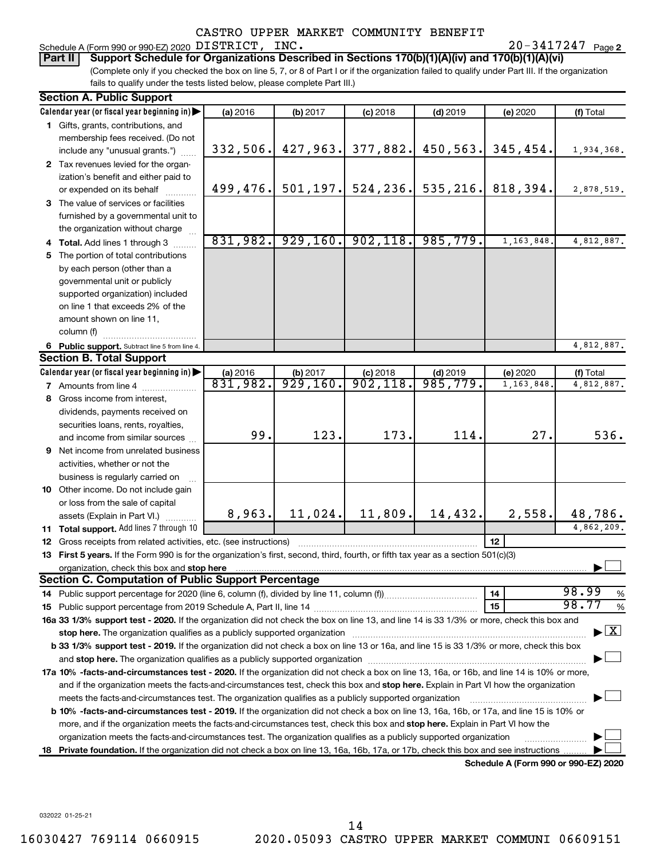Schedule A (Form 990 or 990-EZ) 2020  $\, {\rm DISTERTCT}$  ,  $\, {\rm INC}$  .  $\, 20-3417247$   $\,$   $_{\rm Page}$ 

20-3417247 Page 2

#### **Part II Support Schedule for Organizations Described in Sections 170(b)(1)(A)(iv) and 170(b)(1)(A)(vi)**

(Complete only if you checked the box on line 5, 7, or 8 of Part I or if the organization failed to qualify under Part III. If the organization fails to qualify under the tests listed below, please complete Part III.)

| <b>Section A. Public Support</b>                                                                                                               |          |                     |            |                        |                                      |                                    |  |
|------------------------------------------------------------------------------------------------------------------------------------------------|----------|---------------------|------------|------------------------|--------------------------------------|------------------------------------|--|
| Calendar year (or fiscal year beginning in)                                                                                                    | (a) 2016 | (b) 2017            | $(c)$ 2018 | $(d)$ 2019             | (e) 2020                             | (f) Total                          |  |
| 1 Gifts, grants, contributions, and                                                                                                            |          |                     |            |                        |                                      |                                    |  |
| membership fees received. (Do not                                                                                                              |          |                     |            |                        |                                      |                                    |  |
| include any "unusual grants.")                                                                                                                 | 332,506. | 427,963.            | 377,882.   | 450,563.               | 345, 454.                            | 1,934,368.                         |  |
| 2 Tax revenues levied for the organ-                                                                                                           |          |                     |            |                        |                                      |                                    |  |
| ization's benefit and either paid to                                                                                                           |          |                     |            |                        |                                      |                                    |  |
| or expended on its behalf                                                                                                                      | 499,476. | 501, 197.           |            | $524, 236$ , 535, 216. | 818,394.                             | 2,878,519.                         |  |
| 3 The value of services or facilities                                                                                                          |          |                     |            |                        |                                      |                                    |  |
| furnished by a governmental unit to                                                                                                            |          |                     |            |                        |                                      |                                    |  |
| the organization without charge                                                                                                                |          |                     |            |                        |                                      |                                    |  |
| 4 Total. Add lines 1 through 3                                                                                                                 | 831,982. | 929,160.            | 902, 118.  | 985,779.               | 1, 163, 848                          | 4,812,887.                         |  |
| 5 The portion of total contributions                                                                                                           |          |                     |            |                        |                                      |                                    |  |
| by each person (other than a                                                                                                                   |          |                     |            |                        |                                      |                                    |  |
| governmental unit or publicly                                                                                                                  |          |                     |            |                        |                                      |                                    |  |
| supported organization) included                                                                                                               |          |                     |            |                        |                                      |                                    |  |
| on line 1 that exceeds 2% of the                                                                                                               |          |                     |            |                        |                                      |                                    |  |
| amount shown on line 11,                                                                                                                       |          |                     |            |                        |                                      |                                    |  |
| column (f)                                                                                                                                     |          |                     |            |                        |                                      |                                    |  |
| 6 Public support. Subtract line 5 from line 4.                                                                                                 |          |                     |            |                        |                                      | 4,812,887.                         |  |
| <b>Section B. Total Support</b>                                                                                                                |          |                     |            |                        |                                      |                                    |  |
| Calendar year (or fiscal year beginning in)                                                                                                    | (a) 2016 |                     | $(c)$ 2018 | $(d)$ 2019             | (e) 2020                             | (f) Total                          |  |
| <b>7</b> Amounts from line 4                                                                                                                   | 831,982. | $\frac{1}{929,160}$ | 902,118.   | 985,779.               | 1,163,848                            | 4,812,887.                         |  |
| 8 Gross income from interest,                                                                                                                  |          |                     |            |                        |                                      |                                    |  |
| dividends, payments received on                                                                                                                |          |                     |            |                        |                                      |                                    |  |
| securities loans, rents, royalties,                                                                                                            |          |                     |            |                        |                                      |                                    |  |
| and income from similar sources                                                                                                                | 99.      | 123.                | 173.       | 114.                   | 27.                                  | 536.                               |  |
| 9 Net income from unrelated business                                                                                                           |          |                     |            |                        |                                      |                                    |  |
| activities, whether or not the                                                                                                                 |          |                     |            |                        |                                      |                                    |  |
| business is regularly carried on                                                                                                               |          |                     |            |                        |                                      |                                    |  |
| 10 Other income. Do not include gain                                                                                                           |          |                     |            |                        |                                      |                                    |  |
| or loss from the sale of capital                                                                                                               |          |                     |            |                        |                                      |                                    |  |
| assets (Explain in Part VI.).                                                                                                                  | 8,963.   | 11,024.             | 11,809.    | 14,432.                | 2,558.                               | 48,786.                            |  |
| 11 Total support. Add lines 7 through 10                                                                                                       |          |                     |            |                        |                                      | 4,862,209.                         |  |
| 12 Gross receipts from related activities, etc. (see instructions)                                                                             |          |                     |            |                        | 12                                   |                                    |  |
| 13 First 5 years. If the Form 990 is for the organization's first, second, third, fourth, or fifth tax year as a section 501(c)(3)             |          |                     |            |                        |                                      |                                    |  |
|                                                                                                                                                |          |                     |            |                        |                                      |                                    |  |
| <b>Section C. Computation of Public Support Percentage</b>                                                                                     |          |                     |            |                        |                                      |                                    |  |
|                                                                                                                                                |          |                     |            |                        | 14                                   | 98.99<br>%                         |  |
|                                                                                                                                                |          |                     |            |                        | 15                                   | 98.77<br>%                         |  |
| 16a 33 1/3% support test - 2020. If the organization did not check the box on line 13, and line 14 is 33 1/3% or more, check this box and      |          |                     |            |                        |                                      |                                    |  |
|                                                                                                                                                |          |                     |            |                        |                                      | $\blacktriangleright$ $\mathbf{X}$ |  |
| b 33 1/3% support test - 2019. If the organization did not check a box on line 13 or 16a, and line 15 is 33 1/3% or more, check this box       |          |                     |            |                        |                                      |                                    |  |
|                                                                                                                                                |          |                     |            |                        |                                      |                                    |  |
| 17a 10% -facts-and-circumstances test - 2020. If the organization did not check a box on line 13, 16a, or 16b, and line 14 is 10% or more,     |          |                     |            |                        |                                      |                                    |  |
| and if the organization meets the facts-and-circumstances test, check this box and stop here. Explain in Part VI how the organization          |          |                     |            |                        |                                      |                                    |  |
| meets the facts-and-circumstances test. The organization qualifies as a publicly supported organization                                        |          |                     |            |                        |                                      |                                    |  |
| <b>b 10%</b> -facts-and-circumstances test - 2019. If the organization did not check a box on line 13, 16a, 16b, or 17a, and line 15 is 10% or |          |                     |            |                        |                                      |                                    |  |
| more, and if the organization meets the facts-and-circumstances test, check this box and stop here. Explain in Part VI how the                 |          |                     |            |                        |                                      |                                    |  |
| organization meets the facts-and-circumstances test. The organization qualifies as a publicly supported organization                           |          |                     |            |                        |                                      |                                    |  |
| 18 Private foundation. If the organization did not check a box on line 13, 16a, 16b, 17a, or 17b, check this box and see instructions          |          |                     |            |                        |                                      |                                    |  |
|                                                                                                                                                |          |                     |            |                        | Schedule A (Form 990 or 990-F7) 2020 |                                    |  |

**Schedule A (Form 990 or 990-EZ) 2020**

032022 01-25-21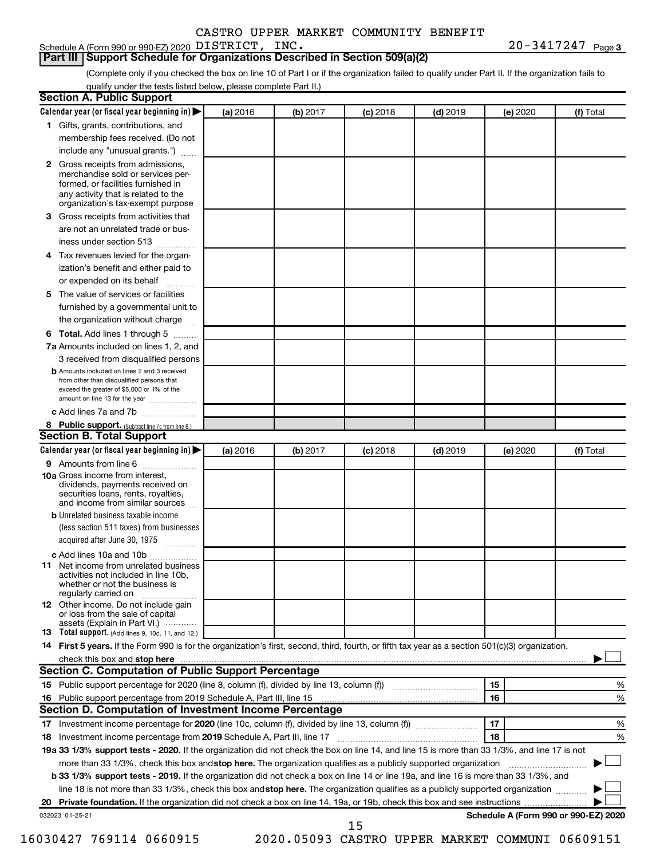# Schedule A (Form 990 or 990-EZ) 2020 DISTRICT, INC.

**Part III Support Schedule for Organizations Described in Section 509(a)(2)** 

**3** DISTRICT, INC. 20-3417247

(Complete only if you checked the box on line 10 of Part I or if the organization failed to qualify under Part II. If the organization fails to qualify under the tests listed below, please complete Part II.)

| <b>Section A. Public Support</b>                                                                                                                                                                |          |          |            |            |          |                                      |
|-------------------------------------------------------------------------------------------------------------------------------------------------------------------------------------------------|----------|----------|------------|------------|----------|--------------------------------------|
| Calendar year (or fiscal year beginning in)                                                                                                                                                     | (a) 2016 | (b) 2017 | $(c)$ 2018 | $(d)$ 2019 | (e) 2020 | (f) Total                            |
| 1 Gifts, grants, contributions, and                                                                                                                                                             |          |          |            |            |          |                                      |
| membership fees received. (Do not                                                                                                                                                               |          |          |            |            |          |                                      |
| include any "unusual grants.")                                                                                                                                                                  |          |          |            |            |          |                                      |
| <b>2</b> Gross receipts from admissions,<br>merchandise sold or services per-<br>formed, or facilities furnished in<br>any activity that is related to the<br>organization's tax-exempt purpose |          |          |            |            |          |                                      |
| 3 Gross receipts from activities that                                                                                                                                                           |          |          |            |            |          |                                      |
| are not an unrelated trade or bus-                                                                                                                                                              |          |          |            |            |          |                                      |
|                                                                                                                                                                                                 |          |          |            |            |          |                                      |
| iness under section 513                                                                                                                                                                         |          |          |            |            |          |                                      |
| 4 Tax revenues levied for the organ-<br>ization's benefit and either paid to                                                                                                                    |          |          |            |            |          |                                      |
| or expended on its behalf                                                                                                                                                                       |          |          |            |            |          |                                      |
|                                                                                                                                                                                                 |          |          |            |            |          |                                      |
| 5 The value of services or facilities                                                                                                                                                           |          |          |            |            |          |                                      |
| furnished by a governmental unit to                                                                                                                                                             |          |          |            |            |          |                                      |
| the organization without charge                                                                                                                                                                 |          |          |            |            |          |                                      |
| 6 Total. Add lines 1 through 5                                                                                                                                                                  |          |          |            |            |          |                                      |
| 7a Amounts included on lines 1, 2, and                                                                                                                                                          |          |          |            |            |          |                                      |
| 3 received from disqualified persons                                                                                                                                                            |          |          |            |            |          |                                      |
| <b>b</b> Amounts included on lines 2 and 3 received<br>from other than disqualified persons that<br>exceed the greater of \$5,000 or 1% of the<br>amount on line 13 for the year                |          |          |            |            |          |                                      |
| c Add lines 7a and 7b                                                                                                                                                                           |          |          |            |            |          |                                      |
| 8 Public support. (Subtract line 7c from line 6.)                                                                                                                                               |          |          |            |            |          |                                      |
| <b>Section B. Total Support</b>                                                                                                                                                                 |          |          |            |            |          |                                      |
| Calendar year (or fiscal year beginning in)                                                                                                                                                     | (a) 2016 | (b) 2017 | $(c)$ 2018 | $(d)$ 2019 | (e) 2020 | (f) Total                            |
| 9 Amounts from line 6                                                                                                                                                                           |          |          |            |            |          |                                      |
| <b>10a</b> Gross income from interest,<br>dividends, payments received on<br>securities loans, rents, royalties,<br>and income from similar sources                                             |          |          |            |            |          |                                      |
| <b>b</b> Unrelated business taxable income                                                                                                                                                      |          |          |            |            |          |                                      |
| (less section 511 taxes) from businesses<br>acquired after June 30, 1975                                                                                                                        |          |          |            |            |          |                                      |
| c Add lines 10a and 10b                                                                                                                                                                         |          |          |            |            |          |                                      |
| <b>11</b> Net income from unrelated business<br>activities not included in line 10b.<br>whether or not the business is<br>regularly carried on                                                  |          |          |            |            |          |                                      |
| 12 Other income. Do not include gain<br>or loss from the sale of capital<br>assets (Explain in Part VI.)                                                                                        |          |          |            |            |          |                                      |
| <b>13</b> Total support. (Add lines 9, 10c, 11, and 12.)                                                                                                                                        |          |          |            |            |          |                                      |
| 14 First 5 years. If the Form 990 is for the organization's first, second, third, fourth, or fifth tax year as a section 501(c)(3) organization,                                                |          |          |            |            |          |                                      |
| check this box and stop here <b>contained and the contained and starting and stop here</b> check this box and stop here                                                                         |          |          |            |            |          |                                      |
| Section C. Computation of Public Support Percentage                                                                                                                                             |          |          |            |            |          |                                      |
| 15 Public support percentage for 2020 (line 8, column (f), divided by line 13, column (f) <i></i>                                                                                               |          |          |            |            | 15       | ℅                                    |
|                                                                                                                                                                                                 |          |          |            |            | 16       | %                                    |
| Section D. Computation of Investment Income Percentage                                                                                                                                          |          |          |            |            |          |                                      |
|                                                                                                                                                                                                 |          |          |            |            | 17       | %                                    |
| 18 Investment income percentage from 2019 Schedule A, Part III, line 17                                                                                                                         |          |          |            |            | 18       | %                                    |
| 19a 33 1/3% support tests - 2020. If the organization did not check the box on line 14, and line 15 is more than 33 1/3%, and line 17 is not                                                    |          |          |            |            |          |                                      |
| more than 33 1/3%, check this box and stop here. The organization qualifies as a publicly supported organization                                                                                |          |          |            |            |          |                                      |
| b 33 1/3% support tests - 2019. If the organization did not check a box on line 14 or line 19a, and line 16 is more than 33 1/3%, and                                                           |          |          |            |            |          |                                      |
| line 18 is not more than 33 1/3%, check this box and stop here. The organization qualifies as a publicly supported organization                                                                 |          |          |            |            |          |                                      |
|                                                                                                                                                                                                 |          |          |            |            |          |                                      |
|                                                                                                                                                                                                 |          |          |            |            |          | Schedule A (Form 990 or 990-EZ) 2020 |
| 032023 01-25-21                                                                                                                                                                                 |          |          | 15         |            |          |                                      |

16030427 769114 0660915 2020.05093 CASTRO UPPER MARKET COMMUNI 06609151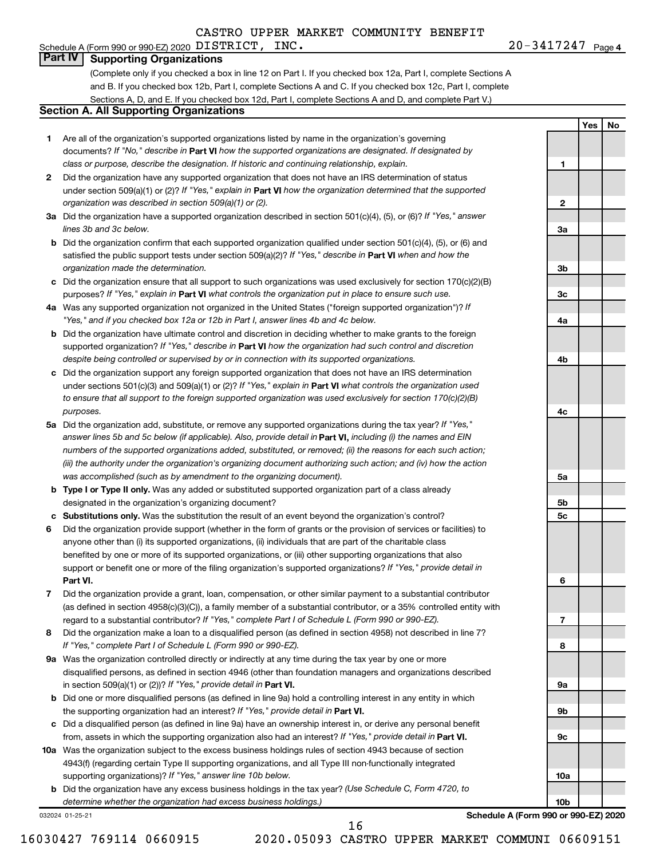#### **4** DISTRICT, INC. 20-3417247 Schedule A (Form 990 or 990-EZ) 2020  $\overline{DISTRIC}$ ,  $\overline{INC}$ . **Part IV Supporting Organizations**

(Complete only if you checked a box in line 12 on Part I. If you checked box 12a, Part I, complete Sections A and B. If you checked box 12b, Part I, complete Sections A and C. If you checked box 12c, Part I, complete Sections A, D, and E. If you checked box 12d, Part I, complete Sections A and D, and complete Part V.)

#### **Section A. All Supporting Organizations**

- **1** Are all of the organization's supported organizations listed by name in the organization's governing documents? If "No," describe in Part VI how the supported organizations are designated. If designated by *class or purpose, describe the designation. If historic and continuing relationship, explain.*
- **2** Did the organization have any supported organization that does not have an IRS determination of status under section 509(a)(1) or (2)? If "Yes," explain in Part **VI** how the organization determined that the supported *organization was described in section 509(a)(1) or (2).*
- **3a** Did the organization have a supported organization described in section 501(c)(4), (5), or (6)? If "Yes," answer *lines 3b and 3c below.*
- **b** Did the organization confirm that each supported organization qualified under section 501(c)(4), (5), or (6) and satisfied the public support tests under section 509(a)(2)? If "Yes," describe in Part VI when and how the *organization made the determination.*
- **c** Did the organization ensure that all support to such organizations was used exclusively for section 170(c)(2)(B) purposes? If "Yes," explain in Part VI what controls the organization put in place to ensure such use.
- **4 a** *If* Was any supported organization not organized in the United States ("foreign supported organization")? *"Yes," and if you checked box 12a or 12b in Part I, answer lines 4b and 4c below.*
- **b** Did the organization have ultimate control and discretion in deciding whether to make grants to the foreign supported organization? If "Yes," describe in Part VI how the organization had such control and discretion *despite being controlled or supervised by or in connection with its supported organizations.*
- **c** Did the organization support any foreign supported organization that does not have an IRS determination under sections 501(c)(3) and 509(a)(1) or (2)? If "Yes," explain in Part VI what controls the organization used *to ensure that all support to the foreign supported organization was used exclusively for section 170(c)(2)(B) purposes.*
- **5a** Did the organization add, substitute, or remove any supported organizations during the tax year? If "Yes," answer lines 5b and 5c below (if applicable). Also, provide detail in **Part VI,** including (i) the names and EIN *numbers of the supported organizations added, substituted, or removed; (ii) the reasons for each such action; (iii) the authority under the organization's organizing document authorizing such action; and (iv) how the action was accomplished (such as by amendment to the organizing document).*
- **b Type I or Type II only.** Was any added or substituted supported organization part of a class already designated in the organization's organizing document?
- **c Substitutions only.**  Was the substitution the result of an event beyond the organization's control?
- **6** Did the organization provide support (whether in the form of grants or the provision of services or facilities) to **Part VI.** support or benefit one or more of the filing organization's supported organizations? If "Yes," provide detail in anyone other than (i) its supported organizations, (ii) individuals that are part of the charitable class benefited by one or more of its supported organizations, or (iii) other supporting organizations that also
- **7** Did the organization provide a grant, loan, compensation, or other similar payment to a substantial contributor regard to a substantial contributor? If "Yes," complete Part I of Schedule L (Form 990 or 990-EZ). (as defined in section 4958(c)(3)(C)), a family member of a substantial contributor, or a 35% controlled entity with
- **8** Did the organization make a loan to a disqualified person (as defined in section 4958) not described in line 7? *If "Yes," complete Part I of Schedule L (Form 990 or 990-EZ).*
- **9 a** Was the organization controlled directly or indirectly at any time during the tax year by one or more in section 509(a)(1) or (2))? If "Yes," provide detail in **Part VI.** disqualified persons, as defined in section 4946 (other than foundation managers and organizations described
- **b** Did one or more disqualified persons (as defined in line 9a) hold a controlling interest in any entity in which the supporting organization had an interest? If "Yes," provide detail in Part VI.
- **c** Did a disqualified person (as defined in line 9a) have an ownership interest in, or derive any personal benefit from, assets in which the supporting organization also had an interest? If "Yes," provide detail in Part VI.
- **10 a** Was the organization subject to the excess business holdings rules of section 4943 because of section supporting organizations)? If "Yes," answer line 10b below. 4943(f) (regarding certain Type II supporting organizations, and all Type III non-functionally integrated
	- **b** Did the organization have any excess business holdings in the tax year? (Use Schedule C, Form 4720, to *determine whether the organization had excess business holdings.)*

032024 01-25-21

**10b**

**10a**

**Yes No**

**1**

**2**

**3a**

**3b**

**3c**

**4a**

**4b**

**4c**

**5a**

**5b 5c**

**6**

**7**

**8**

**9a**

**9b**

**9c**

**Schedule A (Form 990 or 990-EZ) 2020**

16030427 769114 0660915 2020.05093 CASTRO UPPER MARKET COMMUNI 06609151

16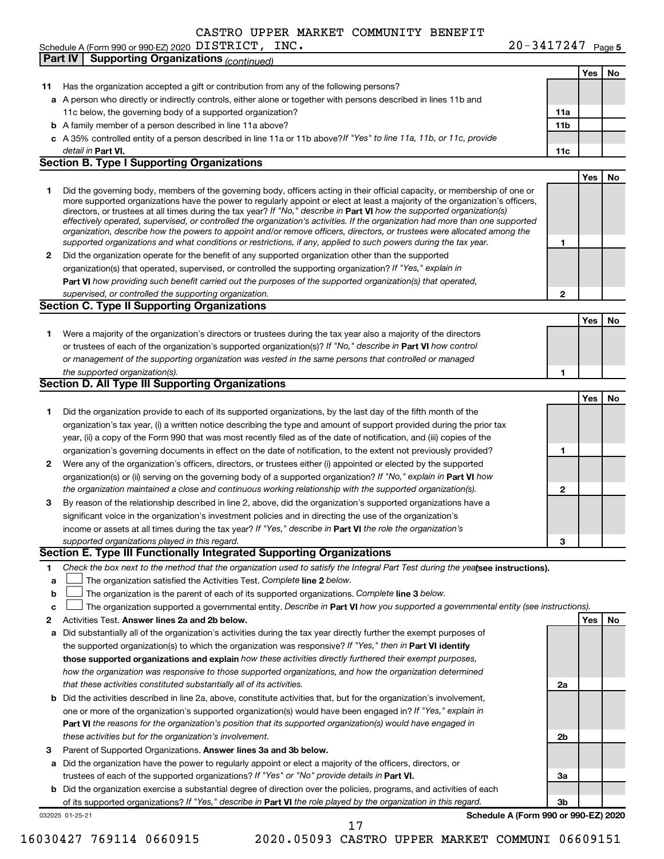**Part VI. 11c** detail in Part VI.

#### **Section B. Type I Supporting Organizations**

**Part IV Supporting Organizations** *(continued)*

**b** A family member of a person described in line 11a above?

11c below, the governing body of a supported organization?

- **1** directors, or trustees at all times during the tax year? If "No," describe in Part VI how the supported organization(s) *effectively operated, supervised, or controlled the organization's activities. If the organization had more than one supported organization, describe how the powers to appoint and/or remove officers, directors, or trustees were allocated among the supported organizations and what conditions or restrictions, if any, applied to such powers during the tax year.* Did the governing body, members of the governing body, officers acting in their official capacity, or membership of one or more supported organizations have the power to regularly appoint or elect at least a majority of the organization's officers,
- **2** Did the organization operate for the benefit of any supported organization other than the supported **Part VI**  *how providing such benefit carried out the purposes of the supported organization(s) that operated,* organization(s) that operated, supervised, or controlled the supporting organization? If "Yes," explain in *supervised, or controlled the supporting organization.* **Section C. Type II Supporting Organization**

**a** A person who directly or indirectly controls, either alone or together with persons described in lines 11b and

**c** *If "Yes" to line 11a, 11b, or 11c, provide* A 35% controlled entity of a person described in line 11a or 11b above?

**11** Has the organization accepted a gift or contribution from any of the following persons?

| section C. Type ii supporting Organizations |  |
|---------------------------------------------|--|
|                                             |  |

**1** Were a majority of the organization's directors or trustees during the tax year also a majority of the directors or trustees of each of the organization's supported organization(s)? If "No," describe in Part VI how control **1** *or management of the supporting organization was vested in the same persons that controlled or managed the supported organization(s).*

|  |  |  | <b>Section D. All Type III Supporting Organizations</b> |
|--|--|--|---------------------------------------------------------|
|--|--|--|---------------------------------------------------------|

|                |                                                                                                                        |   | Yes |  |
|----------------|------------------------------------------------------------------------------------------------------------------------|---|-----|--|
|                | Did the organization provide to each of its supported organizations, by the last day of the fifth month of the         |   |     |  |
|                | organization's tax year, (i) a written notice describing the type and amount of support provided during the prior tax  |   |     |  |
|                | year, (ii) a copy of the Form 990 that was most recently filed as of the date of notification, and (iii) copies of the |   |     |  |
|                | organization's governing documents in effect on the date of notification, to the extent not previously provided?       |   |     |  |
| $\overline{2}$ | Were any of the organization's officers, directors, or trustees either (i) appointed or elected by the supported       |   |     |  |
|                | organization(s) or (ii) serving on the governing body of a supported organization? If "No," explain in Part VI how     |   |     |  |
|                | the organization maintained a close and continuous working relationship with the supported organization(s).            | 2 |     |  |
| 3              | By reason of the relationship described in line 2, above, did the organization's supported organizations have a        |   |     |  |
|                | significant voice in the organization's investment policies and in directing the use of the organization's             |   |     |  |
|                | income or assets at all times during the tax year? If "Yes," describe in Part VI the role the organization's           |   |     |  |
|                | supported organizations played in this regard.                                                                         | 3 |     |  |

#### **Section E. Type III Functionally Integrated Supporting Organizations**

- **1** Check the box next to the method that the organization used to satisfy the Integral Part Test during the yealsee instructions).
- **a The organization satisfied the Activities Test. Complete line 2 below.**
- **b** The organization is the parent of each of its supported organizations. Complete line 3 below.  $\Box$
- **c** The organization supported a governmental entity. Describe in Part VI how you supported a governmental entity (see instructions).  $\Box$
- **2 Answer lines 2a and 2b below. Yes No** Activities Test.
- **a** Did substantially all of the organization's activities during the tax year directly further the exempt purposes of the supported organization(s) to which the organization was responsive? If "Yes," then in Part VI identify **those supported organizations and explain**  *how these activities directly furthered their exempt purposes, how the organization was responsive to those supported organizations, and how the organization determined that these activities constituted substantially all of its activities.*
- **b** Did the activities described in line 2a, above, constitute activities that, but for the organization's involvement, **Part VI**  *the reasons for the organization's position that its supported organization(s) would have engaged in* one or more of the organization's supported organization(s) would have been engaged in? If "Yes," explain in *these activities but for the organization's involvement.*
- 3 Parent of Supported Organizations. Answer lines 3a and 3b below.
- **a** Did the organization have the power to regularly appoint or elect a majority of the officers, directors, or trustees of each of the supported organizations? If "Yes" or "No" provide details in Part VI.
- **b** Did the organization exercise a substantial degree of direction over the policies, programs, and activities of each of its supported organizations? If "Yes," describe in Part VI the role played by the organization in this regard.

032025 01-25-21

**Schedule A (Form 990 or 990-EZ) 2020**

**2a**

**2b**

**3a**

**3b**

16030427 769114 0660915 2020.05093 CASTRO UPPER MARKET COMMUNI 06609151 17

|     | Yes | <b>No</b> |
|-----|-----|-----------|
|     |     |           |
|     |     |           |
| 11a |     |           |
| 11b |     |           |
|     |     |           |

**1**

**2**

**Yes No**

**Yes No**

|                                                          |  | CASTRO UPPER MARKET COMMUNITY BENEFIT |                       |  |
|----------------------------------------------------------|--|---------------------------------------|-----------------------|--|
| Schedule A (Form 990 or 990-EZ) 2020 $\,$ DISTRICT, INC. |  |                                       | $20 - 3417247$ Page 5 |  |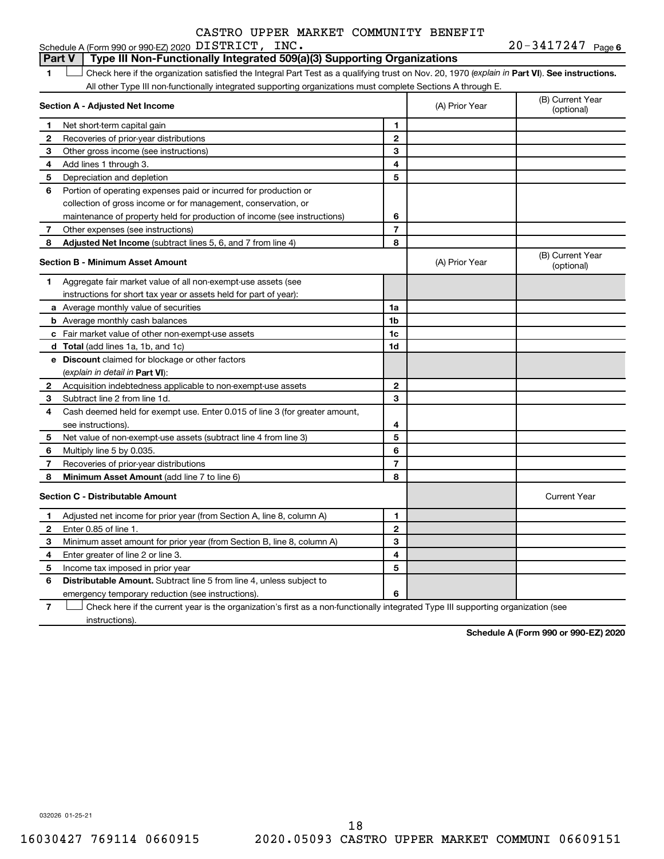**6** DISTRICT, INC. 20-3417247

#### Schedule A (Form 990 or 990-EZ) 2020 DISTRICT, INC. **Part V Type III Non-Functionally Integrated 509(a)(3) Supporting Organizations**

1 **Letter See instructions.** Check here if the organization satisfied the Integral Part Test as a qualifying trust on Nov. 20, 1970 (*explain in* Part **VI**). See instructions. All other Type III non-functionally integrated supporting organizations must complete Sections A through E.

|    |                                                                             |                |                | (B) Current Year               |
|----|-----------------------------------------------------------------------------|----------------|----------------|--------------------------------|
|    | Section A - Adjusted Net Income                                             |                | (A) Prior Year | (optional)                     |
| 1. | Net short-term capital gain                                                 | 1              |                |                                |
| 2  | Recoveries of prior-year distributions                                      | $\mathbf{2}$   |                |                                |
| З  | Other gross income (see instructions)                                       | 3              |                |                                |
| 4  | Add lines 1 through 3.                                                      | 4              |                |                                |
| 5  | Depreciation and depletion                                                  | 5              |                |                                |
| 6  | Portion of operating expenses paid or incurred for production or            |                |                |                                |
|    | collection of gross income or for management, conservation, or              |                |                |                                |
|    | maintenance of property held for production of income (see instructions)    | 6              |                |                                |
| 7  | Other expenses (see instructions)                                           | $\overline{7}$ |                |                                |
| 8  | Adjusted Net Income (subtract lines 5, 6, and 7 from line 4)                | 8              |                |                                |
|    | <b>Section B - Minimum Asset Amount</b>                                     |                | (A) Prior Year | (B) Current Year<br>(optional) |
| 1  | Aggregate fair market value of all non-exempt-use assets (see               |                |                |                                |
|    | instructions for short tax year or assets held for part of year):           |                |                |                                |
|    | <b>a</b> Average monthly value of securities                                | 1a             |                |                                |
|    | <b>b</b> Average monthly cash balances                                      | 1 <sub>b</sub> |                |                                |
|    | c Fair market value of other non-exempt-use assets                          | 1c             |                |                                |
|    | <b>d</b> Total (add lines 1a, 1b, and 1c)                                   | 1d             |                |                                |
|    | e Discount claimed for blockage or other factors                            |                |                |                                |
|    | (explain in detail in Part VI):                                             |                |                |                                |
| 2  | Acquisition indebtedness applicable to non-exempt-use assets                | $\mathbf{2}$   |                |                                |
| З  | Subtract line 2 from line 1d.                                               | 3              |                |                                |
| 4  | Cash deemed held for exempt use. Enter 0.015 of line 3 (for greater amount, |                |                |                                |
|    | see instructions)                                                           | 4              |                |                                |
| 5  | Net value of non-exempt-use assets (subtract line 4 from line 3)            | 5              |                |                                |
| 6  | Multiply line 5 by 0.035.                                                   | 6              |                |                                |
| 7  | Recoveries of prior-year distributions                                      | 7              |                |                                |
| 8  | Minimum Asset Amount (add line 7 to line 6)                                 | 8              |                |                                |
|    | <b>Section C - Distributable Amount</b>                                     |                |                | <b>Current Year</b>            |
| 1  | Adjusted net income for prior year (from Section A, line 8, column A)       | 1              |                |                                |
| 2  | Enter 0.85 of line 1.                                                       | $\overline{2}$ |                |                                |
| 3  | Minimum asset amount for prior year (from Section B, line 8, column A)      | 3              |                |                                |
| 4  | Enter greater of line 2 or line 3.                                          | 4              |                |                                |
| 5  | Income tax imposed in prior year                                            | 5              |                |                                |
| 6  | Distributable Amount. Subtract line 5 from line 4, unless subject to        |                |                |                                |
|    | emergency temporary reduction (see instructions).                           | 6              |                |                                |
|    |                                                                             |                |                |                                |

**7** Check here if the current year is the organization's first as a non-functionally integrated Type III supporting organization (see † instructions).

**Schedule A (Form 990 or 990-EZ) 2020**

032026 01-25-21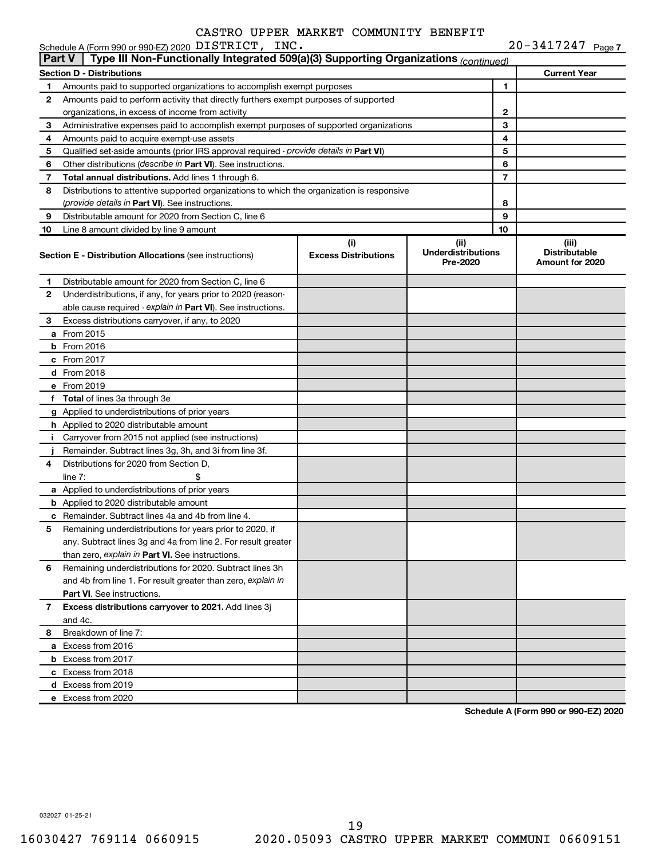20-3417247 Page 7 Schedule A (Form 990 or 990-EZ) 2020  $\, {\rm DISTERTCT}$  ,  $\, {\rm INC}$  .  $\, 20-3417247$   $\,$   $_{\rm Page}$ 

| <b>Part V</b> | Type III Non-Functionally Integrated 509(a)(3) Supporting Organizations (continued)        |                                    |                                                |    |                                                  |
|---------------|--------------------------------------------------------------------------------------------|------------------------------------|------------------------------------------------|----|--------------------------------------------------|
|               | Section D - Distributions                                                                  |                                    |                                                |    | <b>Current Year</b>                              |
| 1.            | Amounts paid to supported organizations to accomplish exempt purposes                      |                                    |                                                | 1  |                                                  |
| $\mathbf{2}$  | Amounts paid to perform activity that directly furthers exempt purposes of supported       |                                    |                                                |    |                                                  |
|               | organizations, in excess of income from activity                                           |                                    | 2                                              |    |                                                  |
| 3             | Administrative expenses paid to accomplish exempt purposes of supported organizations      |                                    |                                                | 3  |                                                  |
| 4             | Amounts paid to acquire exempt-use assets                                                  |                                    |                                                | 4  |                                                  |
| 5             | Qualified set-aside amounts (prior IRS approval required - provide details in Part VI)     |                                    |                                                | 5  |                                                  |
| 6             | Other distributions ( <i>describe in Part VI</i> ). See instructions.                      |                                    |                                                | 6  |                                                  |
| 7             | Total annual distributions. Add lines 1 through 6.                                         |                                    |                                                | 7  |                                                  |
| 8             | Distributions to attentive supported organizations to which the organization is responsive |                                    |                                                |    |                                                  |
|               | (provide details in Part VI). See instructions.                                            |                                    |                                                | 8  |                                                  |
| 9             | Distributable amount for 2020 from Section C, line 6                                       |                                    |                                                | 9  |                                                  |
| 10            | Line 8 amount divided by line 9 amount                                                     |                                    |                                                | 10 |                                                  |
|               | <b>Section E - Distribution Allocations (see instructions)</b>                             | (i)<br><b>Excess Distributions</b> | (iii)<br><b>Underdistributions</b><br>Pre-2020 |    | (iii)<br><b>Distributable</b><br>Amount for 2020 |
| 1.            | Distributable amount for 2020 from Section C, line 6                                       |                                    |                                                |    |                                                  |
| $\mathbf{2}$  | Underdistributions, if any, for years prior to 2020 (reason-                               |                                    |                                                |    |                                                  |
|               | able cause required - explain in Part VI). See instructions.                               |                                    |                                                |    |                                                  |
| 3             | Excess distributions carryover, if any, to 2020                                            |                                    |                                                |    |                                                  |
| а             | From 2015                                                                                  |                                    |                                                |    |                                                  |
| b             | From 2016                                                                                  |                                    |                                                |    |                                                  |
|               | $c$ From 2017                                                                              |                                    |                                                |    |                                                  |
|               | <b>d</b> From 2018                                                                         |                                    |                                                |    |                                                  |
|               | e From 2019                                                                                |                                    |                                                |    |                                                  |
|               | f Total of lines 3a through 3e                                                             |                                    |                                                |    |                                                  |
|               | g Applied to underdistributions of prior years                                             |                                    |                                                |    |                                                  |
|               | <b>h</b> Applied to 2020 distributable amount                                              |                                    |                                                |    |                                                  |
| Ť.            | Carryover from 2015 not applied (see instructions)                                         |                                    |                                                |    |                                                  |
|               | Remainder. Subtract lines 3g, 3h, and 3i from line 3f.                                     |                                    |                                                |    |                                                  |
| 4             | Distributions for 2020 from Section D,                                                     |                                    |                                                |    |                                                  |
|               | line $7:$<br>\$                                                                            |                                    |                                                |    |                                                  |
|               | a Applied to underdistributions of prior years                                             |                                    |                                                |    |                                                  |
|               | <b>b</b> Applied to 2020 distributable amount                                              |                                    |                                                |    |                                                  |
| c             | Remainder. Subtract lines 4a and 4b from line 4.                                           |                                    |                                                |    |                                                  |
| 5             | Remaining underdistributions for years prior to 2020, if                                   |                                    |                                                |    |                                                  |
|               | any. Subtract lines 3g and 4a from line 2. For result greater                              |                                    |                                                |    |                                                  |
|               | than zero, explain in Part VI. See instructions.                                           |                                    |                                                |    |                                                  |
| 6             | Remaining underdistributions for 2020. Subtract lines 3h                                   |                                    |                                                |    |                                                  |
|               | and 4b from line 1. For result greater than zero, explain in                               |                                    |                                                |    |                                                  |
|               | <b>Part VI.</b> See instructions.                                                          |                                    |                                                |    |                                                  |
| 7             | Excess distributions carryover to 2021. Add lines 3j                                       |                                    |                                                |    |                                                  |
|               | and 4c.                                                                                    |                                    |                                                |    |                                                  |
| 8             | Breakdown of line 7:<br>a Excess from 2016                                                 |                                    |                                                |    |                                                  |
|               |                                                                                            |                                    |                                                |    |                                                  |
|               | <b>b</b> Excess from 2017                                                                  |                                    |                                                |    |                                                  |
|               | c Excess from 2018<br>d Excess from 2019                                                   |                                    |                                                |    |                                                  |
|               |                                                                                            |                                    |                                                |    |                                                  |
|               | e Excess from 2020                                                                         |                                    |                                                |    |                                                  |

**Schedule A (Form 990 or 990-EZ) 2020**

032027 01-25-21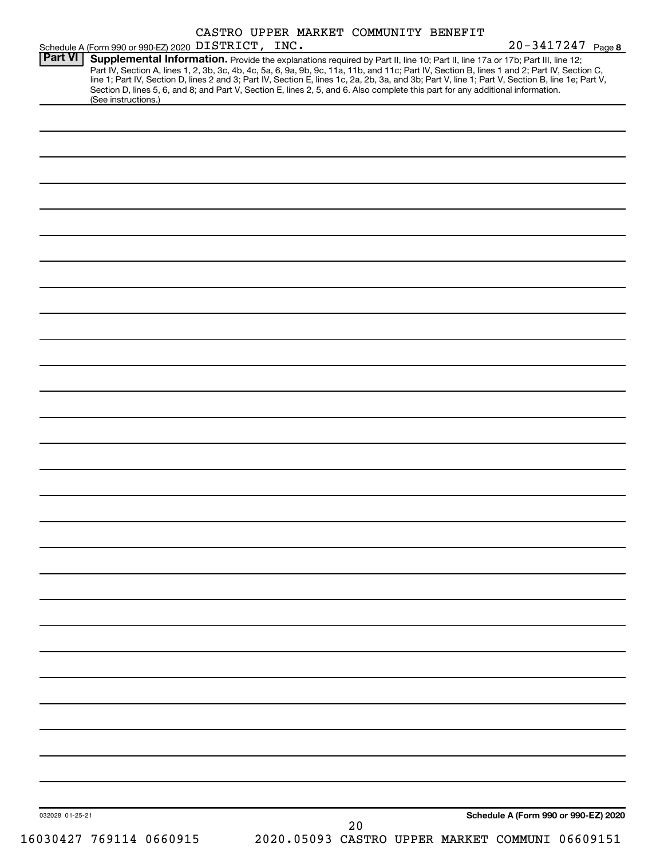|                 | Schedule A (Form 990 or 990-EZ) 2020 DISTRICT, INC.                                                                                                                                                                                                                                                                                                                                                                                                                                                                                                                                         |  | CASTRO UPPER MARKET COMMUNITY BENEFIT |  |                                                 | $20 - 3417247$ Page 8 |
|-----------------|---------------------------------------------------------------------------------------------------------------------------------------------------------------------------------------------------------------------------------------------------------------------------------------------------------------------------------------------------------------------------------------------------------------------------------------------------------------------------------------------------------------------------------------------------------------------------------------------|--|---------------------------------------|--|-------------------------------------------------|-----------------------|
| <b>Part VI</b>  | Supplemental Information. Provide the explanations required by Part II, line 10; Part II, line 17a or 17b; Part III, line 12;<br>Part IV, Section A, lines 1, 2, 3b, 3c, 4b, 4c, 5a, 6, 9a, 9b, 9c, 11a, 11b, and 11c; Part IV, Section B, lines 1 and 2; Part IV, Section C,<br>line 1; Part IV, Section D, lines 2 and 3; Part IV, Section E, lines 1c, 2a, 2b, 3a, and 3b; Part V, line 1; Part V, Section B, line 1e; Part V,<br>Section D, lines 5, 6, and 8; and Part V, Section E, lines 2, 5, and 6. Also complete this part for any additional information.<br>(See instructions.) |  |                                       |  |                                                 |                       |
|                 |                                                                                                                                                                                                                                                                                                                                                                                                                                                                                                                                                                                             |  |                                       |  |                                                 |                       |
|                 |                                                                                                                                                                                                                                                                                                                                                                                                                                                                                                                                                                                             |  |                                       |  |                                                 |                       |
|                 |                                                                                                                                                                                                                                                                                                                                                                                                                                                                                                                                                                                             |  |                                       |  |                                                 |                       |
|                 |                                                                                                                                                                                                                                                                                                                                                                                                                                                                                                                                                                                             |  |                                       |  |                                                 |                       |
|                 |                                                                                                                                                                                                                                                                                                                                                                                                                                                                                                                                                                                             |  |                                       |  |                                                 |                       |
|                 |                                                                                                                                                                                                                                                                                                                                                                                                                                                                                                                                                                                             |  |                                       |  |                                                 |                       |
|                 |                                                                                                                                                                                                                                                                                                                                                                                                                                                                                                                                                                                             |  |                                       |  |                                                 |                       |
|                 |                                                                                                                                                                                                                                                                                                                                                                                                                                                                                                                                                                                             |  |                                       |  |                                                 |                       |
|                 |                                                                                                                                                                                                                                                                                                                                                                                                                                                                                                                                                                                             |  |                                       |  |                                                 |                       |
|                 |                                                                                                                                                                                                                                                                                                                                                                                                                                                                                                                                                                                             |  |                                       |  |                                                 |                       |
|                 |                                                                                                                                                                                                                                                                                                                                                                                                                                                                                                                                                                                             |  |                                       |  |                                                 |                       |
|                 |                                                                                                                                                                                                                                                                                                                                                                                                                                                                                                                                                                                             |  |                                       |  |                                                 |                       |
|                 |                                                                                                                                                                                                                                                                                                                                                                                                                                                                                                                                                                                             |  |                                       |  |                                                 |                       |
|                 |                                                                                                                                                                                                                                                                                                                                                                                                                                                                                                                                                                                             |  |                                       |  |                                                 |                       |
|                 |                                                                                                                                                                                                                                                                                                                                                                                                                                                                                                                                                                                             |  |                                       |  |                                                 |                       |
|                 |                                                                                                                                                                                                                                                                                                                                                                                                                                                                                                                                                                                             |  |                                       |  |                                                 |                       |
|                 |                                                                                                                                                                                                                                                                                                                                                                                                                                                                                                                                                                                             |  |                                       |  |                                                 |                       |
|                 |                                                                                                                                                                                                                                                                                                                                                                                                                                                                                                                                                                                             |  |                                       |  |                                                 |                       |
|                 |                                                                                                                                                                                                                                                                                                                                                                                                                                                                                                                                                                                             |  |                                       |  |                                                 |                       |
|                 |                                                                                                                                                                                                                                                                                                                                                                                                                                                                                                                                                                                             |  |                                       |  |                                                 |                       |
|                 |                                                                                                                                                                                                                                                                                                                                                                                                                                                                                                                                                                                             |  |                                       |  |                                                 |                       |
|                 |                                                                                                                                                                                                                                                                                                                                                                                                                                                                                                                                                                                             |  |                                       |  |                                                 |                       |
|                 |                                                                                                                                                                                                                                                                                                                                                                                                                                                                                                                                                                                             |  |                                       |  |                                                 |                       |
|                 |                                                                                                                                                                                                                                                                                                                                                                                                                                                                                                                                                                                             |  |                                       |  |                                                 |                       |
|                 |                                                                                                                                                                                                                                                                                                                                                                                                                                                                                                                                                                                             |  |                                       |  |                                                 |                       |
|                 |                                                                                                                                                                                                                                                                                                                                                                                                                                                                                                                                                                                             |  |                                       |  |                                                 |                       |
|                 |                                                                                                                                                                                                                                                                                                                                                                                                                                                                                                                                                                                             |  |                                       |  |                                                 |                       |
|                 |                                                                                                                                                                                                                                                                                                                                                                                                                                                                                                                                                                                             |  |                                       |  |                                                 |                       |
| 032028 01-25-21 |                                                                                                                                                                                                                                                                                                                                                                                                                                                                                                                                                                                             |  |                                       |  | Schedule A (Form 990 or 990-EZ) 2020            |                       |
|                 | 16030427 769114 0660915                                                                                                                                                                                                                                                                                                                                                                                                                                                                                                                                                                     |  | 20                                    |  | 2020.05093 CASTRO UPPER MARKET COMMUNI 06609151 |                       |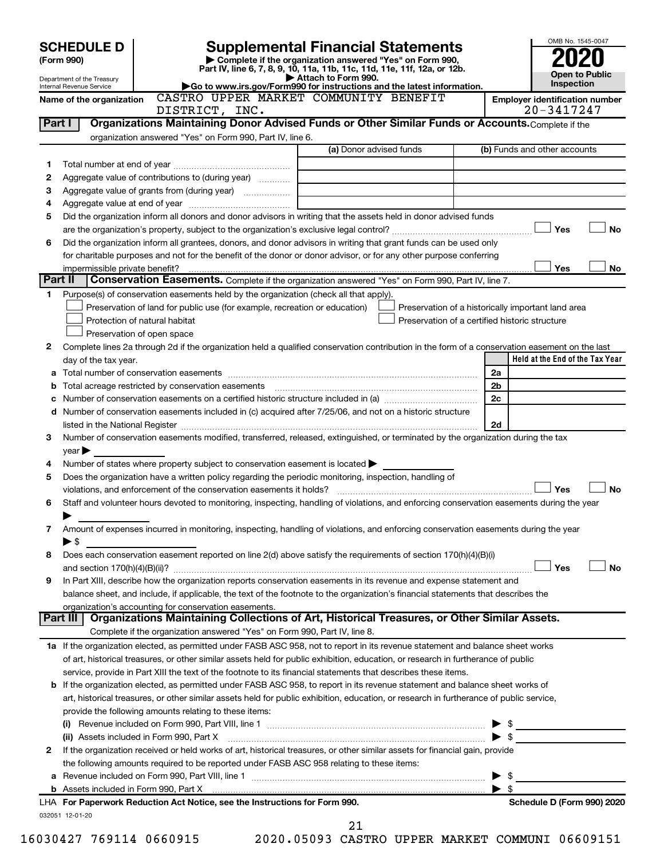|         | <b>SCHEDULE D</b>              |                                                                                                   | <b>Supplemental Financial Statements</b>                                                                                                       | OMB No. 1545-0047                                   |
|---------|--------------------------------|---------------------------------------------------------------------------------------------------|------------------------------------------------------------------------------------------------------------------------------------------------|-----------------------------------------------------|
|         | (Form 990)                     |                                                                                                   | Complete if the organization answered "Yes" on Form 990,                                                                                       |                                                     |
|         | Department of the Treasury     |                                                                                                   | Part IV, line 6, 7, 8, 9, 10, 11a, 11b, 11c, 11d, 11e, 11f, 12a, or 12b.<br>Attach to Form 990.                                                | <b>Open to Public</b>                               |
|         | Internal Revenue Service       |                                                                                                   | Go to www.irs.gov/Form990 for instructions and the latest information.                                                                         | Inspection                                          |
|         | Name of the organization       |                                                                                                   | CASTRO UPPER MARKET COMMUNITY BENEFIT                                                                                                          | <b>Employer identification number</b><br>20-3417247 |
| Part I  |                                | DISTRICT, INC.                                                                                    | Organizations Maintaining Donor Advised Funds or Other Similar Funds or Accounts. Complete if the                                              |                                                     |
|         |                                | organization answered "Yes" on Form 990, Part IV, line 6.                                         |                                                                                                                                                |                                                     |
|         |                                |                                                                                                   | (a) Donor advised funds                                                                                                                        | (b) Funds and other accounts                        |
| 1       |                                |                                                                                                   |                                                                                                                                                |                                                     |
| 2       |                                | Aggregate value of contributions to (during year)                                                 |                                                                                                                                                |                                                     |
| З       |                                | Aggregate value of grants from (during year)                                                      |                                                                                                                                                |                                                     |
| 4       |                                |                                                                                                   |                                                                                                                                                |                                                     |
| 5       |                                |                                                                                                   | Did the organization inform all donors and donor advisors in writing that the assets held in donor advised funds                               |                                                     |
|         |                                |                                                                                                   |                                                                                                                                                | Yes<br><b>No</b>                                    |
| 6       |                                |                                                                                                   | Did the organization inform all grantees, donors, and donor advisors in writing that grant funds can be used only                              |                                                     |
|         |                                |                                                                                                   | for charitable purposes and not for the benefit of the donor or donor advisor, or for any other purpose conferring                             |                                                     |
| Part II | impermissible private benefit? |                                                                                                   | Conservation Easements. Complete if the organization answered "Yes" on Form 990, Part IV, line 7.                                              | Yes<br>No                                           |
| 1.      |                                | Purpose(s) of conservation easements held by the organization (check all that apply).             |                                                                                                                                                |                                                     |
|         |                                | Preservation of land for public use (for example, recreation or education)                        |                                                                                                                                                | Preservation of a historically important land area  |
|         |                                | Protection of natural habitat                                                                     |                                                                                                                                                | Preservation of a certified historic structure      |
|         |                                | Preservation of open space                                                                        |                                                                                                                                                |                                                     |
| 2       |                                |                                                                                                   | Complete lines 2a through 2d if the organization held a qualified conservation contribution in the form of a conservation easement on the last |                                                     |
|         | day of the tax year.           |                                                                                                   |                                                                                                                                                | Held at the End of the Tax Year                     |
|         |                                |                                                                                                   |                                                                                                                                                | 2a                                                  |
| b       |                                |                                                                                                   |                                                                                                                                                | 2b                                                  |
| с       |                                |                                                                                                   |                                                                                                                                                | 2c                                                  |
|         |                                |                                                                                                   | d Number of conservation easements included in (c) acquired after 7/25/06, and not on a historic structure                                     |                                                     |
|         |                                |                                                                                                   |                                                                                                                                                | 2d                                                  |
| 3       |                                |                                                                                                   | Number of conservation easements modified, transferred, released, extinguished, or terminated by the organization during the tax               |                                                     |
| 4       | $year \blacktriangleright$     | Number of states where property subject to conservation easement is located $\blacktriangleright$ |                                                                                                                                                |                                                     |
| 5       |                                |                                                                                                   | Does the organization have a written policy regarding the periodic monitoring, inspection, handling of                                         |                                                     |
|         |                                |                                                                                                   |                                                                                                                                                | Yes<br><b>No</b>                                    |
| 6       |                                |                                                                                                   | Staff and volunteer hours devoted to monitoring, inspecting, handling of violations, and enforcing conservation easements during the year      |                                                     |
|         | ⋗                              |                                                                                                   |                                                                                                                                                |                                                     |
| 7       |                                |                                                                                                   | Amount of expenses incurred in monitoring, inspecting, handling of violations, and enforcing conservation easements during the year            |                                                     |
|         | $\blacktriangleright$ \$       |                                                                                                   |                                                                                                                                                |                                                     |
| 8       |                                |                                                                                                   | Does each conservation easement reported on line 2(d) above satisfy the requirements of section 170(h)(4)(B)(i)                                |                                                     |
|         |                                |                                                                                                   |                                                                                                                                                | Yes<br><b>No</b>                                    |
| 9       |                                |                                                                                                   | In Part XIII, describe how the organization reports conservation easements in its revenue and expense statement and                            |                                                     |
|         |                                | organization's accounting for conservation easements.                                             | balance sheet, and include, if applicable, the text of the footnote to the organization's financial statements that describes the              |                                                     |
|         | Part III                       |                                                                                                   | Organizations Maintaining Collections of Art, Historical Treasures, or Other Similar Assets.                                                   |                                                     |
|         |                                | Complete if the organization answered "Yes" on Form 990, Part IV, line 8.                         |                                                                                                                                                |                                                     |
|         |                                |                                                                                                   | 1a If the organization elected, as permitted under FASB ASC 958, not to report in its revenue statement and balance sheet works                |                                                     |
|         |                                |                                                                                                   | of art, historical treasures, or other similar assets held for public exhibition, education, or research in furtherance of public              |                                                     |
|         |                                |                                                                                                   | service, provide in Part XIII the text of the footnote to its financial statements that describes these items.                                 |                                                     |
|         |                                |                                                                                                   | <b>b</b> If the organization elected, as permitted under FASB ASC 958, to report in its revenue statement and balance sheet works of           |                                                     |
|         |                                |                                                                                                   | art, historical treasures, or other similar assets held for public exhibition, education, or research in furtherance of public service,        |                                                     |
|         |                                | provide the following amounts relating to these items:                                            |                                                                                                                                                |                                                     |
|         |                                |                                                                                                   |                                                                                                                                                | \$                                                  |
|         |                                | (ii) Assets included in Form 990, Part X                                                          |                                                                                                                                                | \$                                                  |
| 2       |                                |                                                                                                   | If the organization received or held works of art, historical treasures, or other similar assets for financial gain, provide                   |                                                     |
|         |                                | the following amounts required to be reported under FASB ASC 958 relating to these items:         |                                                                                                                                                | \$                                                  |
|         |                                |                                                                                                   |                                                                                                                                                | \$<br>►                                             |
|         |                                | LHA For Paperwork Reduction Act Notice, see the Instructions for Form 990.                        |                                                                                                                                                | Schedule D (Form 990) 2020                          |
|         | 032051 12-01-20                |                                                                                                   |                                                                                                                                                |                                                     |
|         |                                |                                                                                                   | 21                                                                                                                                             |                                                     |

16030427 769114 0660915 2020.05093 CASTRO UPPER MARKET COMMUNI 06609151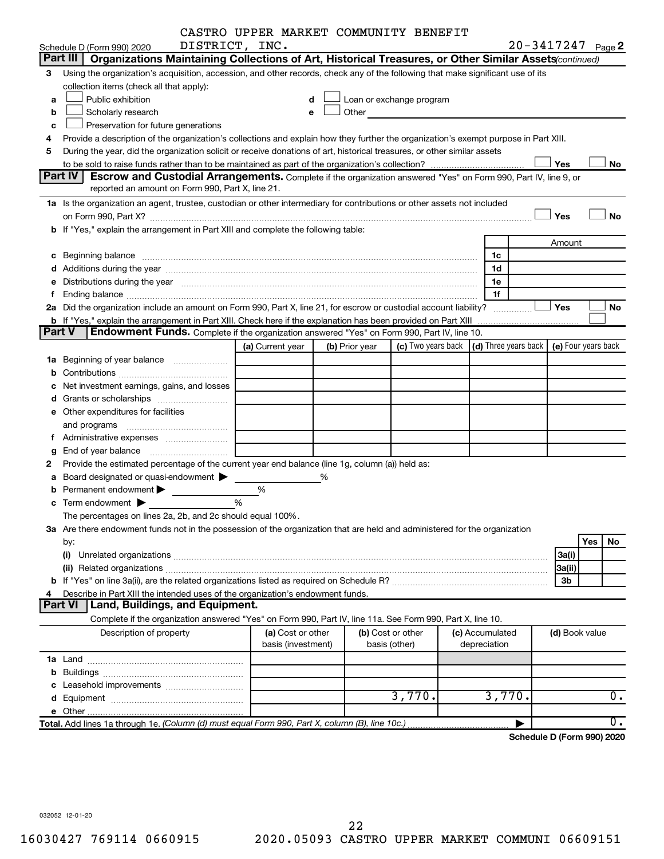|        |                                                                                                                                                                                                                                | CASTRO UPPER MARKET COMMUNITY BENEFIT   |   |                |                                                                                                                                                                                                                               |                                 |                            |     |                  |
|--------|--------------------------------------------------------------------------------------------------------------------------------------------------------------------------------------------------------------------------------|-----------------------------------------|---|----------------|-------------------------------------------------------------------------------------------------------------------------------------------------------------------------------------------------------------------------------|---------------------------------|----------------------------|-----|------------------|
|        | DISTRICT, INC.<br>Schedule D (Form 990) 2020                                                                                                                                                                                   |                                         |   |                |                                                                                                                                                                                                                               |                                 | $20 - 3417247$ Page 2      |     |                  |
|        | Part III   Organizations Maintaining Collections of Art, Historical Treasures, or Other Similar Assets (continued)                                                                                                             |                                         |   |                |                                                                                                                                                                                                                               |                                 |                            |     |                  |
| 3      | Using the organization's acquisition, accession, and other records, check any of the following that make significant use of its                                                                                                |                                         |   |                |                                                                                                                                                                                                                               |                                 |                            |     |                  |
|        | collection items (check all that apply):                                                                                                                                                                                       |                                         |   |                |                                                                                                                                                                                                                               |                                 |                            |     |                  |
| a      | Public exhibition                                                                                                                                                                                                              |                                         |   |                | Loan or exchange program                                                                                                                                                                                                      |                                 |                            |     |                  |
| b      | Scholarly research                                                                                                                                                                                                             |                                         |   |                | Other and the contract of the contract of the contract of the contract of the contract of the contract of the contract of the contract of the contract of the contract of the contract of the contract of the contract of the |                                 |                            |     |                  |
| с      | Preservation for future generations                                                                                                                                                                                            |                                         |   |                |                                                                                                                                                                                                                               |                                 |                            |     |                  |
|        | Provide a description of the organization's collections and explain how they further the organization's exempt purpose in Part XIII.                                                                                           |                                         |   |                |                                                                                                                                                                                                                               |                                 |                            |     |                  |
| 5      | During the year, did the organization solicit or receive donations of art, historical treasures, or other similar assets                                                                                                       |                                         |   |                |                                                                                                                                                                                                                               |                                 |                            |     |                  |
|        |                                                                                                                                                                                                                                |                                         |   |                |                                                                                                                                                                                                                               |                                 | Yes                        |     | No               |
|        | <b>Part IV</b><br><b>Escrow and Custodial Arrangements.</b> Complete if the organization answered "Yes" on Form 990, Part IV, line 9, or                                                                                       |                                         |   |                |                                                                                                                                                                                                                               |                                 |                            |     |                  |
|        | reported an amount on Form 990, Part X, line 21.                                                                                                                                                                               |                                         |   |                |                                                                                                                                                                                                                               |                                 |                            |     |                  |
|        | 1a Is the organization an agent, trustee, custodian or other intermediary for contributions or other assets not included                                                                                                       |                                         |   |                |                                                                                                                                                                                                                               |                                 |                            |     |                  |
|        |                                                                                                                                                                                                                                |                                         |   |                |                                                                                                                                                                                                                               |                                 | Yes                        |     | No               |
|        | b If "Yes," explain the arrangement in Part XIII and complete the following table:                                                                                                                                             |                                         |   |                |                                                                                                                                                                                                                               |                                 |                            |     |                  |
|        |                                                                                                                                                                                                                                |                                         |   |                |                                                                                                                                                                                                                               |                                 | Amount                     |     |                  |
|        |                                                                                                                                                                                                                                |                                         |   |                |                                                                                                                                                                                                                               | 1c                              |                            |     |                  |
|        |                                                                                                                                                                                                                                |                                         |   |                |                                                                                                                                                                                                                               | 1d                              |                            |     |                  |
|        | e Distributions during the year manufactured and contain an account of the year manufactured and the year manufactured and the year manufactured and the year manufactured and the year manufactured and the year manufactured |                                         |   |                |                                                                                                                                                                                                                               | 1e                              |                            |     |                  |
|        |                                                                                                                                                                                                                                |                                         |   |                |                                                                                                                                                                                                                               | 1f                              |                            |     |                  |
|        | 2a Did the organization include an amount on Form 990, Part X, line 21, for escrow or custodial account liability?                                                                                                             |                                         |   |                |                                                                                                                                                                                                                               | .                               | Yes                        |     | No               |
|        | <b>b</b> If "Yes," explain the arrangement in Part XIII. Check here if the explanation has been provided on Part XIII                                                                                                          |                                         |   |                |                                                                                                                                                                                                                               |                                 |                            |     |                  |
| Part V | <b>Endowment Funds.</b> Complete if the organization answered "Yes" on Form 990, Part IV, line 10.                                                                                                                             |                                         |   |                |                                                                                                                                                                                                                               |                                 |                            |     |                  |
|        |                                                                                                                                                                                                                                | (a) Current year                        |   | (b) Prior year | (c) Two years back $\vert$ (d) Three years back $\vert$                                                                                                                                                                       |                                 | (e) Four years back        |     |                  |
|        |                                                                                                                                                                                                                                |                                         |   |                |                                                                                                                                                                                                                               |                                 |                            |     |                  |
|        |                                                                                                                                                                                                                                |                                         |   |                |                                                                                                                                                                                                                               |                                 |                            |     |                  |
|        | Net investment earnings, gains, and losses                                                                                                                                                                                     |                                         |   |                |                                                                                                                                                                                                                               |                                 |                            |     |                  |
|        |                                                                                                                                                                                                                                |                                         |   |                |                                                                                                                                                                                                                               |                                 |                            |     |                  |
|        | e Other expenditures for facilities                                                                                                                                                                                            |                                         |   |                |                                                                                                                                                                                                                               |                                 |                            |     |                  |
|        |                                                                                                                                                                                                                                |                                         |   |                |                                                                                                                                                                                                                               |                                 |                            |     |                  |
|        |                                                                                                                                                                                                                                |                                         |   |                |                                                                                                                                                                                                                               |                                 |                            |     |                  |
| g      |                                                                                                                                                                                                                                |                                         |   |                |                                                                                                                                                                                                                               |                                 |                            |     |                  |
|        | Provide the estimated percentage of the current year end balance (line 1g, column (a)) held as:                                                                                                                                |                                         |   |                |                                                                                                                                                                                                                               |                                 |                            |     |                  |
|        | a Board designated or quasi-endowment >                                                                                                                                                                                        |                                         | % |                |                                                                                                                                                                                                                               |                                 |                            |     |                  |
|        | Permanent endowment >                                                                                                                                                                                                          | %                                       |   |                |                                                                                                                                                                                                                               |                                 |                            |     |                  |
|        | <b>c</b> Term endowment $\blacktriangleright$                                                                                                                                                                                  | %                                       |   |                |                                                                                                                                                                                                                               |                                 |                            |     |                  |
|        | The percentages on lines 2a, 2b, and 2c should equal 100%.                                                                                                                                                                     |                                         |   |                |                                                                                                                                                                                                                               |                                 |                            |     |                  |
|        | 3a Are there endowment funds not in the possession of the organization that are held and administered for the organization                                                                                                     |                                         |   |                |                                                                                                                                                                                                                               |                                 |                            |     |                  |
|        |                                                                                                                                                                                                                                |                                         |   |                |                                                                                                                                                                                                                               |                                 |                            | Yes | No               |
|        | by:<br>(i)                                                                                                                                                                                                                     |                                         |   |                |                                                                                                                                                                                                                               |                                 | 3a(i)                      |     |                  |
|        |                                                                                                                                                                                                                                |                                         |   |                |                                                                                                                                                                                                                               |                                 |                            |     |                  |
|        |                                                                                                                                                                                                                                |                                         |   |                |                                                                                                                                                                                                                               |                                 | 3a(ii)<br>3b               |     |                  |
|        | Describe in Part XIII the intended uses of the organization's endowment funds.                                                                                                                                                 |                                         |   |                |                                                                                                                                                                                                                               |                                 |                            |     |                  |
|        | <b>Part VI</b><br>Land, Buildings, and Equipment.                                                                                                                                                                              |                                         |   |                |                                                                                                                                                                                                                               |                                 |                            |     |                  |
|        | Complete if the organization answered "Yes" on Form 990, Part IV, line 11a. See Form 990, Part X, line 10.                                                                                                                     |                                         |   |                |                                                                                                                                                                                                                               |                                 |                            |     |                  |
|        |                                                                                                                                                                                                                                |                                         |   |                |                                                                                                                                                                                                                               |                                 |                            |     |                  |
|        | Description of property                                                                                                                                                                                                        | (a) Cost or other<br>basis (investment) |   |                | (b) Cost or other<br>basis (other)                                                                                                                                                                                            | (c) Accumulated<br>depreciation | (d) Book value             |     |                  |
|        |                                                                                                                                                                                                                                |                                         |   |                |                                                                                                                                                                                                                               |                                 |                            |     |                  |
|        |                                                                                                                                                                                                                                |                                         |   |                |                                                                                                                                                                                                                               |                                 |                            |     |                  |
|        |                                                                                                                                                                                                                                |                                         |   |                |                                                                                                                                                                                                                               |                                 |                            |     |                  |
|        |                                                                                                                                                                                                                                |                                         |   |                |                                                                                                                                                                                                                               |                                 |                            |     |                  |
|        |                                                                                                                                                                                                                                |                                         |   |                | 3,770.                                                                                                                                                                                                                        | 3,770.                          |                            |     | $\overline{0}$ . |
|        |                                                                                                                                                                                                                                |                                         |   |                |                                                                                                                                                                                                                               |                                 |                            |     |                  |
|        | Total. Add lines 1a through 1e. (Column (d) must equal Form 990, Part X, column (B), line 10c.)                                                                                                                                |                                         |   |                |                                                                                                                                                                                                                               |                                 |                            |     | $\overline{0}$ . |
|        |                                                                                                                                                                                                                                |                                         |   |                |                                                                                                                                                                                                                               |                                 | Schedule D (Form 990) 2020 |     |                  |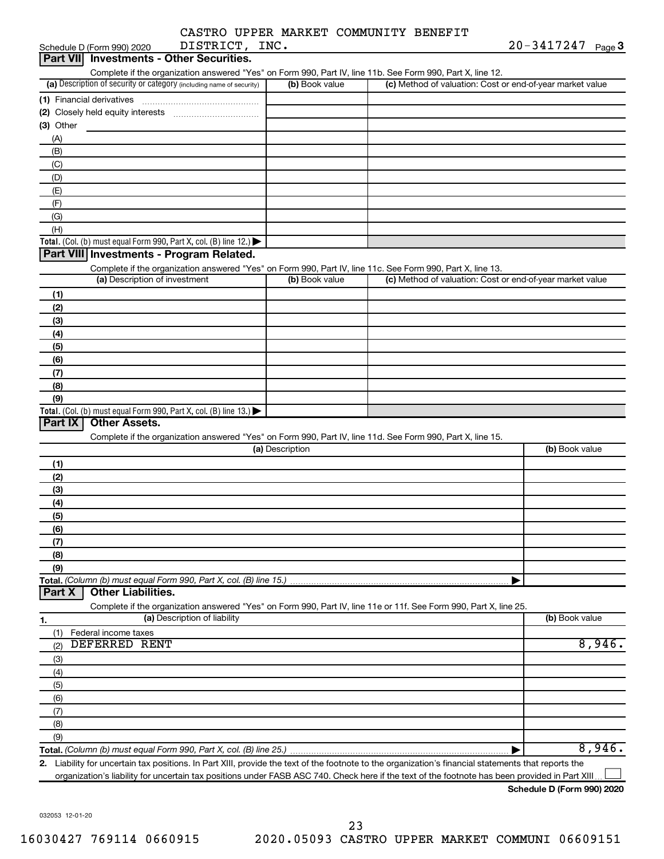| CASTRO UPPER MARKET COMMUNITY BENEFIT |  |  |  |  |  |
|---------------------------------------|--|--|--|--|--|
|---------------------------------------|--|--|--|--|--|

| DISTRICT, INC.<br>Schedule D (Form 990) 2020                                                                                                         |                 | $20 - 3417247$ Page 3                                                                                                                          |
|------------------------------------------------------------------------------------------------------------------------------------------------------|-----------------|------------------------------------------------------------------------------------------------------------------------------------------------|
| Part VII Investments - Other Securities.                                                                                                             |                 |                                                                                                                                                |
| Complete if the organization answered "Yes" on Form 990, Part IV, line 11b. See Form 990, Part X, line 12.                                           |                 |                                                                                                                                                |
| (a) Description of security or category (including name of security)                                                                                 | (b) Book value  | (c) Method of valuation: Cost or end-of-year market value                                                                                      |
| (1) Financial derivatives                                                                                                                            |                 |                                                                                                                                                |
|                                                                                                                                                      |                 |                                                                                                                                                |
| $(3)$ Other                                                                                                                                          |                 |                                                                                                                                                |
| (A)                                                                                                                                                  |                 |                                                                                                                                                |
| (B)                                                                                                                                                  |                 |                                                                                                                                                |
| (C)                                                                                                                                                  |                 |                                                                                                                                                |
| (D)                                                                                                                                                  |                 |                                                                                                                                                |
| (E)                                                                                                                                                  |                 |                                                                                                                                                |
| (F)                                                                                                                                                  |                 |                                                                                                                                                |
| (G)                                                                                                                                                  |                 |                                                                                                                                                |
| (H)                                                                                                                                                  |                 |                                                                                                                                                |
| Total. (Col. (b) must equal Form 990, Part X, col. (B) line 12.) $\blacktriangleright$                                                               |                 |                                                                                                                                                |
| Part VIII Investments - Program Related.                                                                                                             |                 |                                                                                                                                                |
| Complete if the organization answered "Yes" on Form 990, Part IV, line 11c. See Form 990, Part X, line 13.                                           |                 |                                                                                                                                                |
| (a) Description of investment                                                                                                                        | (b) Book value  | (c) Method of valuation: Cost or end-of-year market value                                                                                      |
| (1)                                                                                                                                                  |                 |                                                                                                                                                |
| (2)                                                                                                                                                  |                 |                                                                                                                                                |
| (3)                                                                                                                                                  |                 |                                                                                                                                                |
| (4)                                                                                                                                                  |                 |                                                                                                                                                |
| (5)                                                                                                                                                  |                 |                                                                                                                                                |
| (6)                                                                                                                                                  |                 |                                                                                                                                                |
| (7)                                                                                                                                                  |                 |                                                                                                                                                |
| (8)                                                                                                                                                  |                 |                                                                                                                                                |
| (9)                                                                                                                                                  |                 |                                                                                                                                                |
| Total. (Col. (b) must equal Form 990, Part X, col. (B) line $13.$ )                                                                                  |                 |                                                                                                                                                |
| Part IX<br><b>Other Assets.</b>                                                                                                                      |                 |                                                                                                                                                |
| Complete if the organization answered "Yes" on Form 990, Part IV, line 11d. See Form 990, Part X, line 15.                                           |                 |                                                                                                                                                |
|                                                                                                                                                      | (a) Description | (b) Book value                                                                                                                                 |
| (1)                                                                                                                                                  |                 |                                                                                                                                                |
| (2)                                                                                                                                                  |                 |                                                                                                                                                |
| (3)                                                                                                                                                  |                 |                                                                                                                                                |
| (4)                                                                                                                                                  |                 |                                                                                                                                                |
| (5)                                                                                                                                                  |                 |                                                                                                                                                |
| (6)                                                                                                                                                  |                 |                                                                                                                                                |
| (7)                                                                                                                                                  |                 |                                                                                                                                                |
| (8)                                                                                                                                                  |                 |                                                                                                                                                |
| (9)<br>Total. (Column (b) must equal Form 990, Part X, col. (B) line 15.)                                                                            |                 |                                                                                                                                                |
| <b>Other Liabilities.</b><br>Part X                                                                                                                  |                 |                                                                                                                                                |
| Complete if the organization answered "Yes" on Form 990, Part IV, line 11e or 11f. See Form 990, Part X, line 25.                                    |                 |                                                                                                                                                |
| (a) Description of liability                                                                                                                         |                 | (b) Book value                                                                                                                                 |
| 1.<br>Federal income taxes                                                                                                                           |                 |                                                                                                                                                |
| (1)<br><b>DEFERRED RENT</b><br>(2)                                                                                                                   |                 | 8,946.                                                                                                                                         |
|                                                                                                                                                      |                 |                                                                                                                                                |
| (3)                                                                                                                                                  |                 |                                                                                                                                                |
| (4)                                                                                                                                                  |                 |                                                                                                                                                |
| (5)                                                                                                                                                  |                 |                                                                                                                                                |
| (6)                                                                                                                                                  |                 |                                                                                                                                                |
| (7)                                                                                                                                                  |                 |                                                                                                                                                |
| (8)                                                                                                                                                  |                 |                                                                                                                                                |
| (9)                                                                                                                                                  |                 | 8,946.                                                                                                                                         |
| 2. Liability for uncertain tax positions. In Part XIII, provide the text of the footnote to the organization's financial statements that reports the |                 |                                                                                                                                                |
|                                                                                                                                                      |                 | organization's liability for uncertain tax positions under FASB ASC 740. Check here if the text of the footnote has been provided in Part XIII |
|                                                                                                                                                      |                 |                                                                                                                                                |

**Schedule D (Form 990) 2020**

032053 12-01-20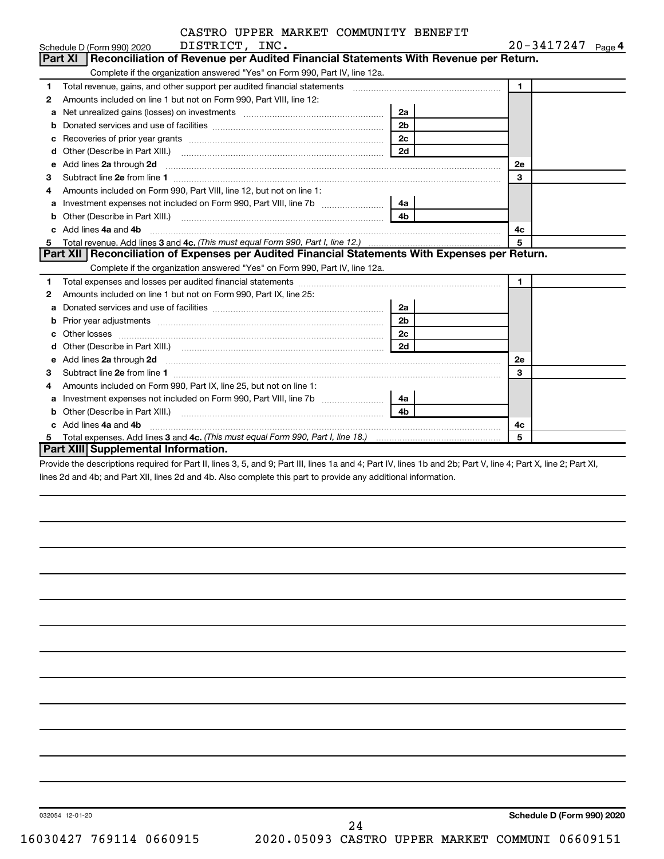| CASTRO UPPER MARKET COMMUNITY BENEFIT |  |  |  |  |  |
|---------------------------------------|--|--|--|--|--|
|---------------------------------------|--|--|--|--|--|

|    | Schedule D (Form 990) 2020 $DISTRACT$ , $INC$ .                                                                                                                                                                                     |                | $20 - 3417247$ Page 4 |  |
|----|-------------------------------------------------------------------------------------------------------------------------------------------------------------------------------------------------------------------------------------|----------------|-----------------------|--|
|    | Reconciliation of Revenue per Audited Financial Statements With Revenue per Return.<br><b>Part XI</b>                                                                                                                               |                |                       |  |
|    | Complete if the organization answered "Yes" on Form 990, Part IV, line 12a.                                                                                                                                                         |                |                       |  |
| 1  | Total revenue, gains, and other support per audited financial statements [11] [11] Total revenue, gains, and other support per audited financial statements                                                                         |                | $\mathbf{1}$          |  |
| 2  | Amounts included on line 1 but not on Form 990, Part VIII, line 12:                                                                                                                                                                 |                |                       |  |
| a  | Net unrealized gains (losses) on investments [111] [12] matter and all the unrealized gains (losses) on investments                                                                                                                 | 2a             |                       |  |
| b  |                                                                                                                                                                                                                                     | 2 <sub>b</sub> |                       |  |
| c  |                                                                                                                                                                                                                                     | 2c             |                       |  |
| d  |                                                                                                                                                                                                                                     | 2d             |                       |  |
| e  | Add lines 2a through 2d                                                                                                                                                                                                             |                | <b>2e</b>             |  |
| 3  |                                                                                                                                                                                                                                     |                | 3                     |  |
| 4  | Amounts included on Form 990, Part VIII, line 12, but not on line 1:                                                                                                                                                                |                |                       |  |
| a  | Investment expenses not included on Form 990, Part VIII, line 7b [100] [100] [100] [100] [100] [100] [100] [10                                                                                                                      | 4a l           |                       |  |
| b  |                                                                                                                                                                                                                                     | 4 <sub>b</sub> |                       |  |
|    | Add lines 4a and 4b                                                                                                                                                                                                                 |                | 4с                    |  |
| 5. |                                                                                                                                                                                                                                     |                | 5                     |  |
|    | Part XII   Reconciliation of Expenses per Audited Financial Statements With Expenses per Return.                                                                                                                                    |                |                       |  |
|    | Complete if the organization answered "Yes" on Form 990, Part IV, line 12a.                                                                                                                                                         |                |                       |  |
| 1. |                                                                                                                                                                                                                                     |                | $\blacktriangleleft$  |  |
| 2  | Amounts included on line 1 but not on Form 990, Part IX, line 25:                                                                                                                                                                   |                |                       |  |
| a  |                                                                                                                                                                                                                                     | 2a l           |                       |  |
| b  |                                                                                                                                                                                                                                     | 2 <sub>b</sub> |                       |  |
| c  |                                                                                                                                                                                                                                     | 2 <sub>c</sub> |                       |  |
| d  |                                                                                                                                                                                                                                     | 2d             |                       |  |
| e  | Add lines 2a through 2d <b>[10]</b> University of the state of the state of the state of the state of the state of the state of the state of the state of the state of the state of the state of the state of the state of the stat |                | 2е                    |  |
| 3  |                                                                                                                                                                                                                                     |                | 3                     |  |
| 4  | Amounts included on Form 990, Part IX, line 25, but not on line 1:                                                                                                                                                                  |                |                       |  |
| a  | Investment expenses not included on Form 990, Part VIII, line 7b [11, 111, 120]                                                                                                                                                     | 4a             |                       |  |
|    |                                                                                                                                                                                                                                     | 4 <sub>b</sub> |                       |  |
|    | c Add lines 4a and 4b                                                                                                                                                                                                               |                | 4с                    |  |
| 5. |                                                                                                                                                                                                                                     |                | 5                     |  |
|    | Part XIII Supplemental Information.                                                                                                                                                                                                 |                |                       |  |

Provide the descriptions required for Part II, lines 3, 5, and 9; Part III, lines 1a and 4; Part IV, lines 1b and 2b; Part V, line 4; Part X, line 2; Part XI, lines 2d and 4b; and Part XII, lines 2d and 4b. Also complete this part to provide any additional information.

032054 12-01-20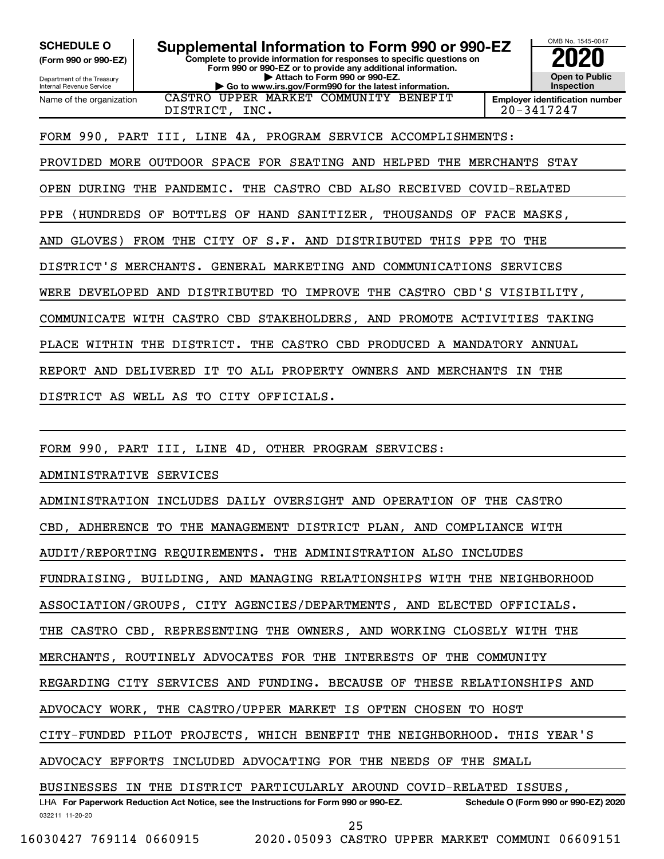**(Form 990 or 990-EZ)**

Department of the Treasury Internal Revenue Service Name of the organization

**Complete to provide information for responses to specific questions on Form 990 or 990-EZ or to provide any additional information. | Attach to Form 990 or 990-EZ. | Go to www.irs.gov/Form990 for the latest information. SCHEDULE O Supplemental Information to Form 990 or 990-EZ 2020**<br>(Form 990 or 990-EZ) **2020** 



DISTRICT, INC. 20-3417247

FORM 990, PART III, LINE 4A, PROGRAM SERVICE ACCOMPLISHMENTS:

PROVIDED MORE OUTDOOR SPACE FOR SEATING AND HELPED THE MERCHANTS STAY

CASTRO UPPER MARKET COMMUNITY BENEFIT

OPEN DURING THE PANDEMIC. THE CASTRO CBD ALSO RECEIVED COVID-RELATED

PPE (HUNDREDS OF BOTTLES OF HAND SANITIZER, THOUSANDS OF FACE MASKS,

AND GLOVES) FROM THE CITY OF S.F. AND DISTRIBUTED THIS PPE TO THE

DISTRICT'S MERCHANTS. GENERAL MARKETING AND COMMUNICATIONS SERVICES

WERE DEVELOPED AND DISTRIBUTED TO IMPROVE THE CASTRO CBD'S VISIBILITY,

COMMUNICATE WITH CASTRO CBD STAKEHOLDERS, AND PROMOTE ACTIVITIES TAKING

PLACE WITHIN THE DISTRICT. THE CASTRO CBD PRODUCED A MANDATORY ANNUAL

REPORT AND DELIVERED IT TO ALL PROPERTY OWNERS AND MERCHANTS IN THE

DISTRICT AS WELL AS TO CITY OFFICIALS.

FORM 990, PART III, LINE 4D, OTHER PROGRAM SERVICES:

ADMINISTRATIVE SERVICES

ADMINISTRATION INCLUDES DAILY OVERSIGHT AND OPERATION OF THE CASTRO

CBD, ADHERENCE TO THE MANAGEMENT DISTRICT PLAN, AND COMPLIANCE WITH

AUDIT/REPORTING REQUIREMENTS. THE ADMINISTRATION ALSO INCLUDES

FUNDRAISING, BUILDING, AND MANAGING RELATIONSHIPS WITH THE NEIGHBORHOOD

ASSOCIATION/GROUPS, CITY AGENCIES/DEPARTMENTS, AND ELECTED OFFICIALS.

THE CASTRO CBD, REPRESENTING THE OWNERS, AND WORKING CLOSELY WITH THE

MERCHANTS, ROUTINELY ADVOCATES FOR THE INTERESTS OF THE COMMUNITY

REGARDING CITY SERVICES AND FUNDING. BECAUSE OF THESE RELATIONSHIPS AND

ADVOCACY WORK, THE CASTRO/UPPER MARKET IS OFTEN CHOSEN TO HOST

CITY-FUNDED PILOT PROJECTS, WHICH BENEFIT THE NEIGHBORHOOD. THIS YEAR'S

ADVOCACY EFFORTS INCLUDED ADVOCATING FOR THE NEEDS OF THE SMALL

BUSINESSES IN THE DISTRICT PARTICULARLY AROUND COVID-RELATED ISSUES,

032211 11-20-20 **For Paperwork Reduction Act Notice, see the Instructions for Form 990 or 990-EZ. Schedule O (Form 990 or 990-EZ) 2020** LHA 25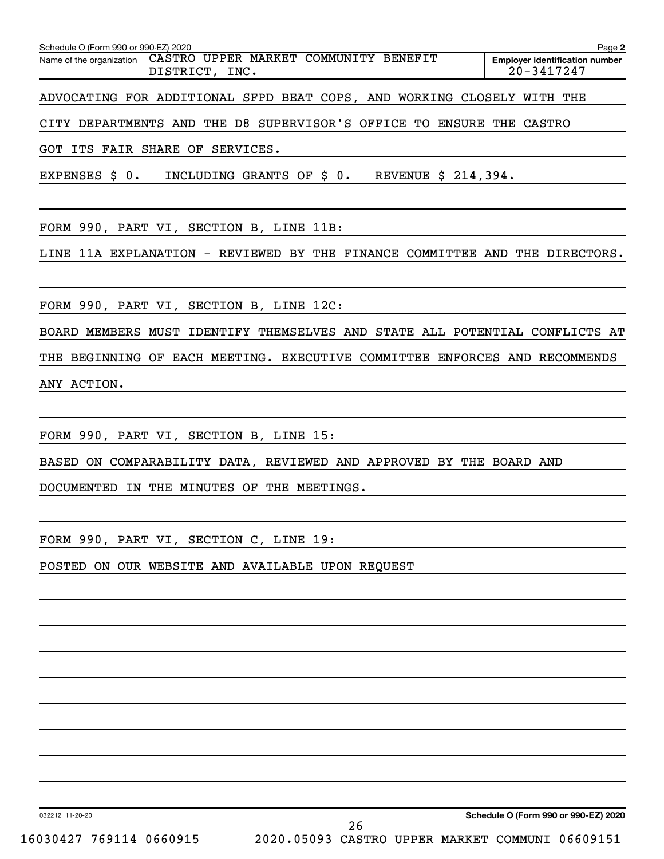| Schedule O (Form 990 or 990-EZ) 2020                                             | Page 2                                              |
|----------------------------------------------------------------------------------|-----------------------------------------------------|
| Name of the organization CASTRO UPPER MARKET COMMUNITY BENEFIT<br>DISTRICT, INC. | <b>Employer identification number</b><br>20-3417247 |
| ADVOCATING FOR ADDITIONAL SFPD BEAT COPS, AND WORKING CLOSELY WITH THE           |                                                     |
| CITY DEPARTMENTS AND THE D8 SUPERVISOR'S OFFICE TO ENSURE THE CASTRO             |                                                     |
| GOT ITS FAIR SHARE OF SERVICES.                                                  |                                                     |
| EXPENSES \$ 0. INCLUDING GRANTS OF \$ 0. REVENUE \$ 214,394.                     |                                                     |
| FORM 990, PART VI, SECTION B, LINE 11B:                                          |                                                     |
| LINE 11A EXPLANATION - REVIEWED BY THE FINANCE COMMITTEE AND THE DIRECTORS.      |                                                     |
| FORM 990, PART VI, SECTION B, LINE 12C:                                          |                                                     |
| BOARD MEMBERS MUST IDENTIFY THEMSELVES AND STATE ALL POTENTIAL CONFLICTS AT      |                                                     |
| THE BEGINNING OF EACH MEETING. EXECUTIVE COMMITTEE ENFORCES AND RECOMMENDS       |                                                     |
| ANY ACTION.                                                                      |                                                     |
| FORM 990, PART VI, SECTION B, LINE 15:                                           |                                                     |
| BASED ON COMPARABILITY DATA, REVIEWED AND APPROVED BY THE BOARD AND              |                                                     |

DOCUMENTED IN THE MINUTES OF THE MEETINGS.

FORM 990, PART VI, SECTION C, LINE 19:

POSTED ON OUR WEBSITE AND AVAILABLE UPON REQUEST

032212 11-20-20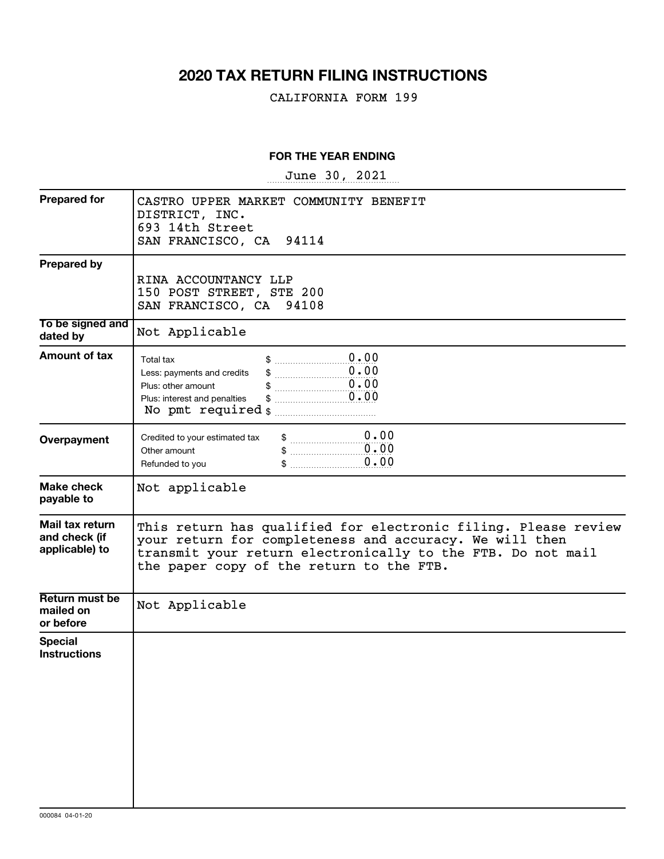# **2020 TAX RETURN FILING INSTRUCTIONS**

# CALIFORNIA FORM 199

# **FOR THE YEAR ENDING**

~~~~~~~~~~~~~~~~~ June 30, 2021

| <b>Prepared for</b>                                | CASTRO UPPER MARKET COMMUNITY BENEFIT<br>DISTRICT, INC.<br>693 14th Street<br>SAN FRANCISCO, CA 94114                                                                                                                                |
|----------------------------------------------------|--------------------------------------------------------------------------------------------------------------------------------------------------------------------------------------------------------------------------------------|
| <b>Prepared by</b>                                 | RINA ACCOUNTANCY LLP<br>150 POST STREET, STE 200<br>SAN FRANCISCO, CA 94108                                                                                                                                                          |
| To be signed and<br>dated by                       | Not Applicable                                                                                                                                                                                                                       |
| Amount of tax                                      | \$ 0.00<br>Total tax<br>$\begin{matrix} 6 \\ 1 \\ 3 \end{matrix}$ 0.00<br>Less: payments and credits<br>Plus: other amount<br>$\begin{matrix} 0.00 \\ * & 0.00 \end{matrix}$<br>Plus: interest and penalties<br>No pmt required \$   |
| Overpayment                                        | $\frac{0.00}{\sqrt{1-\frac{0.00}{0.000}}}$<br>Credited to your estimated tax<br>\$ 0.00<br>Other amount<br>0.00<br>Refunded to you                                                                                                   |
| Make check<br>payable to                           | Not applicable                                                                                                                                                                                                                       |
| Mail tax return<br>and check (if<br>applicable) to | This return has qualified for electronic filing. Please review<br>your return for completeness and accuracy. We will then<br>transmit your return electronically to the FTB. Do not mail<br>the paper copy of the return to the FTB. |
| Return must be<br>mailed on<br>or before           | Not Applicable                                                                                                                                                                                                                       |
| <b>Special</b><br><b>Instructions</b>              |                                                                                                                                                                                                                                      |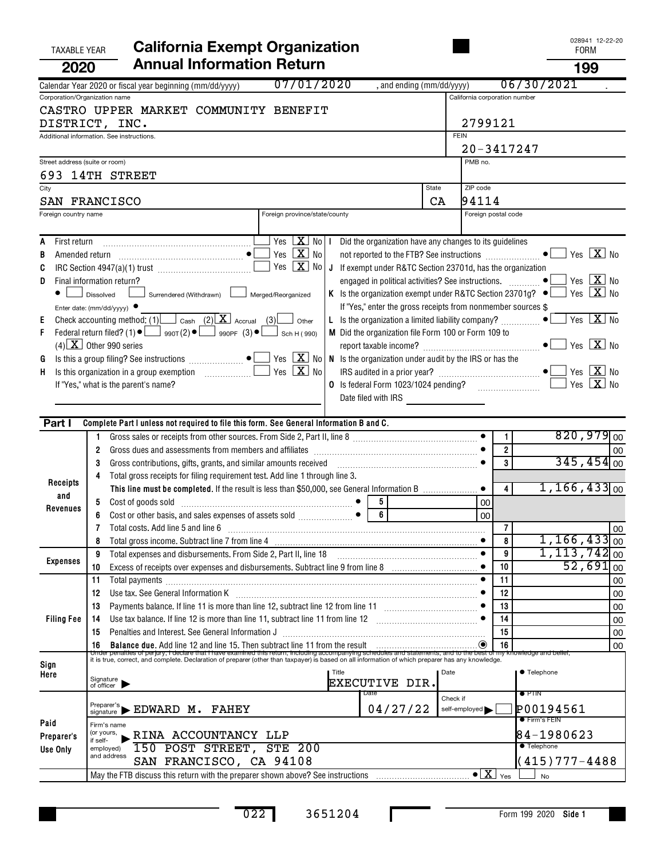| <b>TAXABLE YEAR</b>            |                         | <b>California Exempt Organization</b>                                                                                                                                                                                                                                                                                                        |                              |                               | 028941 12-22-20<br><b>FORM</b>                                   |
|--------------------------------|-------------------------|----------------------------------------------------------------------------------------------------------------------------------------------------------------------------------------------------------------------------------------------------------------------------------------------------------------------------------------------|------------------------------|-------------------------------|------------------------------------------------------------------|
| 2020                           |                         | <b>Annual Information Return</b>                                                                                                                                                                                                                                                                                                             |                              |                               | 199                                                              |
|                                |                         | 07/01/2020<br>, and ending (mm/dd/yyyy)<br>Calendar Year 2020 or fiscal year beginning (mm/dd/yyyy)                                                                                                                                                                                                                                          |                              |                               | 06/30/2021                                                       |
| Corporation/Organization name  |                         | CASTRO UPPER MARKET COMMUNITY BENEFIT                                                                                                                                                                                                                                                                                                        |                              | California corporation number |                                                                  |
| DISTRICT, INC.                 |                         |                                                                                                                                                                                                                                                                                                                                              | 2799121                      |                               |                                                                  |
|                                |                         | Additional information. See instructions.                                                                                                                                                                                                                                                                                                    | <b>FEIN</b>                  |                               |                                                                  |
|                                |                         |                                                                                                                                                                                                                                                                                                                                              |                              | 20-3417247                    |                                                                  |
| Street address (suite or room) |                         |                                                                                                                                                                                                                                                                                                                                              | PMB no.                      |                               |                                                                  |
| City                           |                         | 693 14TH STREET<br>State                                                                                                                                                                                                                                                                                                                     | ZIP code                     |                               |                                                                  |
| SAN FRANCISCO                  |                         | CA                                                                                                                                                                                                                                                                                                                                           | 94114                        |                               |                                                                  |
| Foreign country name           |                         | Foreign province/state/county                                                                                                                                                                                                                                                                                                                |                              | Foreign postal code           |                                                                  |
|                                |                         |                                                                                                                                                                                                                                                                                                                                              |                              |                               |                                                                  |
| A<br>First return              |                         | Yes $X$ No   I Did the organization have any changes to its guidelines<br>Yes $\boxed{\mathbf{X}}$ No                                                                                                                                                                                                                                        |                              |                               |                                                                  |
| В<br>Amended return<br>C       |                         | not reported to the FTB? See instructions $\ldots$ $\bullet$ $\Box$ Yes $\boxed{\mathbf{X}}$ No<br>Yes $\boxed{\mathbf{X}}$ No $\boxed{\mathbf{J}}$ If exempt under R&TC Section 23701d, has the organization                                                                                                                                |                              |                               |                                                                  |
| D                              |                         | engaged in political activities? See instructions.<br>Final information return?                                                                                                                                                                                                                                                              |                              |                               | Yes $\boxed{\mathbf{X}}$ No<br>$\bullet$                         |
| $\bullet$                      | Dissolved               | K Is the organization exempt under R&TC Section 23701g? $\bullet$<br>Surrendered (Withdrawn) L<br>Merged/Reorganized                                                                                                                                                                                                                         |                              |                               | Yes $X$ No                                                       |
|                                |                         | If "Yes," enter the gross receipts from nonmember sources \$<br>Enter date: (mm/dd/yyyy) $\bullet$                                                                                                                                                                                                                                           |                              |                               |                                                                  |
| E<br>F                         |                         | Check accounting method: $(1)$ cash $(2)$ X Accrual $(3)$ other<br>L Is the organization a limited liability company?<br>Federal return filed? (1) $\bullet$ $\Box$ 990T(2) $\bullet$ $\Box$ 990PF (3) $\bullet$ $\Box$ Sch H(990)<br>M Did the organization file Form 100 or Form 109 to                                                    |                              |                               | $\sqrt{\ }$ Yes $\sqrt{\phantom{a}X\phantom{a}}$ No<br>$\bullet$ |
|                                |                         | $(4)$ X Other 990 series                                                                                                                                                                                                                                                                                                                     |                              |                               |                                                                  |
| G                              |                         | Is this a group filing? See instructions $\overline{\mathcal{L}}$ $\bullet$ $\overline{\mathbf{X}}$ Yes $\overline{\mathbf{X}}$ No   N Is the organization under audit by the IRS or has the                                                                                                                                                 |                              |                               |                                                                  |
| н                              |                         | Yes $X$ No<br>Is this organization in a group exemption [1] [1] Is this organization in a group exemption                                                                                                                                                                                                                                    |                              |                               | Yes $X$ No                                                       |
|                                |                         | If "Yes," what is the parent's name?<br>O Is federal Form 1023/1024 pending?                                                                                                                                                                                                                                                                 |                              |                               | Yes $X$ No                                                       |
|                                |                         | Date filed with IRS<br><u> 1980 - Andrea State</u>                                                                                                                                                                                                                                                                                           |                              |                               |                                                                  |
| Part I                         |                         | Complete Part I unless not required to file this form. See General Information B and C.                                                                                                                                                                                                                                                      |                              |                               |                                                                  |
|                                | 1.                      | Gross sales or receipts from other sources. From Side 2, Part II, line 8 [11] content to the setting of the Summann School and School and School and School and School and School and School and School and School and School                                                                                                                |                              | 1                             | $820,979$ <sub>00</sub>                                          |
|                                | 2                       | Gross dues and assessments from members and affiliates [111] contracts and a filiates [11] contracts and affiliates [11] contracts and affiliates [11] contracts and affiliates [11] contracts and affiliates [11] contracts a                                                                                                               |                              | $\overline{2}$                | 00<br>$345, 454$ <sub>00</sub>                                   |
|                                | 3<br>4                  | Gross contributions, gifts, grants, and similar amounts received<br>Total gross receipts for filing requirement test. Add line 1 through line 3.                                                                                                                                                                                             |                              | 3                             |                                                                  |
| Receipts                       |                         | This line must be completed. If the result is less than \$50,000, see General Information B                                                                                                                                                                                                                                                  |                              | 4                             | $1, 166, 433$ <sub>00</sub>                                      |
| and<br>Revenues                |                         | 5<br>Cost of goods sold                                                                                                                                                                                                                                                                                                                      | 00                           |                               |                                                                  |
|                                | 6                       | 6<br>Cost or other basis, and sales expenses of assets sold                                                                                                                                                                                                                                                                                  | 00                           |                               |                                                                  |
|                                | 7<br>8                  | Total costs. Add line 5 and line 6                                                                                                                                                                                                                                                                                                           |                              | 7<br>8                        | 00<br>$1,166,433$ <sub>00</sub>                                  |
|                                | 9                       | Total expenses and disbursements. From Side 2, Part II, line 18                                                                                                                                                                                                                                                                              |                              | 9                             | $1,113,742]$ <sub>00</sub>                                       |
| <b>Expenses</b>                | 10                      | Excess of receipts over expenses and disbursements. Subtract line 9 from line 8 [11, 11, 11, 11, 11, 11, 11, 1000 €                                                                                                                                                                                                                          |                              | 10                            | $52,691$ <sub>00</sub>                                           |
|                                | 11                      | Total payments                                                                                                                                                                                                                                                                                                                               |                              | 11                            | 00                                                               |
|                                | 12                      |                                                                                                                                                                                                                                                                                                                                              |                              | 12                            | 00                                                               |
| <b>Filing Fee</b>              | 13<br>14                | Payments balance. If line 11 is more than line 12, subtract line 12 from line 11 [1] [1] [1] [1] [1] [1] ●<br>Use tax balance. If line 12 is more than line 11, subtract line 11 from line 12 [11] [12] [11] [12] [11] [12] [11] [12] [11] [12] [11] [12] [11] [12] [11] [12] [11] [12] [11] [12] [11] [12] [11] [12] [11] [12] [11] [12] [1 |                              | 13<br>14                      | 00<br>00                                                         |
|                                | 15                      | Penalties and Interest. See General Information J                                                                                                                                                                                                                                                                                            |                              | 15                            | 00                                                               |
|                                | 16                      |                                                                                                                                                                                                                                                                                                                                              | $\odot$                      | 16                            | 00                                                               |
| Sign                           |                         | The penalties of personal materials in the examined this return, including accompanying schedules and statements, and to the best of my knowledge and belief,<br>It is true, correct, and complete. Declaration of preparer (othe                                                                                                            |                              |                               |                                                                  |
| Here                           | Signature<br>of officer | Date<br>Title<br>EXECUTIVE DIR.                                                                                                                                                                                                                                                                                                              |                              |                               | ● Telephone                                                      |
|                                |                         | Date                                                                                                                                                                                                                                                                                                                                         | Check if                     | $\bullet$ PTIN                |                                                                  |
|                                |                         | $\overset{\text{Prepare's}}{\text{signature}} \blacktriangleright \text{EDWARD} \text{ M.} \quad \text{FAHEY}$<br>04/27/22                                                                                                                                                                                                                   | self-employed                |                               | P00194561                                                        |
| Paid                           |                         | Firm's name                                                                                                                                                                                                                                                                                                                                  |                              |                               | <b>•</b> Firm's FEIN                                             |
| Preparer's                     | (or yours,<br>if self-  | <b>RINA ACCOUNTANCY LLP</b>                                                                                                                                                                                                                                                                                                                  |                              |                               | 84-1980623<br><b>Telephone</b>                                   |
| Use Only                       | employed)               | 150 POST STREET, STE 200<br>and address<br>SAN FRANCISCO, CA 94108                                                                                                                                                                                                                                                                           |                              |                               | (415)777-4488                                                    |
|                                |                         |                                                                                                                                                                                                                                                                                                                                              | $\bullet$ $\boxed{\text{X}}$ | Yes                           | <b>No</b>                                                        |
|                                |                         |                                                                                                                                                                                                                                                                                                                                              |                              |                               |                                                                  |

L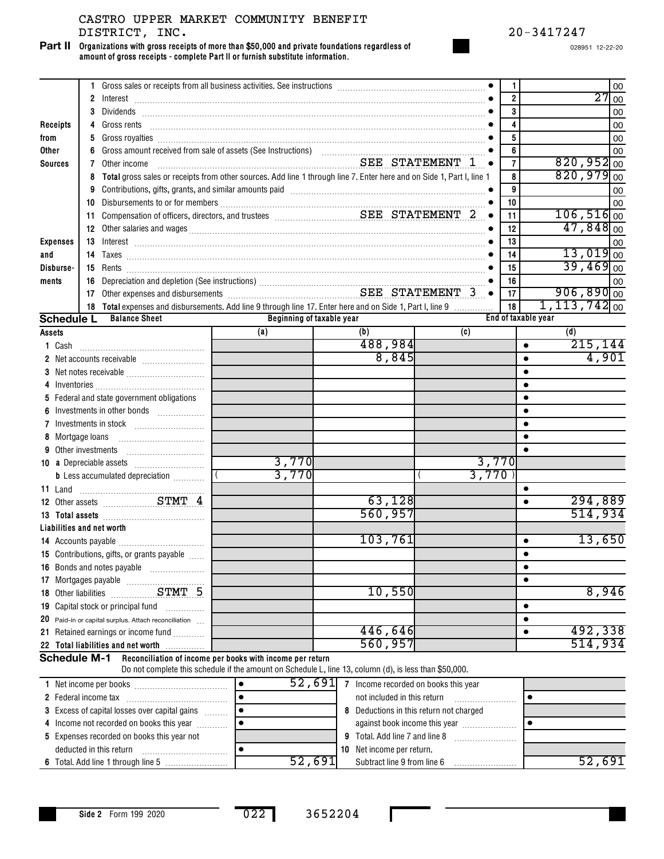|                |  | CASTRO UPPER MARKET COMMUNITY BENEFIT |  |
|----------------|--|---------------------------------------|--|
| DISTRICT, INC. |  |                                       |  |

**Organizations with gross receipts of more than \$50,000 and private foundations regardless of amount of gross receipts - complete Part II or furnish substitute information. Part II**

|                   |              |                                                      | 1 Gross sales or receipts from all business activities. See instructions [11] Gross sales or receipts from all business activities. See instructions [11] Gross sales or receipts from all business activities.                                                                                                                                                                                                                                                                                                                 |                           |            |           | 1              | 00                        |
|-------------------|--------------|------------------------------------------------------|---------------------------------------------------------------------------------------------------------------------------------------------------------------------------------------------------------------------------------------------------------------------------------------------------------------------------------------------------------------------------------------------------------------------------------------------------------------------------------------------------------------------------------|---------------------------|------------|-----------|----------------|---------------------------|
|                   | $\mathbf{2}$ |                                                      | $Interest \begin{tabular}{@{}l@{}} \hline \multicolumn{3}{c} {\textbf{Interest}} \end{tabular} \begin{tabular}{@{}l@{}} \hline \multicolumn{3}{c} {\textbf{Interest}} \end{tabular} \begin{tabular}{@{}l@{}} \hline \multicolumn{3}{c} {\textbf{Interest}} \end{tabular} \begin{tabular}{@{}l@{}} \hline \multicolumn{3}{c} {\textbf{Interest}} \end{tabular} \begin{tabular}{@{}l@{}} \hline \multicolumn{3}{c} {\textbf{Interest}} \end{tabular} \begin{tabular}{@{}l@{}} \hline \multicolumn{3}{c} {\textbf{Interest}} \end$ |                           |            |           | $\overline{2}$ | $\overline{27}$<br>00     |
|                   | 3            |                                                      |                                                                                                                                                                                                                                                                                                                                                                                                                                                                                                                                 |                           |            |           | 3              | 00                        |
| <b>Receipts</b>   | 4            |                                                      |                                                                                                                                                                                                                                                                                                                                                                                                                                                                                                                                 |                           |            |           | 4              | 00                        |
| from              | 5            |                                                      |                                                                                                                                                                                                                                                                                                                                                                                                                                                                                                                                 |                           |            |           | 5              | 00                        |
| Other             | 6            |                                                      |                                                                                                                                                                                                                                                                                                                                                                                                                                                                                                                                 |                           |            |           | 6              | 00                        |
| <b>Sources</b>    | 7            | Other income                                         | SEE STATEMENT 1 .                                                                                                                                                                                                                                                                                                                                                                                                                                                                                                               |                           |            |           | $\overline{7}$ | $820,952$ <sub>00</sub>   |
|                   | 8            |                                                      | Total gross sales or receipts from other sources. Add line 1 through line 7. Enter here and on Side 1, Part I, line 1                                                                                                                                                                                                                                                                                                                                                                                                           |                           |            |           | 8              | $820,979$ <sub>00</sub>   |
|                   | 9            |                                                      | Contributions, gifts, grants, and similar amounts paid [11] [11] contracts and an intervention of the set of the set of the set of the set of the set of the set of the set of the set of the set of the set of the set of the                                                                                                                                                                                                                                                                                                  |                           |            |           | 9              | 00                        |
|                   |              |                                                      |                                                                                                                                                                                                                                                                                                                                                                                                                                                                                                                                 |                           |            |           | 10             | 00                        |
|                   |              |                                                      |                                                                                                                                                                                                                                                                                                                                                                                                                                                                                                                                 |                           |            | $\bullet$ | 11             | $106, 516$ <sub>00</sub>  |
|                   |              |                                                      |                                                                                                                                                                                                                                                                                                                                                                                                                                                                                                                                 |                           |            |           | 12             | $47,848$ <sub>00</sub>    |
| <b>Expenses</b>   |              |                                                      |                                                                                                                                                                                                                                                                                                                                                                                                                                                                                                                                 |                           |            |           | 13             | 00                        |
| and               |              |                                                      |                                                                                                                                                                                                                                                                                                                                                                                                                                                                                                                                 |                           |            |           | 14             | $13,019$ <sub>00</sub>    |
| Disburse-         |              |                                                      |                                                                                                                                                                                                                                                                                                                                                                                                                                                                                                                                 |                           |            |           | 15             | $39,469$ <sub>00</sub>    |
| ments             |              |                                                      |                                                                                                                                                                                                                                                                                                                                                                                                                                                                                                                                 |                           |            |           | 16             | 00                        |
|                   |              |                                                      | 16 Depreciation and depletion (See instructions)<br>17 Other expenses and disbursements<br>2.1.1.2.2.1.2.2.1.2.2.1.2.2.1.2.2.1.2.2.1.2.1.2.1.2.1.2.1.2.1.2.1.2.1.2.1.2.1.2.1.1.2.1.2.1.2.1.2.1.2.1.2.1.2.1.2.1.2.1.2.1.2.1.2.1.2.1.2                                                                                                                                                                                                                                                                                            |                           |            |           | 17             | $906,890$ <sub>00</sub>   |
|                   |              |                                                      | 18 Total expenses and disbursements. Add line 9 through line 17. Enter here and on Side 1, Part I, line 9                                                                                                                                                                                                                                                                                                                                                                                                                       |                           |            |           | 18             | $1,113,742$ <sub>00</sub> |
| <b>Schedule L</b> |              | <b>Balance Sheet</b>                                 |                                                                                                                                                                                                                                                                                                                                                                                                                                                                                                                                 | Beginning of taxable year |            |           |                | End of taxable year       |
| <b>Assets</b>     |              |                                                      | (a)                                                                                                                                                                                                                                                                                                                                                                                                                                                                                                                             |                           | (b)        | (c)       |                | (d)                       |
| 1 Cash            |              |                                                      |                                                                                                                                                                                                                                                                                                                                                                                                                                                                                                                                 |                           | 488,984    |           |                | 215, 144<br>$\bullet$     |
|                   |              |                                                      |                                                                                                                                                                                                                                                                                                                                                                                                                                                                                                                                 |                           | 8,845      |           |                | 4,901<br>$\bullet$        |
|                   |              |                                                      |                                                                                                                                                                                                                                                                                                                                                                                                                                                                                                                                 |                           |            |           |                | $\bullet$                 |
|                   |              |                                                      |                                                                                                                                                                                                                                                                                                                                                                                                                                                                                                                                 |                           |            |           |                | $\bullet$                 |
|                   |              | 5 Federal and state government obligations           |                                                                                                                                                                                                                                                                                                                                                                                                                                                                                                                                 |                           |            |           |                | $\bullet$                 |
|                   |              | 6 Investments in other bonds                         |                                                                                                                                                                                                                                                                                                                                                                                                                                                                                                                                 |                           |            |           |                | $\bullet$                 |
|                   |              |                                                      |                                                                                                                                                                                                                                                                                                                                                                                                                                                                                                                                 |                           |            |           |                | $\bullet$                 |
| 8 Mortgage loans  |              |                                                      |                                                                                                                                                                                                                                                                                                                                                                                                                                                                                                                                 |                           |            |           |                | $\bullet$                 |
|                   |              | <b>9</b> Other investments                           |                                                                                                                                                                                                                                                                                                                                                                                                                                                                                                                                 |                           |            |           |                | $\bullet$                 |
|                   |              |                                                      | 3,770                                                                                                                                                                                                                                                                                                                                                                                                                                                                                                                           |                           |            | 3,770     |                |                           |
|                   |              | <b>b</b> Less accumulated depreciation <i></i>       | 3,770                                                                                                                                                                                                                                                                                                                                                                                                                                                                                                                           |                           |            | 3,770     |                |                           |
|                   |              |                                                      |                                                                                                                                                                                                                                                                                                                                                                                                                                                                                                                                 |                           |            |           |                | $\bullet$                 |
|                   |              | 12 Other assets <b>STMT 4</b>                        |                                                                                                                                                                                                                                                                                                                                                                                                                                                                                                                                 |                           | 63,128     |           |                | 294,889<br>$\bullet$      |
|                   |              |                                                      |                                                                                                                                                                                                                                                                                                                                                                                                                                                                                                                                 |                           | 560,957    |           |                | 514,934                   |
|                   |              | Liabilities and net worth                            |                                                                                                                                                                                                                                                                                                                                                                                                                                                                                                                                 |                           |            |           |                |                           |
|                   |              |                                                      |                                                                                                                                                                                                                                                                                                                                                                                                                                                                                                                                 |                           | 103,761    |           |                | 13,650<br>$\bullet$       |
|                   |              | 15 Contributions, gifts, or grants payable           |                                                                                                                                                                                                                                                                                                                                                                                                                                                                                                                                 |                           |            |           |                | $\bullet$                 |
|                   |              | 16 Bonds and notes payable                           |                                                                                                                                                                                                                                                                                                                                                                                                                                                                                                                                 |                           |            |           |                | $\bullet$                 |
|                   |              |                                                      |                                                                                                                                                                                                                                                                                                                                                                                                                                                                                                                                 |                           |            |           |                | $\bullet$                 |
|                   |              |                                                      |                                                                                                                                                                                                                                                                                                                                                                                                                                                                                                                                 |                           | 10,550     |           |                | 8,946                     |
|                   |              | 19 Capital stock or principal fund                   |                                                                                                                                                                                                                                                                                                                                                                                                                                                                                                                                 |                           |            |           |                | $\bullet$                 |
|                   |              | 20 Paid-in or capital surplus. Attach reconciliation |                                                                                                                                                                                                                                                                                                                                                                                                                                                                                                                                 |                           |            |           |                | $\bullet$                 |
| 21                |              | Retained earnings or income fund                     |                                                                                                                                                                                                                                                                                                                                                                                                                                                                                                                                 |                           | 446,646    |           |                | 492,338<br>$\bullet$      |
|                   |              | 22 Total liabilities and net worth                   |                                                                                                                                                                                                                                                                                                                                                                                                                                                                                                                                 |                           | [560, 957] |           |                | 514,934                   |

**Schedule M-1** Reconciliation of income per books with income per return

Do not complete this schedule if the amount on Schedule L, line 13, column (d), is less than \$50,000.

| Net income per books                                 | 52,691 | 7 Income recorded on books this year    |        |
|------------------------------------------------------|--------|-----------------------------------------|--------|
| 2 Federal income tax                                 |        | not included in this return             |        |
| <b>3</b> Excess of capital losses over capital gains |        | 8 Deductions in this return not charged |        |
| 4 Income not recorded on books this year             |        | against book income this year           |        |
| 5 Expenses recorded on books this year not           |        | Total, Add line 7 and line 8<br>9.      |        |
| deducted in this return                              |        | Net income per return.<br>10            |        |
|                                                      | 52,691 | Subtract line 9 from line 6             | 52,691 |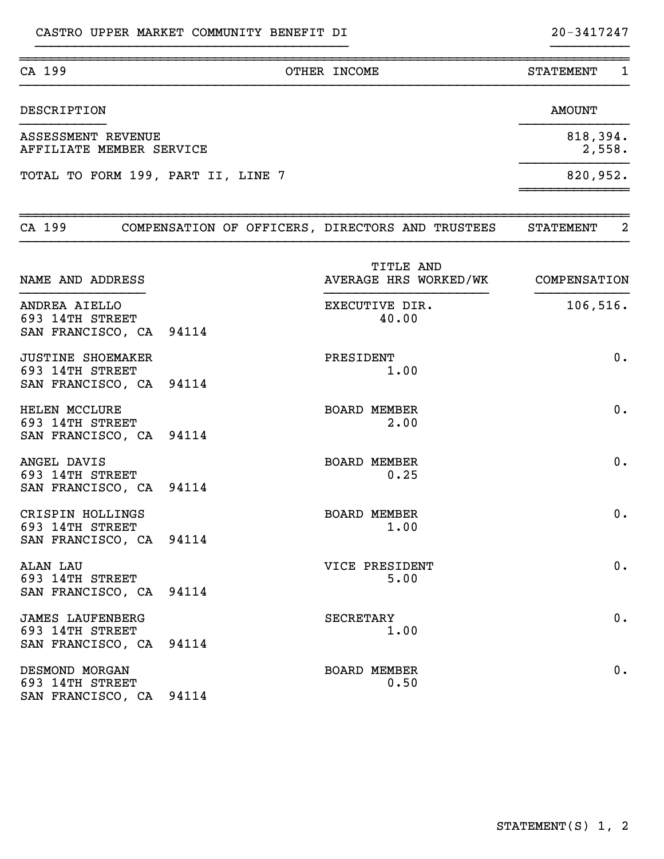| CA 199                                         | OTHER INCOME | 1<br><b>STATEMENT</b> |
|------------------------------------------------|--------------|-----------------------|
| DESCRIPTION                                    |              | AMOUNT                |
| ASSESSMENT REVENUE<br>AFFILIATE MEMBER SERVICE |              | 818,394.<br>2,558.    |
| TOTAL TO FORM 199, PART II, LINE 7             |              | 820,952.              |

~~~~~~~~~~~~~~~~~~~~~~~~~~~~~~~~~~~~~~~~~~~~~~~~~~~~~~~~~~~~~~~~~~~~~~~~~~~~~~

~~~~~~~~~~~~~~~~~~~~~~~~~~~~~~~~~~~~~~~~~~~~~~~~~~~~~~~~~~~~~~~~~~~~~~~~~~~~~~

}}}}}}}}}}}}}}}}}}}}}}}}}}}}}}}}}}}}}}}} }}}}}}}}}}

| CA 199                                                                 |  | COMPENSATION OF OFFICERS, DIRECTORS AND TRUSTEES | 2<br>STATEMENT |
|------------------------------------------------------------------------|--|--------------------------------------------------|----------------|
| NAME AND ADDRESS                                                       |  | TITLE AND<br>AVERAGE HRS WORKED/WK COMPENSATION  |                |
| ANDREA AIELLO<br>693 14TH STREET<br>SAN FRANCISCO, CA 94114            |  | EXECUTIVE DIR.<br>40.00                          | 106, 516.      |
| <b>JUSTINE SHOEMAKER</b><br>693 14TH STREET<br>SAN FRANCISCO, CA 94114 |  | PRESIDENT<br>1.00                                | 0.             |
| HELEN MCCLURE<br>693 14TH STREET<br>SAN FRANCISCO, CA 94114            |  | <b>BOARD MEMBER</b><br>2.00                      | 0.             |
| ANGEL DAVIS<br>693 14TH STREET<br>SAN FRANCISCO, CA 94114              |  | <b>BOARD MEMBER</b><br>0.25                      | 0.             |
| CRISPIN HOLLINGS<br>693 14TH STREET<br>SAN FRANCISCO, CA 94114         |  | <b>BOARD MEMBER</b><br>1.00                      | 0.             |
| ALAN LAU<br>693 14TH STREET<br>SAN FRANCISCO, CA 94114                 |  | VICE PRESIDENT<br>5.00                           | 0.             |
| <b>JAMES LAUFENBERG</b><br>693 14TH STREET<br>SAN FRANCISCO, CA 94114  |  | SECRETARY<br>1.00                                | 0.             |
| DESMOND MORGAN<br>693 14TH STREET<br>SAN FRANCISCO, CA 94114           |  | <b>BOARD MEMBER</b><br>0.50                      | 0.             |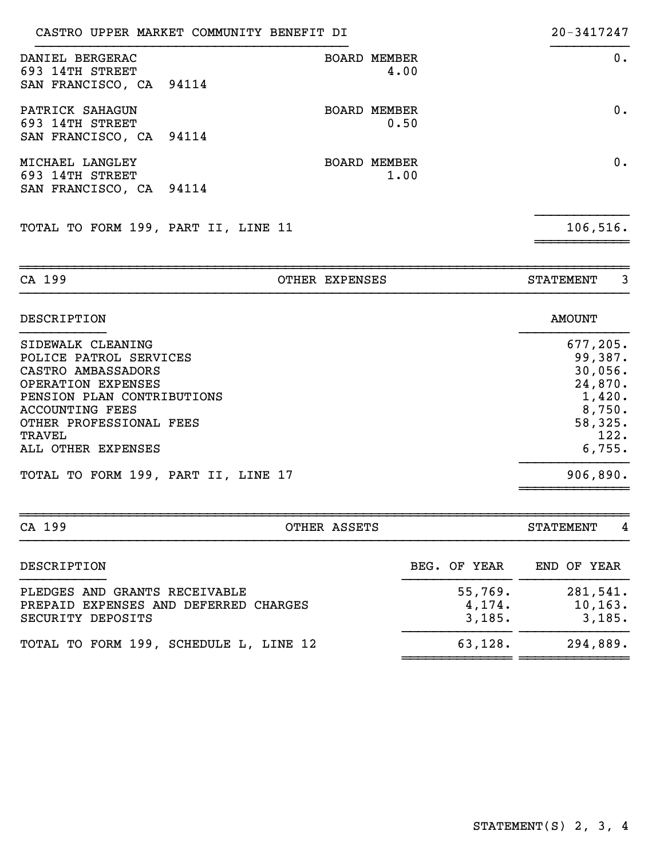| CASTRO UPPER MARKET COMMUNITY BENEFIT DI                      |                             | $20 - 3417247$ |
|---------------------------------------------------------------|-----------------------------|----------------|
| DANIEL BERGERAC<br>693 14TH STREET<br>SAN FRANCISCO, CA 94114 | <b>BOARD MEMBER</b><br>4.00 | 0.             |
| PATRICK SAHAGUN<br>693 14TH STREET<br>SAN FRANCISCO, CA 94114 | BOARD MEMBER<br>0.50        | 0.             |
| MICHAEL LANGLEY<br>693 14TH STREET<br>SAN FRANCISCO, CA 94114 | BOARD MEMBER<br>1.00        | 0.             |

TOTAL TO FORM 199, PART II, LINE 11 106,516.

| CA 199                                                                                                                                                                                              | OTHER EXPENSES                                                                              | 3<br><b>STATEMENT</b> |
|-----------------------------------------------------------------------------------------------------------------------------------------------------------------------------------------------------|---------------------------------------------------------------------------------------------|-----------------------|
| DESCRIPTION                                                                                                                                                                                         |                                                                                             | <b>AMOUNT</b>         |
| SIDEWALK CLEANING<br>POLICE PATROL SERVICES<br>CASTRO AMBASSADORS<br>OPERATION EXPENSES<br>PENSION PLAN CONTRIBUTIONS<br>ACCOUNTING FEES<br>OTHER PROFESSIONAL FEES<br>TRAVEL<br>ALL OTHER EXPENSES | 677, 205.<br>99,387.<br>30,056.<br>24,870.<br>1,420.<br>8,750.<br>58,325.<br>122.<br>6,755. |                       |
| TOTAL TO FORM 199, PART II, LINE 17                                                                                                                                                                 |                                                                                             | 906,890.              |

| CA 199<br>OTHER ASSETS                                                                      |                             |                                |
|---------------------------------------------------------------------------------------------|-----------------------------|--------------------------------|
| DESCRIPTION                                                                                 | BEG. OF YEAR                | END OF YEAR                    |
| PLEDGES AND GRANTS RECEIVABLE<br>PREPAID EXPENSES AND DEFERRED CHARGES<br>SECURITY DEPOSITS | 55,769.<br>4,174.<br>3,185. | 281,541.<br>10, 163.<br>3,185. |
| TOTAL TO FORM 199, SCHEDULE L, LINE 12                                                      | 63, 128.                    | 294,889.                       |

}}}}}}}}}}}}

~~~~~~~~~~~~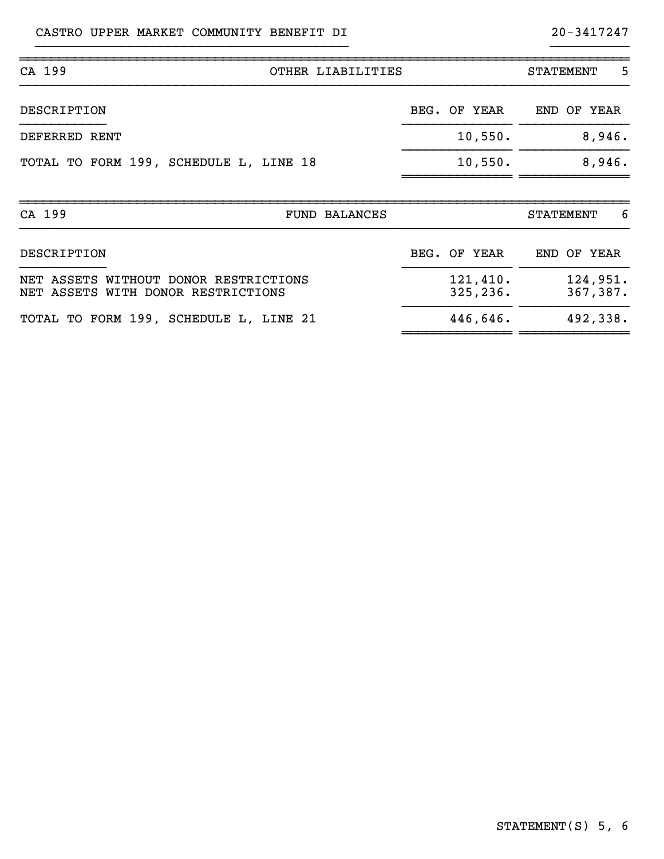~~~~~~~~~~~~~~ ~~~~~~~~~~~~~~

| CA 199<br>OTHER LIABILITIES                                                 |                       | 5<br><b>STATEMENT</b>   |
|-----------------------------------------------------------------------------|-----------------------|-------------------------|
| DESCRIPTION                                                                 | BEG. OF YEAR          | END OF YEAR             |
| DEFERRED RENT                                                               | 10,550.               | 8,946.                  |
| TOTAL TO FORM 199, SCHEDULE L, LINE 18                                      | 10,550.               | 8,946.                  |
|                                                                             |                       |                         |
| CA 199<br><b>FUND BALANCES</b>                                              |                       | <b>STATEMENT</b><br>- 6 |
| DESCRIPTION                                                                 | BEG. OF YEAR          | OF YEAR<br>END          |
| NET ASSETS WITHOUT DONOR RESTRICTIONS<br>NET ASSETS WITH DONOR RESTRICTIONS | 121,410.<br>325, 236. | 124,951.<br>367,387.    |
| TOTAL TO FORM 199, SCHEDULE L, LINE 21                                      | 446,646.              | 492,338.                |

}}}}}}}}}}}}}}}}}}}}}}}}}}}}}}}}}}}}}}}} }}}}}}}}}}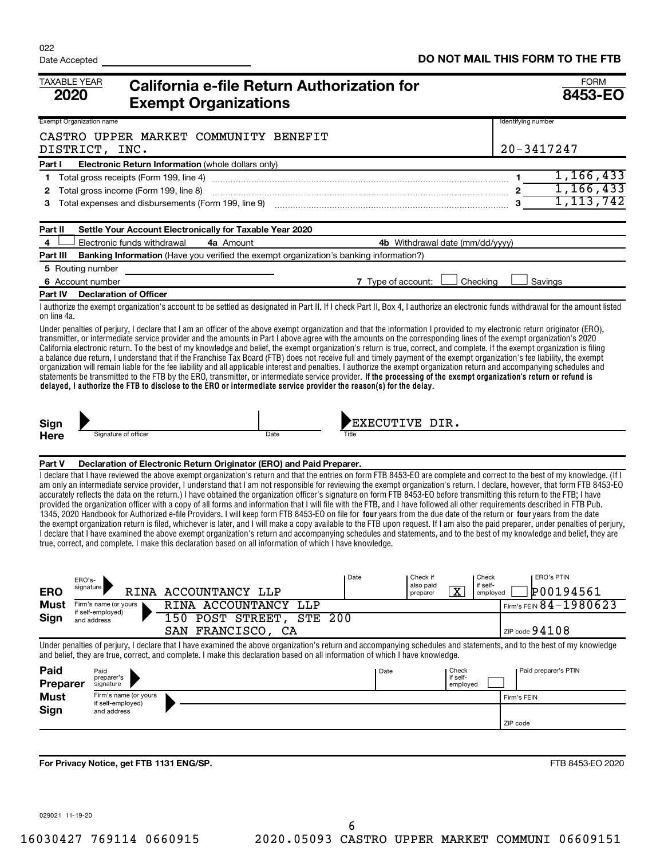| <b>TAXABLE YEAR</b><br>California e-file Return Authorization for<br>2020<br><b>Exempt Organizations</b>                                                                                                                                                                                                                                                                                                                                                                                                                                                                                                                                                                                                                                                                                                                                                                                                                                                                                                                                                                                                                                                                                                                                                                                                                                                              | <b>FORM</b><br>8453-EO                                                                                |
|-----------------------------------------------------------------------------------------------------------------------------------------------------------------------------------------------------------------------------------------------------------------------------------------------------------------------------------------------------------------------------------------------------------------------------------------------------------------------------------------------------------------------------------------------------------------------------------------------------------------------------------------------------------------------------------------------------------------------------------------------------------------------------------------------------------------------------------------------------------------------------------------------------------------------------------------------------------------------------------------------------------------------------------------------------------------------------------------------------------------------------------------------------------------------------------------------------------------------------------------------------------------------------------------------------------------------------------------------------------------------|-------------------------------------------------------------------------------------------------------|
| <b>Exempt Organization name</b>                                                                                                                                                                                                                                                                                                                                                                                                                                                                                                                                                                                                                                                                                                                                                                                                                                                                                                                                                                                                                                                                                                                                                                                                                                                                                                                                       | Identifying number                                                                                    |
| CASTRO UPPER MARKET COMMUNITY BENEFIT<br>DISTRICT, INC.                                                                                                                                                                                                                                                                                                                                                                                                                                                                                                                                                                                                                                                                                                                                                                                                                                                                                                                                                                                                                                                                                                                                                                                                                                                                                                               | 20-3417247                                                                                            |
| Part I<br>Electronic Return Information (whole dollars only)                                                                                                                                                                                                                                                                                                                                                                                                                                                                                                                                                                                                                                                                                                                                                                                                                                                                                                                                                                                                                                                                                                                                                                                                                                                                                                          |                                                                                                       |
| Total gross receipts (Form 199, line 4) <i>machines and a contemporal contemporal contemporal development</i> 1<br>1                                                                                                                                                                                                                                                                                                                                                                                                                                                                                                                                                                                                                                                                                                                                                                                                                                                                                                                                                                                                                                                                                                                                                                                                                                                  | 1,166,433                                                                                             |
| orm 199, line 9) $\frac{2}{3}$ $\frac{1,166,433}{1,113,742}$<br>Total gross income (Form 199, line 8)<br>2                                                                                                                                                                                                                                                                                                                                                                                                                                                                                                                                                                                                                                                                                                                                                                                                                                                                                                                                                                                                                                                                                                                                                                                                                                                            |                                                                                                       |
| Total expenses and disbursements (Form 199, line 9) [11] [12] [12] [12] [12] [13] [13] [13] [13] [13] [13] [13<br>3                                                                                                                                                                                                                                                                                                                                                                                                                                                                                                                                                                                                                                                                                                                                                                                                                                                                                                                                                                                                                                                                                                                                                                                                                                                   |                                                                                                       |
| Part II<br>Settle Your Account Electronically for Taxable Year 2020                                                                                                                                                                                                                                                                                                                                                                                                                                                                                                                                                                                                                                                                                                                                                                                                                                                                                                                                                                                                                                                                                                                                                                                                                                                                                                   |                                                                                                       |
| 4<br>Electronic funds withdrawal<br>4a Amount                                                                                                                                                                                                                                                                                                                                                                                                                                                                                                                                                                                                                                                                                                                                                                                                                                                                                                                                                                                                                                                                                                                                                                                                                                                                                                                         | 4b Withdrawal date (mm/dd/yyyy)                                                                       |
| Part III<br><b>Banking Information</b> (Have you verified the exempt organization's banking information?)                                                                                                                                                                                                                                                                                                                                                                                                                                                                                                                                                                                                                                                                                                                                                                                                                                                                                                                                                                                                                                                                                                                                                                                                                                                             |                                                                                                       |
| 5 Routing number<br><u> 1989 - Johann John Stein, mars and de British and de British and de British and de British and de British and</u>                                                                                                                                                                                                                                                                                                                                                                                                                                                                                                                                                                                                                                                                                                                                                                                                                                                                                                                                                                                                                                                                                                                                                                                                                             |                                                                                                       |
| 7 Type of account:<br>6 Account number                                                                                                                                                                                                                                                                                                                                                                                                                                                                                                                                                                                                                                                                                                                                                                                                                                                                                                                                                                                                                                                                                                                                                                                                                                                                                                                                | Checking<br>Savings                                                                                   |
| Part IV Declaration of Officer                                                                                                                                                                                                                                                                                                                                                                                                                                                                                                                                                                                                                                                                                                                                                                                                                                                                                                                                                                                                                                                                                                                                                                                                                                                                                                                                        |                                                                                                       |
| I authorize the exempt organization's account to be settled as designated in Part II. If I check Part II, Box 4, I authorize an electronic funds withdrawal for the amount listed<br>on line 4a.                                                                                                                                                                                                                                                                                                                                                                                                                                                                                                                                                                                                                                                                                                                                                                                                                                                                                                                                                                                                                                                                                                                                                                      |                                                                                                       |
| transmitter, or intermediate service provider and the amounts in Part I above agree with the amounts on the corresponding lines of the exempt organization's 2020<br>California electronic return. To the best of my knowledge and belief, the exempt organization's return is true, correct, and complete. If the exempt organization is filing<br>a balance due return, I understand that if the Franchise Tax Board (FTB) does not receive full and timely payment of the exempt organization's fee liability, the exempt<br>organization will remain liable for the fee liability and all applicable interest and penalties. I authorize the exempt organization return and accompanying schedules and<br>statements be transmitted to the FTB by the ERO, transmitter, or intermediate service provider. If the processing of the exempt organization's return or refund is<br>delayed, I authorize the FTB to disclose to the ERO or intermediate service provider the reason(s) for the delay.<br>EXECUTIVE DIR.<br>Sign<br>Signature of officer<br>Date                                                                                                                                                                                                                                                                                                       |                                                                                                       |
| <b>Here</b>                                                                                                                                                                                                                                                                                                                                                                                                                                                                                                                                                                                                                                                                                                                                                                                                                                                                                                                                                                                                                                                                                                                                                                                                                                                                                                                                                           |                                                                                                       |
| Part V<br>Declaration of Electronic Return Originator (ERO) and Paid Preparer.                                                                                                                                                                                                                                                                                                                                                                                                                                                                                                                                                                                                                                                                                                                                                                                                                                                                                                                                                                                                                                                                                                                                                                                                                                                                                        |                                                                                                       |
| I declare that I have reviewed the above exempt organization's return and that the entries on form FTB 8453-EO are complete and correct to the best of my knowledge. (If I<br>am only an intermediate service provider, I understand that I am not responsible for reviewing the exempt organization's return. I declare, however, that form FTB 8453-EO<br>accurately reflects the data on the return.) I have obtained the organization officer's signature on form FTB 8453-EO before transmitting this return to the FTB; I have<br>provided the organization officer with a copy of all forms and information that I will file with the FTB, and I have followed all other requirements described in FTB Pub.<br>1345, 2020 Handbook for Authorized e-file Providers. I will keep form FTB 8453-EO on file for four years from the due date of the return or four years from the date<br>the exempt organization return is filed, whichever is later, and I will make a copy available to the FTB upon request. If I am also the paid preparer, under penalties of perjury,<br>I declare that I have examined the above exempt organization's return and accompanying schedules and statements, and to the best of my knowledge and belief, they are<br>true, correct, and complete. I make this declaration based on all information of which I have knowledge. |                                                                                                       |
| Check if<br>Date<br>ERO's-<br>signature<br>RINA ACCOUNTANCY LLP<br><b>ERO</b><br>preparer                                                                                                                                                                                                                                                                                                                                                                                                                                                                                                                                                                                                                                                                                                                                                                                                                                                                                                                                                                                                                                                                                                                                                                                                                                                                             | Check<br><b>ERO's PTIN</b><br>if self-<br>also paid<br>$\overline{\text{x}}$<br>P00194561<br>employed |
| RINA ACCOUNTANCY LLP<br>Must<br>Firm's name (or yours<br>if self-employed)                                                                                                                                                                                                                                                                                                                                                                                                                                                                                                                                                                                                                                                                                                                                                                                                                                                                                                                                                                                                                                                                                                                                                                                                                                                                                            | Firm's FEIN 84-1980623                                                                                |
| 150 POST STREET, STE 200<br>Sign<br>and address<br>SAN FRANCISCO, CA                                                                                                                                                                                                                                                                                                                                                                                                                                                                                                                                                                                                                                                                                                                                                                                                                                                                                                                                                                                                                                                                                                                                                                                                                                                                                                  | ZIP code $94108$                                                                                      |
| Under penalties of perjury, I declare that I have examined the above organization's return and accompanying schedules and statements, and to the best of my knowledge<br>and belief, they are true, correct, and complete. I make this declaration based on all information of which I have knowledge.                                                                                                                                                                                                                                                                                                                                                                                                                                                                                                                                                                                                                                                                                                                                                                                                                                                                                                                                                                                                                                                                |                                                                                                       |
| Paid<br>Paid<br>Date                                                                                                                                                                                                                                                                                                                                                                                                                                                                                                                                                                                                                                                                                                                                                                                                                                                                                                                                                                                                                                                                                                                                                                                                                                                                                                                                                  | Paid preparer's PTIN<br>Check                                                                         |
| preparer's<br>Preparer<br>signature                                                                                                                                                                                                                                                                                                                                                                                                                                                                                                                                                                                                                                                                                                                                                                                                                                                                                                                                                                                                                                                                                                                                                                                                                                                                                                                                   | if self-<br>employed                                                                                  |
| Firm's name (or yours<br><b>Must</b>                                                                                                                                                                                                                                                                                                                                                                                                                                                                                                                                                                                                                                                                                                                                                                                                                                                                                                                                                                                                                                                                                                                                                                                                                                                                                                                                  | Firm's FEIN                                                                                           |
| if self-employed)<br>Sign<br>and address                                                                                                                                                                                                                                                                                                                                                                                                                                                                                                                                                                                                                                                                                                                                                                                                                                                                                                                                                                                                                                                                                                                                                                                                                                                                                                                              | ZIP code                                                                                              |

**For Privacy Notice, get FTB 1131 ENG/SP.**

029021 11-19-20

FTB 8453-EO 2020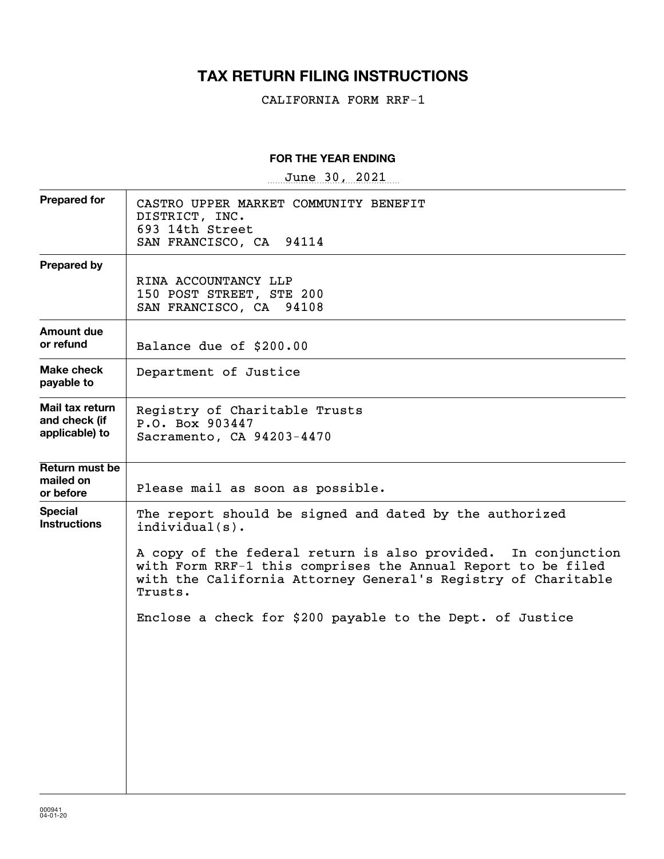# **TAX RETURN FILING INSTRUCTIONS**

CALIFORNIA FORM RRF-1

#### **FOR THE YEAR ENDING**

 $June~30, 2021$ 

| <b>Prepared for</b>                                | CASTRO UPPER MARKET COMMUNITY BENEFIT<br>DISTRICT, INC.<br>693 14th Street<br>SAN FRANCISCO, CA 94114                                                                                                     |
|----------------------------------------------------|-----------------------------------------------------------------------------------------------------------------------------------------------------------------------------------------------------------|
| <b>Prepared by</b>                                 | RINA ACCOUNTANCY LLP<br>150 POST STREET, STE 200<br>SAN FRANCISCO, CA 94108                                                                                                                               |
| <b>Amount due</b><br>or refund                     | Balance due of \$200.00                                                                                                                                                                                   |
| Make check<br>payable to                           | Department of Justice                                                                                                                                                                                     |
| Mail tax return<br>and check (if<br>applicable) to | Registry of Charitable Trusts<br>P.O. Box 903447<br>Sacramento, CA 94203-4470                                                                                                                             |
| Return must be<br>mailed on<br>or before           | Please mail as soon as possible.                                                                                                                                                                          |
| <b>Special</b><br><b>Instructions</b>              | The report should be signed and dated by the authorized<br>$indivialual(s)$ .                                                                                                                             |
|                                                    | A copy of the federal return is also provided. In conjunction<br>with Form RRF-1 this comprises the Annual Report to be filed<br>with the California Attorney General's Registry of Charitable<br>Trusts. |
|                                                    | Enclose a check for \$200 payable to the Dept. of Justice                                                                                                                                                 |
|                                                    |                                                                                                                                                                                                           |
|                                                    |                                                                                                                                                                                                           |
|                                                    |                                                                                                                                                                                                           |
|                                                    |                                                                                                                                                                                                           |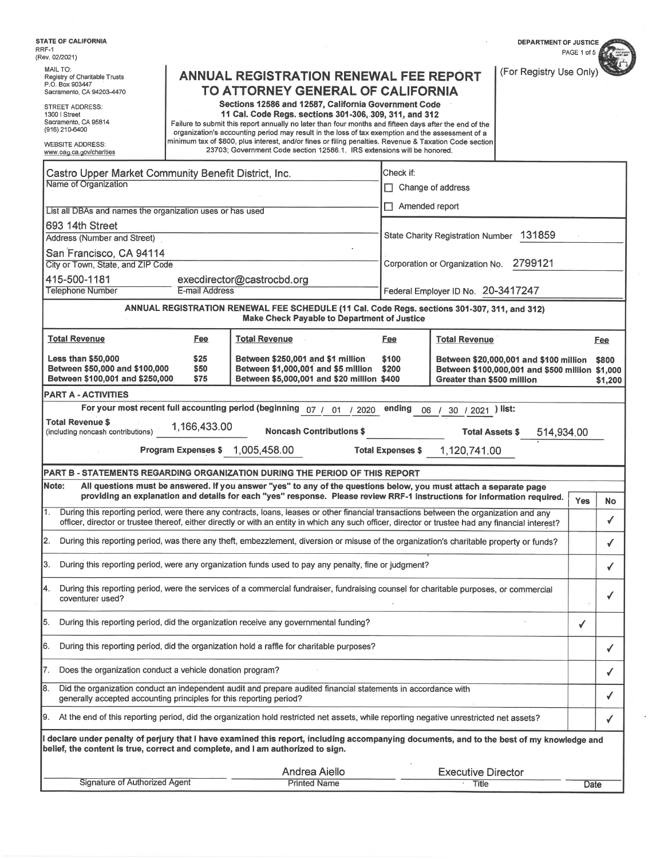| <b>STATE OF CALIFORNIA</b><br>RRF-1<br>Rev. 02/2021)                                                                                                              |                      |                                                                                                                                                                                                                                                                                                                                                                                |                          | DEPARTMENT OF JUSTICE                                                                                                   | PAGE 1 of 5 |                  |
|-------------------------------------------------------------------------------------------------------------------------------------------------------------------|----------------------|--------------------------------------------------------------------------------------------------------------------------------------------------------------------------------------------------------------------------------------------------------------------------------------------------------------------------------------------------------------------------------|--------------------------|-------------------------------------------------------------------------------------------------------------------------|-------------|------------------|
| <b>MAIL TO:</b><br>Registry of Charitable Trusts<br>P.O. Box 903447<br>Sacramento, CA 94203-4470                                                                  |                      | <b>ANNUAL REGISTRATION RENEWAL FEE REPORT</b><br>TO ATTORNEY GENERAL OF CALIFORNIA<br>Sections 12586 and 12587, California Government Code                                                                                                                                                                                                                                     |                          | (For Registry Use Only                                                                                                  |             |                  |
| <b>STREET ADDRESS:</b><br>1300   Street<br>Sacramento, CA 95814<br>(916) 210-6400                                                                                 |                      | 11 Cal. Code Regs. sections 301-306, 309, 311, and 312<br>Failure to submit this report annually no later than four months and fifteen days after the end of the<br>organization's accounting period may result in the loss of tax exemption and the assessment of a<br>minimum tax of \$800, plus interest, and/or fines or filing penalties. Revenue & Taxation Code section |                          |                                                                                                                         |             |                  |
| <b>WEBSITE ADDRESS:</b><br>www.oag.ca.gov/charities                                                                                                               |                      | 23703; Government Code section 12586.1. IRS extensions will be honored.                                                                                                                                                                                                                                                                                                        |                          |                                                                                                                         |             |                  |
| Castro Upper Market Community Benefit District, Inc.<br>Name of Organization                                                                                      |                      |                                                                                                                                                                                                                                                                                                                                                                                | Check if:                | Change of address                                                                                                       |             |                  |
|                                                                                                                                                                   |                      |                                                                                                                                                                                                                                                                                                                                                                                | Amended report           |                                                                                                                         |             |                  |
| List all DBAs and names the organization uses or has used<br>693 14th Street                                                                                      |                      |                                                                                                                                                                                                                                                                                                                                                                                |                          |                                                                                                                         |             |                  |
| Address (Number and Street)                                                                                                                                       |                      |                                                                                                                                                                                                                                                                                                                                                                                |                          | State Charity Registration Number 131859                                                                                |             |                  |
| San Francisco, CA 94114                                                                                                                                           |                      |                                                                                                                                                                                                                                                                                                                                                                                |                          |                                                                                                                         |             |                  |
| City or Town, State, and ZIP Code                                                                                                                                 |                      |                                                                                                                                                                                                                                                                                                                                                                                |                          | 2799121<br>Corporation or Organization No.                                                                              |             |                  |
| 415-500-1181<br><b>Telephone Number</b>                                                                                                                           | E-mail Address       | execdirector@castrocbd.org                                                                                                                                                                                                                                                                                                                                                     |                          | Federal Employer ID No. 20-3417247                                                                                      |             |                  |
|                                                                                                                                                                   |                      | ANNUAL REGISTRATION RENEWAL FEE SCHEDULE (11 Cal. Code Regs. sections 301-307, 311, and 312)<br><b>Make Check Payable to Department of Justice</b>                                                                                                                                                                                                                             |                          |                                                                                                                         |             |                  |
| <b>Total Revenue</b>                                                                                                                                              | Fee                  | <b>Total Revenue</b>                                                                                                                                                                                                                                                                                                                                                           | Fee                      | <b>Total Revenue</b>                                                                                                    |             | <b>Fee</b>       |
| <b>Less than \$50,000</b><br>Between \$50,000 and \$100,000<br>Between \$100,001 and \$250,000                                                                    | \$25<br>\$50<br>\$75 | Between \$250,001 and \$1 million<br>Between \$1,000,001 and \$5 million<br>Between \$5,000,001 and \$20 million \$400                                                                                                                                                                                                                                                         | \$100<br>\$200           | Between \$20,000,001 and \$100 million<br>Between \$100,000,001 and \$500 million \$1,000<br>Greater than \$500 million |             | \$800<br>\$1,200 |
| <b>PART A - ACTIVITIES</b>                                                                                                                                        |                      |                                                                                                                                                                                                                                                                                                                                                                                |                          |                                                                                                                         |             |                  |
| <b>Total Revenue \$</b><br>(including noncash contributions)                                                                                                      | 1,166,433.00         | For your most recent full accounting period (beginning 07 / 01 / 2020<br><b>Noncash Contributions \$</b>                                                                                                                                                                                                                                                                       |                          | ending 06 / 30 / 2021 ) list:<br><b>Total Assets \$</b><br>514,934.00                                                   |             |                  |
|                                                                                                                                                                   |                      | Program Expenses \$ 1,005,458.00                                                                                                                                                                                                                                                                                                                                               | <b>Total Expenses \$</b> | 1,120,741.00                                                                                                            |             |                  |
| Note:                                                                                                                                                             |                      | PART B - STATEMENTS REGARDING ORGANIZATION DURING THE PERIOD OF THIS REPORT<br>All questions must be answered. If you answer "yes" to any of the questions below, you must attach a separate page                                                                                                                                                                              |                          |                                                                                                                         |             |                  |
|                                                                                                                                                                   |                      | providing an explanation and details for each "yes" response. Please review RRF-1 instructions for information required.<br>During this reporting period, were there any contracts, loans, leases or other financial transactions between the organization and any                                                                                                             |                          |                                                                                                                         | <b>Yes</b>  | No               |
|                                                                                                                                                                   |                      | officer, director or trustee thereof, either directly or with an entity in which any such officer, director or trustee had any financial interest?                                                                                                                                                                                                                             |                          |                                                                                                                         |             |                  |
| 2.                                                                                                                                                                |                      | During this reporting period, was there any theft, embezzlement, diversion or misuse of the organization's charitable property or funds?                                                                                                                                                                                                                                       |                          |                                                                                                                         |             | √                |
| 13.                                                                                                                                                               |                      | During this reporting period, were any organization funds used to pay any penalty, fine or judgment?                                                                                                                                                                                                                                                                           |                          |                                                                                                                         |             |                  |
| During this reporting period, were the services of a commercial fundraiser, fundraising counsel for charitable purposes, or commercial<br>14.<br>coventurer used? |                      |                                                                                                                                                                                                                                                                                                                                                                                |                          |                                                                                                                         |             |                  |
| 5.                                                                                                                                                                |                      | During this reporting period, did the organization receive any governmental funding?                                                                                                                                                                                                                                                                                           |                          |                                                                                                                         | ✓           |                  |
| 16.                                                                                                                                                               |                      | During this reporting period, did the organization hold a raffle for charitable purposes?                                                                                                                                                                                                                                                                                      |                          |                                                                                                                         |             | ✔                |
| Does the organization conduct a vehicle donation program?<br>17.                                                                                                  |                      |                                                                                                                                                                                                                                                                                                                                                                                |                          |                                                                                                                         |             | ✔                |
| 18.<br>generally accepted accounting principles for this reporting period?                                                                                        |                      | Did the organization conduct an independent audit and prepare audited financial statements in accordance with                                                                                                                                                                                                                                                                  |                          |                                                                                                                         |             | ✔                |
| 19.                                                                                                                                                               |                      | At the end of this reporting period, did the organization hold restricted net assets, while reporting negative unrestricted net assets?                                                                                                                                                                                                                                        |                          |                                                                                                                         |             |                  |
| belief, the content is true, correct and complete, and I am authorized to sign.                                                                                   |                      | declare under penalty of perjury that I have examined this report, including accompanying documents, and to the best of my knowledge and                                                                                                                                                                                                                                       |                          |                                                                                                                         |             |                  |
|                                                                                                                                                                   |                      | Andrea Aiello                                                                                                                                                                                                                                                                                                                                                                  |                          | <b>Executive Director</b>                                                                                               |             |                  |
| Signature of Authorized Agent                                                                                                                                     |                      | <b>Printed Name</b>                                                                                                                                                                                                                                                                                                                                                            |                          | <b>Title</b>                                                                                                            |             | Date             |